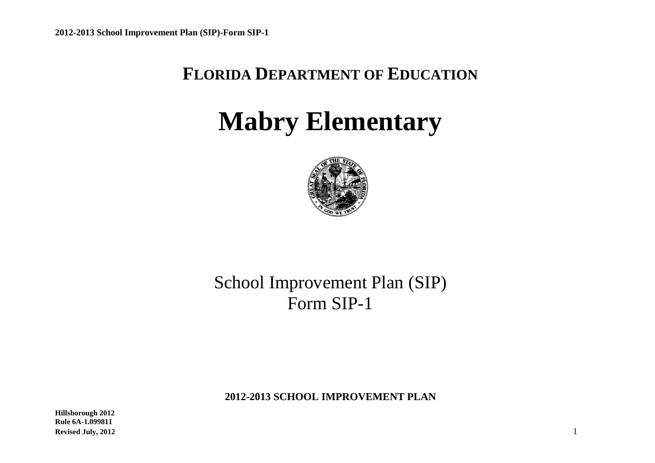## **FLORIDA DEPARTMENT OF EDUCATION**

# **Mabry Elementary**



## School Improvement Plan (SIP) Form SIP-1

**2012-2013 SCHOOL IMPROVEMENT PLAN**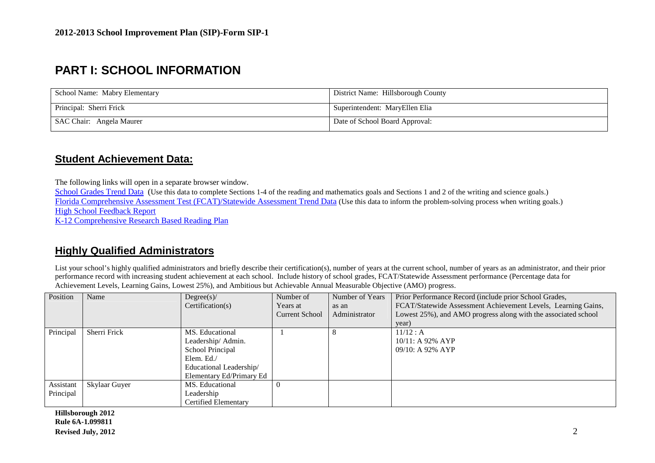## **PART I: SCHOOL INFORMATION**

| School Name: Mabry Elementary | District Name: Hillsborough County |
|-------------------------------|------------------------------------|
| Principal: Sherri Frick       | Superintendent: MaryEllen Elia     |
| SAC Chair: Angela Maurer      | Date of School Board Approval:     |

## **Student Achievement Data:**

The following links will open in a separate browser window.

School Grades Trend Data (Use this data to complete Sections 1-4 of the reading and mathematics goals and Sections 1 and 2 of the writing and science goals.) Florida Comprehensive Assessment Test (FCAT)/Statewide Assessment Trend Data</u> (Use this data to inform the problem-solving process when writing goals.) High School Feedback Report K-12 Comprehensive Research Based Reading Plan

## **Highly Qualified Administrators**

List your school's highly qualified administrators and briefly describe their certification(s), number of years at the current school, number of years as an administrator, and their prior performance record with increasing student achievement at each school. Include history of school grades, FCAT/Statewide Assessment performance (Percentage data for Achievement Levels, Learning Gains, Lowest 25%), and Ambitious but Achievable Annual Measurable Objective (AMO) progress.

| Position  | Name          | Degree(s)                | Number of             | Number of Years | Prior Performance Record (include prior School Grades,         |
|-----------|---------------|--------------------------|-----------------------|-----------------|----------------------------------------------------------------|
|           |               | Certification(s)         | Years at              | as an           | FCAT/Statewide Assessment Achievement Levels, Learning Gains,  |
|           |               |                          | <b>Current School</b> | Administrator   | Lowest 25%), and AMO progress along with the associated school |
|           |               |                          |                       |                 | year)                                                          |
| Principal | Sherri Frick  | MS. Educational          |                       |                 | 11/12 : A                                                      |
|           |               | Leadership/ Admin.       |                       |                 | $10/11$ : A 92% AYP                                            |
|           |               | School Principal         |                       |                 | $09/10$ : A 92% AYP                                            |
|           |               | Elem. Ed./               |                       |                 |                                                                |
|           |               | Educational Leadership/  |                       |                 |                                                                |
|           |               | Elementary Ed/Primary Ed |                       |                 |                                                                |
| Assistant | Skylaar Guyer | MS. Educational          | $\theta$              |                 |                                                                |
| Principal |               | Leadership               |                       |                 |                                                                |
|           |               | Certified Elementary     |                       |                 |                                                                |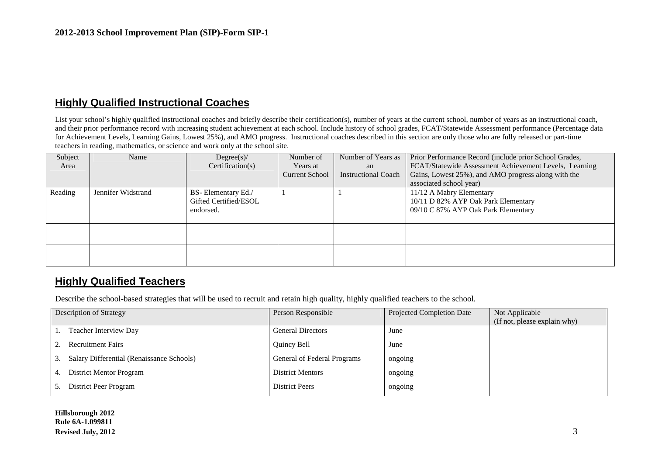## **Highly Qualified Instructional Coaches**

List your school's highly qualified instructional coaches and briefly describe their certification(s), number of years at the current school, number of years as an instructional coach, and their prior performance record with increasing student achievement at each school. Include history of school grades, FCAT/Statewide Assessment performance (Percentage data for Achievement Levels, Learning Gains, Lowest 25%), and AMO progress. Instructional coaches described in this section are only those who are fully released or part-time teachers in reading, mathematics, or science and work only at the school site.

| Subject | Name               | Degree(s)             | Number of      | Number of Years as         | Prior Performance Record (include prior School Grades, |
|---------|--------------------|-----------------------|----------------|----------------------------|--------------------------------------------------------|
| Area    |                    | Certification(s)      | Years at       | an                         | FCAT/Statewide Assessment Achievement Levels, Learning |
|         |                    |                       | Current School | <b>Instructional Coach</b> | Gains, Lowest 25%), and AMO progress along with the    |
|         |                    |                       |                |                            | associated school year)                                |
| Reading | Jennifer Widstrand | BS-Elementary Ed./    |                |                            | 11/12 A Mabry Elementary                               |
|         |                    | Gifted Certified/ESOL |                |                            | 10/11 D 82% AYP Oak Park Elementary                    |
|         |                    | endorsed.             |                |                            | 09/10 C 87% AYP Oak Park Elementary                    |
|         |                    |                       |                |                            |                                                        |
|         |                    |                       |                |                            |                                                        |
|         |                    |                       |                |                            |                                                        |
|         |                    |                       |                |                            |                                                        |
|         |                    |                       |                |                            |                                                        |

## **Highly Qualified Teachers**

Describe the school-based strategies that will be used to recruit and retain high quality, highly qualified teachers to the school.

| <b>Description of Strategy</b>            | Person Responsible          | <b>Projected Completion Date</b> | Not Applicable               |
|-------------------------------------------|-----------------------------|----------------------------------|------------------------------|
|                                           |                             |                                  |                              |
|                                           |                             |                                  | (If not, please explain why) |
| Teacher Interview Day                     | <b>General Directors</b>    | June                             |                              |
|                                           |                             |                                  |                              |
| <b>Recruitment Fairs</b>                  | Quincy Bell                 | June                             |                              |
|                                           |                             |                                  |                              |
|                                           |                             |                                  |                              |
| Salary Differential (Renaissance Schools) | General of Federal Programs | ongoing                          |                              |
|                                           |                             |                                  |                              |
| <b>District Mentor Program</b><br>4.      | <b>District Mentors</b>     | ongoing                          |                              |
|                                           |                             |                                  |                              |
| District Peer Program                     | <b>District Peers</b>       | ongoing                          |                              |
|                                           |                             |                                  |                              |
|                                           |                             |                                  |                              |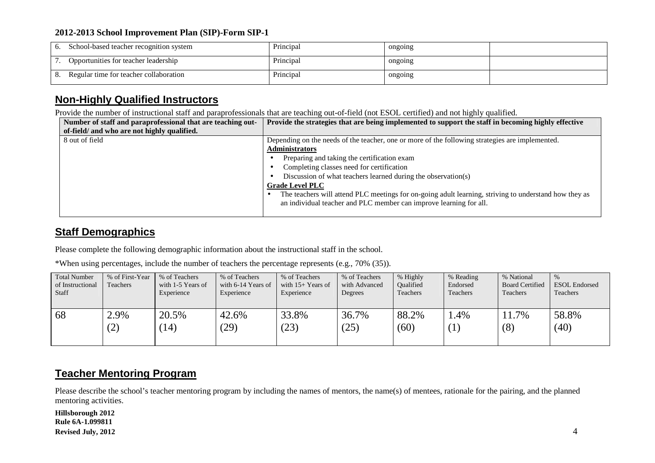| 6. | School-based teacher recognition system | Principal | ongoing |  |
|----|-----------------------------------------|-----------|---------|--|
|    | Opportunities for teacher leadership    | Principal | ongoing |  |
| 8. | Regular time for teacher collaboration  | Principal | ongoing |  |

## **Non-Highly Qualified Instructors**

Provide the number of instructional staff and paraprofessionals that are teaching out-of-field (not ESOL certified) and not highly qualified.

| Number of staff and paraprofessional that are teaching out- | Provide the strategies that are being implemented to support the staff in becoming highly effective   |
|-------------------------------------------------------------|-------------------------------------------------------------------------------------------------------|
| of-field/ and who are not highly qualified.                 |                                                                                                       |
| 8 out of field                                              | Depending on the needs of the teacher, one or more of the following strategies are implemented.       |
|                                                             | <b>Administrators</b>                                                                                 |
|                                                             | Preparing and taking the certification exam                                                           |
|                                                             | Completing classes need for certification                                                             |
|                                                             | Discussion of what teachers learned during the observation(s)                                         |
|                                                             | <b>Grade Level PLC</b>                                                                                |
|                                                             | The teachers will attend PLC meetings for on-going adult learning, striving to understand how they as |
|                                                             | an individual teacher and PLC member can improve learning for all.                                    |
|                                                             |                                                                                                       |

## **Staff Demographics**

Please complete the following demographic information about the instructional staff in the school.

\*When using percentages, include the number of teachers the percentage represents (e.g., 70% (35)).

| <b>Total Number</b> | % of First-Year | % of Teachers     | % of Teachers      | % of Teachers       | % of Teachers | % Highly  | % Reading        | % National             | $\%$                 |
|---------------------|-----------------|-------------------|--------------------|---------------------|---------------|-----------|------------------|------------------------|----------------------|
| of Instructional    | Teachers        | with 1-5 Years of | with 6-14 Years of | with $15+$ Years of | with Advanced | Oualified | Endorsed         | <b>Board Certified</b> | <b>ESOL</b> Endorsed |
| <b>Staff</b>        |                 | Experience        | Experience         | Experience          | Degrees       | Teachers  | Teachers         | <b>Teachers</b>        | Teachers             |
|                     |                 |                   |                    |                     |               |           |                  |                        |                      |
| 68                  | 2.9%            | 20.5%             | 42.6%              | 33.8%               | 36.7%         | 88.2%     | .4%              | 1.7%                   | 58.8%                |
|                     | (2)             | 14)               | (29)               | (23)                | (25)          | (60)      | $\left(1\right)$ | (8)                    | (40)                 |
|                     |                 |                   |                    |                     |               |           |                  |                        |                      |
|                     |                 |                   |                    |                     |               |           |                  |                        |                      |

## **Teacher Mentoring Program**

Please describe the school's teacher mentoring program by including the names of mentors, the name(s) of mentees, rationale for the pairing, and the planned mentoring activities.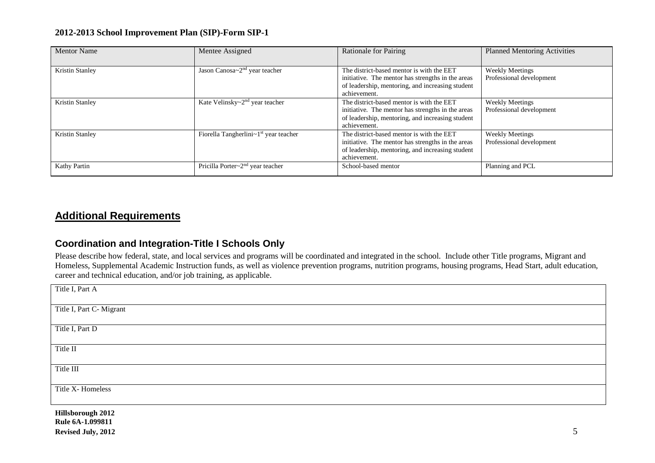| <b>Mentor Name</b>     | Mentee Assigned                                     | <b>Rationale for Pairing</b>                                                                                                                                       | <b>Planned Mentoring Activities</b>                |
|------------------------|-----------------------------------------------------|--------------------------------------------------------------------------------------------------------------------------------------------------------------------|----------------------------------------------------|
| <b>Kristin Stanley</b> | Jason Canosa $\sim$ 2 <sup>nd</sup> year teacher    | The district-based mentor is with the EET<br>initiative. The mentor has strengths in the areas<br>of leadership, mentoring, and increasing student<br>achievement. | <b>Weekly Meetings</b><br>Professional development |
| Kristin Stanley        | Kate Velinsky~2 <sup>nd</sup> year teacher          | The district-based mentor is with the EET<br>initiative. The mentor has strengths in the areas<br>of leadership, mentoring, and increasing student<br>achievement. | <b>Weekly Meetings</b><br>Professional development |
| <b>Kristin Stanley</b> | Fiorella Tangherlini~1 <sup>st</sup> year teacher   | The district-based mentor is with the EET<br>initiative. The mentor has strengths in the areas<br>of leadership, mentoring, and increasing student<br>achievement. | <b>Weekly Meetings</b><br>Professional development |
| Kathy Partin           | Pricilla Porter $\sim$ 2 <sup>nd</sup> year teacher | School-based mentor                                                                                                                                                | Planning and PCL                                   |

## **Additional Requirements**

## **Coordination and Integration-Title I Schools Only**

Please describe how federal, state, and local services and programs will be coordinated and integrated in the school. Include other Title programs, Migrant and Homeless, Supplemental Academic Instruction funds, as well as violence prevention programs, nutrition programs, housing programs, Head Start, adult education, career and technical education, and/or job training, as applicable.

| Title I, Part A          |
|--------------------------|
| Title I, Part C- Migrant |
| Title I, Part D          |
| Title II                 |
| Title III                |
| Title X-Homeless         |
|                          |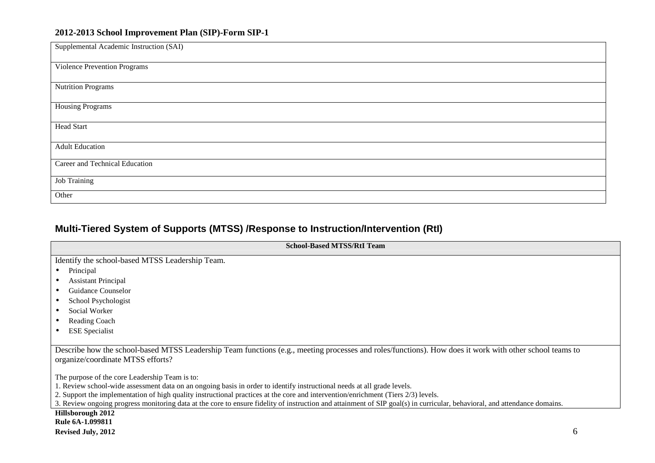| Supplemental Academic Instruction (SAI) |
|-----------------------------------------|
| <b>Violence Prevention Programs</b>     |
| <b>Nutrition Programs</b>               |
| <b>Housing Programs</b>                 |
| Head Start                              |
| <b>Adult Education</b>                  |
| Career and Technical Education          |
| <b>Job Training</b>                     |
| Other                                   |

## **Multi-Tiered System of Supports (MTSS) /Response to Instruction/Intervention (RtI)**

| <b>School-Based MTSS/RtI Team</b>                                                                                                                                                            |
|----------------------------------------------------------------------------------------------------------------------------------------------------------------------------------------------|
| Identify the school-based MTSS Leadership Team.                                                                                                                                              |
| • Principal                                                                                                                                                                                  |
| • Assistant Principal                                                                                                                                                                        |
| • Guidance Counselor                                                                                                                                                                         |
| • School Psychologist                                                                                                                                                                        |
| • Social Worker                                                                                                                                                                              |
| • Reading Coach                                                                                                                                                                              |
| • ESE Specialist                                                                                                                                                                             |
| Describe how the school-based MTSS Leadership Team functions (e.g., meeting processes and roles/functions). How does it work with other school teams to<br>organize/coordinate MTSS efforts? |
| The purpose of the core Leadership Team is to:                                                                                                                                               |

The purpose of the core Leadership Team is to: 1. Review school-wide assessment data on an ongoing basis in order to identify instructional needs at all grade levels.

2. Support the implementation of high quality instructional practices at the core and intervention/enrichment (Tiers 2/3) levels.

3. Review ongoing progress monitoring data at the core to ensure fidelity of instruction and attainment of SIP goal(s) in curricular, behavioral, and attendance domains.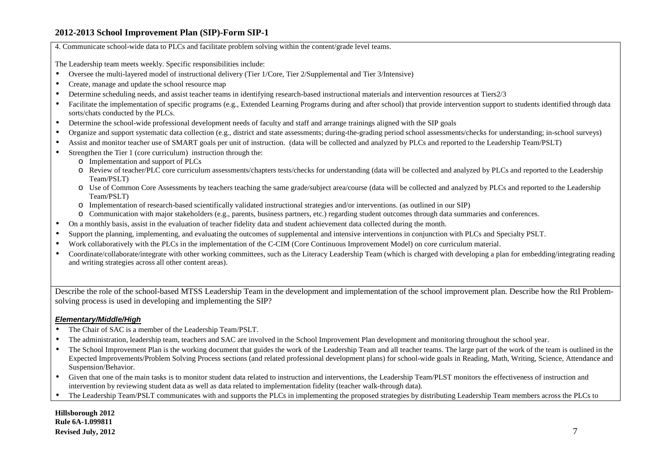4. Communicate school-wide data to PLCs and facilitate problem solving within the content/grade level teams.

The Leadership team meets weekly. Specific responsibilities include:

- •Oversee the multi-layered model of instructional delivery (Tier 1/Core, Tier 2/Supplemental and Tier 3/Intensive)
- •Create, manage and update the school resource map
- •Determine scheduling needs, and assist teacher teams in identifying research-based instructional materials and intervention resources at Tiers2/3
- •Facilitate the implementation of specific programs (e.g., Extended Learning Programs during and after school) that provide intervention support to students identified through data sorts/chats conducted by the PLCs.
- •Determine the school-wide professional development needs of faculty and staff and arrange trainings aligned with the SIP goals
- •Organize and support systematic data collection (e.g., district and state assessments; during-the-grading period school assessments/checks for understanding; in-school surveys)
- •Assist and monitor teacher use of SMART goals per unit of instruction. (data will be collected and analyzed by PLCs and reported to the Leadership Team/PSLT)
- • Strengthen the Tier 1 (core curriculum) instruction through the:
	- $\circ$  Implementation and support of PLCs
	- $\circ$  Review of teacher/PLC core curriculum assessments/chapters tests/checks for understanding (data will be collected and analyzed by PLCs and reported to the Leadership Team/PSLT)
	- O Use of Common Core Assessments by teachers teaching the same grade/subject area/course (data will be collected and analyzed by PLCs and reported to the Leadership Team/PSLT)
	- o Implementation of research-based scientifically validated instructional strategies and/or interventions. (as outlined in our SIP)
	- o Communication with major stakeholders (e.g., parents, business partners, etc.) regarding student outcomes through data summaries and conferences.
- •On a monthly basis, assist in the evaluation of teacher fidelity data and student achievement data collected during the month.
- •Support the <sup>p</sup>lanning, implementing, and evaluating the outcomes of supplemental and intensive interventions in conjunction with PLCs and Specialty PSLT.
- •Work collaboratively with the PLCs in the implementation of the C-CIM (Core Continuous Improvement Model) on core curriculum material.
- • Coordinate/collaborate/integrate with other working committees, such as the Literacy Leadership Team (which is charged with developing a plan for embedding/integrating reading and writing strategies across all other content areas).

Describe the role of the school-based MTSS Leadership Team in the development and implementation of the school improvement plan. Describe how the RtI Problem-<br>solving process is used in developing and implementing the SIP?

#### **Elementary/Middle/High**

- •The Chair of SAC is a member of the Leadership Team/PSLT.
- •The administration, leadership team, teachers and SAC are involved in the School Improvement Plan development and monitoring throughout the school year.
- • The School Improvement Plan is the working document that guides the work of the Leadership Team and all teacher teams. The large part of the work of the team is outlined in the Expected Improvements/Problem Solving Process sections (and related professional development plans) for school-wide goals in Reading, Math, Writing, Science, Attendance and Suspension/Behavior.
- •Given that one of the main tasks is to monitor student data related to instruction and interventions, the Leadership Team/PLST monitors the effectiveness of instruction and intervention by reviewing student data as well as data related to implementation fidelity (teacher walk-through data).
- •The Leadership Team/PSLT communicates with and supports the PLCs in implementing the proposed strategies by distributing Leadership Team members across the PLCs to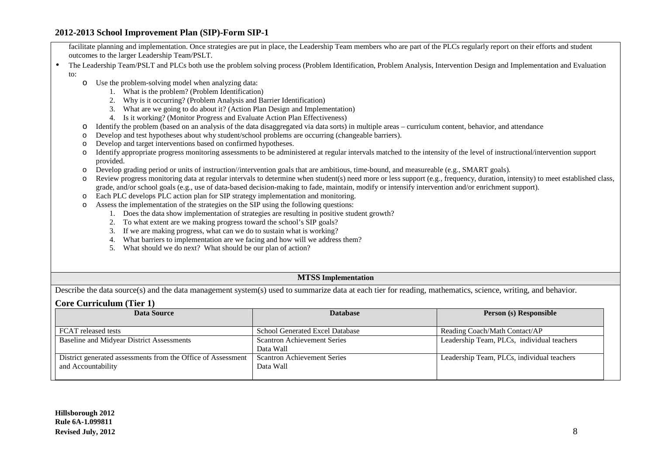facilitate planning and implementation. Once strategies are put in place, the Leadership Team members who are part of the PLCs regularly report on their efforts and student outcomes to the larger Leadership Team/PSLT.

- • The Leadership Team/PSLT and PLCs both use the problem solving process (Problem Identification, Problem Analysis, Intervention Design and Implementation and Evaluation to:
	- $\circ$  Use the problem-solving model when analyzing data:
		- 1. What is the problem? (Problem Identification)
		- 2. Why is it occurring? (Problem Analysis and Barrier Identification)
		- 3. What are we going to do about it? (Action Plan Design and Implementation)
		- 4. Is it working? (Monitor Progress and Evaluate Action Plan Effectiveness)
	- oIdentify the problem (based on an analysis of the data disaggregated via data sorts) in multiple areas – curriculum content, behavior, and attendance
	- oDevelop and test hypotheses about why student/school problems are occurring (changeable barriers).
	- oDevelop and target interventions based on confirmed hypotheses.
	- o Identify appropriate progress monitoring assessments to be administered at regular intervals matched to the intensity of the level of instructional/intervention support provided.
	- Develop grading period or units of instruction//intervention goals that are ambitious, time-bound, and measureable (e.g., SMART goals). o
	- oReview progress monitoring data at regular intervals to determine when student(s) need more or less support (e.g., frequency, duration, intensity) to meet established class, grade, and/or school goals (e.g., use of data-based decision-making to fade, maintain, modify or intensify intervention and/or enrichment support).
	- oEach PLC develops PLC action plan for SIP strategy implementation and monitoring.
	- o Assess the implementation of the strategies on the SIP using the following questions:
		- 1. Does the data show implementation of strategies are resulting in positive student growth?
		- 2. To what extent are we making progress toward the school's SIP goals?
		- 3. If we are making progress, what can we do to sustain what is working?
		- 4. What barriers to implementation are we facing and how will we address them?
		- 5. What should we do next? What should be our plan of action?

#### **MTSS Implementation**

Describe the data source(s) and the data management system(s) used to summarize data at each tier for reading, mathematics, science, writing, and behavior.

#### **Core Curriculum (Tier 1)**

| Data Source                                                                        | <b>Database</b>                                 | Person (s) Responsible                     |
|------------------------------------------------------------------------------------|-------------------------------------------------|--------------------------------------------|
| FCAT released tests                                                                | <b>School Generated Excel Database</b>          | Reading Coach/Math Contact/AP              |
| <b>Baseline and Midyear District Assessments</b>                                   | <b>Scantron Achievement Series</b><br>Data Wall | Leadership Team, PLCs, individual teachers |
| District generated assessments from the Office of Assessment<br>and Accountability | <b>Scantron Achievement Series</b><br>Data Wall | Leadership Team, PLCs, individual teachers |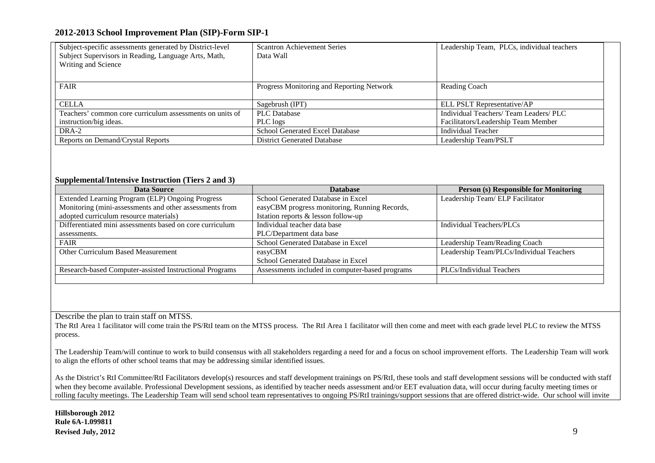| Subject-specific assessments generated by District-level | <b>Scantron Achievement Series</b>        | Leadership Team, PLCs, individual teachers |
|----------------------------------------------------------|-------------------------------------------|--------------------------------------------|
| Subject Supervisors in Reading, Language Arts, Math,     | Data Wall                                 |                                            |
| Writing and Science                                      |                                           |                                            |
|                                                          |                                           |                                            |
| FAIR                                                     | Progress Monitoring and Reporting Network | Reading Coach                              |
|                                                          |                                           |                                            |
| <b>CELLA</b>                                             | Sagebrush (IPT)                           | ELL PSLT Representative/AP                 |
| Teachers' common core curriculum assessments on units of | <b>PLC</b> Database                       | Individual Teachers/ Team Leaders/ PLC     |
| instruction/big ideas.                                   | PLC logs                                  | Facilitators/Leadership Team Member        |
| DRA-2                                                    | School Generated Excel Database           | Individual Teacher                         |
| Reports on Demand/Crystal Reports                        | <b>District Generated Database</b>        | Leadership Team/PSLT                       |

#### **Supplemental/Intensive Instruction (Tiers 2 and 3)**

| Data Source                                              | <b>Database</b>                                 | <b>Person (s) Responsible for Monitoring</b> |  |
|----------------------------------------------------------|-------------------------------------------------|----------------------------------------------|--|
| Extended Learning Program (ELP) Ongoing Progress         | School Generated Database in Excel              | Leadership Team/ ELP Facilitator             |  |
| Monitoring (mini-assessments and other assessments from  | easyCBM progress monitoring, Running Records,   |                                              |  |
| adopted curriculum resource materials)                   | Istation reports & lesson follow-up             |                                              |  |
| Differentiated mini assessments based on core curriculum | Individual teacher data base                    | Individual Teachers/PLCs                     |  |
| assessments.                                             | PLC/Department data base                        |                                              |  |
| <b>FAIR</b>                                              | School Generated Database in Excel              | Leadership Team/Reading Coach                |  |
| Other Curriculum Based Measurement                       | easyCBM                                         | Leadership Team/PLCs/Individual Teachers     |  |
|                                                          | School Generated Database in Excel              |                                              |  |
| Research-based Computer-assisted Instructional Programs  | Assessments included in computer-based programs | PLCs/Individual Teachers                     |  |
|                                                          |                                                 |                                              |  |

Describe the plan to train staff on MTSS.

 The RtI Area 1 facilitator will come train the PS/RtI team on the MTSS process. The RtI Area 1 facilitator will then come and meet with each grade level PLC to review the MTSS process.

The Leadership Team/will continue to work to build consensus with all stakeholders regarding a need for and a focus on school improvement efforts. The Leadership Team will work to align the efforts of other school teams that may be addressing similar identified issues.

As the District's RtI Committee/RtI Facilitators develop(s) resources and staff development trainings on PS/RtI, these tools and staff development sessions will be conducted with staff when they become available. Professional Development sessions, as identified by teacher needs assessment and/or EET evaluation data, will occur during faculty meeting times or rolling faculty meetings. The Leadership Team will send school team representatives to ongoing PS/RtI trainings/support sessions that are offered district-wide. Our school will invite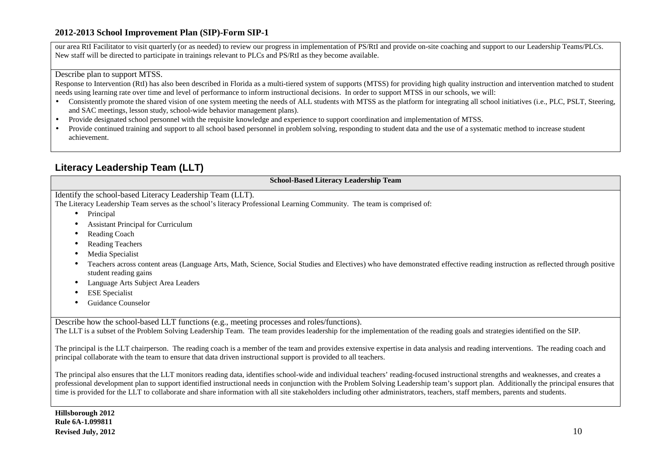our area RtI Facilitator to visit quarterly (or as needed) to review our progress in implementation of PS/RtI and provide on-site coaching and support to our Leadership Teams/PLCs. New staff will be directed to participate in trainings relevant to PLCs and PS/RtI as they become available.

#### Describe plan to support MTSS.

 Response to Intervention (RtI) has also been described in Florida as a multi-tiered system of supports (MTSS) for providing high quality instruction and intervention matched to student needs using learning rate over time and level of performance to inform instructional decisions. In order to support MTSS in our schools, we will:

- Consistently promote the shared vision of one system meeting the needs of ALL students with MTSS as the platform for integrating all school initiatives (i.e., PLC, PSLT, Steering, and SAC meetings, lesson study, school-wide behavior management plans).
- •Provide designated school personnel with the requisite knowledge and experience to support coordination and implementation of MTSS.
- • Provide continued training and support to all school based personnel in problem solving, responding to student data and the use of a systematic method to increase student achievement.

## **Literacy Leadership Team (LLT)**

**School-Based Literacy Leadership Team** 

Identify the school-based Literacy Leadership Team (LLT).

The Literacy Leadership Team serves as the school's literacy Professional Learning Community. The team is comprised of:

- •Principal
- •Assistant Principal for Curriculum
- •Reading Coach
- •Reading Teachers
- •Media Specialist
- • Teachers across content areas (Language Arts, Math, Science, Social Studies and Electives) who have demonstrated effective reading instruction as reflected through positive student reading gains
- •Language Arts Subject Area Leaders
- •ESE Specialist
- •Guidance Counselor

Describe how the school-based LLT functions (e.g., meeting processes and roles/functions).

The LLT is a subset of the Problem Solving Leadership Team. The team provides leadership for the implementation of the reading goals and strategies identified on the SIP.

The principal is the LLT chairperson. The reading coach is a member of the team and provides extensive expertise in data analysis and reading interventions. The reading coach and principal collaborate with the team to ensure that data driven instructional support is provided to all teachers.

The principal also ensures that the LLT monitors reading data, identifies school-wide and individual teachers' reading-focused instructional strengths and weaknesses, and creates a professional development plan to support identified instructional needs in conjunction with the Problem Solving Leadership team's support plan. Additionally the principal ensures that time is provided for the LLT to collaborate and share information with all site stakeholders including other administrators, teachers, staff members, parents and students.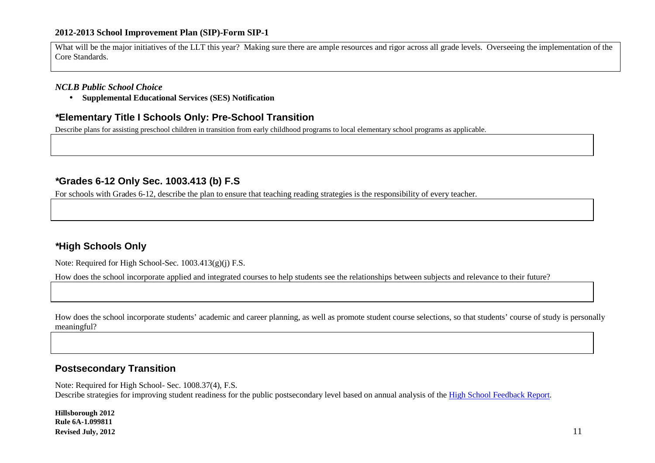What will be the major initiatives of the LLT this year? Making sure there are ample resources and rigor across all grade levels. Overseeing the implementation of the Core Standards.

#### *NCLB Public School Choice*

• **Supplemental Educational Services (SES) Notification** 

#### **\*Elementary Title I Schools Only: Pre-School Transition**

Describe plans for assisting preschool children in transition from early childhood programs to local elementary school programs as applicable.

## **\*Grades 6-12 Only Sec. 1003.413 (b) F.S**

For schools with Grades 6-12, describe the plan to ensure that teaching reading strategies is the responsibility of every teacher.

## **\*High Schools Only**

Note: Required for High School-Sec. 1003.413(g)(j) F.S.

How does the school incorporate applied and integrated courses to help students see the relationships between subjects and relevance to their future?

How does the school incorporate students' academic and career planning, as well as promote student course selections, so that students' course of study is personally meaningful?

## **Postsecondary Transition**

Note: Required for High School- Sec. 1008.37(4), F.S. Describe strategies for improving student readiness for the public postsecondary level based on annual analysis of the High School Feedback Report.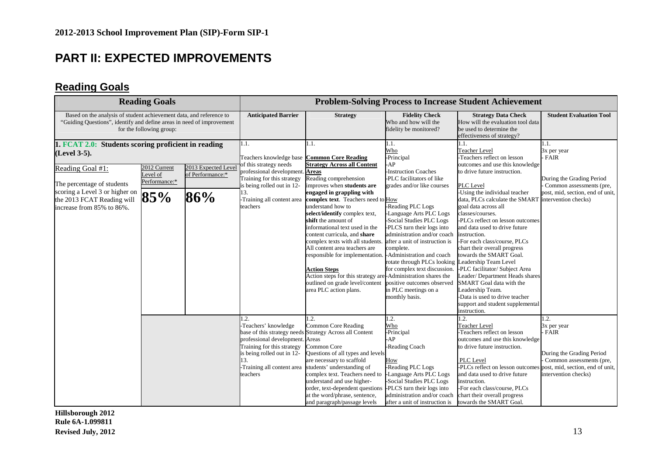## **PART II: EXPECTED IMPROVEMENTS**

## **Reading Goals**

| <b>Reading Goals</b>                                                                                                                                                     |                                                  |                                                | <b>Problem-Solving Process to Increase Student Achievement</b>                                                                                                                     |                                                                                                                                                                                                                                                                                                                                                                                                                                                                                                                                                                                                                               |                                                                                                                                                                                                                                                                                                                                                                                                |                                                                                                                                                                                                                                                                                                                                                                                                                                                                                                                                                                                                                                     |                                                                                                                                                  |  |  |
|--------------------------------------------------------------------------------------------------------------------------------------------------------------------------|--------------------------------------------------|------------------------------------------------|------------------------------------------------------------------------------------------------------------------------------------------------------------------------------------|-------------------------------------------------------------------------------------------------------------------------------------------------------------------------------------------------------------------------------------------------------------------------------------------------------------------------------------------------------------------------------------------------------------------------------------------------------------------------------------------------------------------------------------------------------------------------------------------------------------------------------|------------------------------------------------------------------------------------------------------------------------------------------------------------------------------------------------------------------------------------------------------------------------------------------------------------------------------------------------------------------------------------------------|-------------------------------------------------------------------------------------------------------------------------------------------------------------------------------------------------------------------------------------------------------------------------------------------------------------------------------------------------------------------------------------------------------------------------------------------------------------------------------------------------------------------------------------------------------------------------------------------------------------------------------------|--------------------------------------------------------------------------------------------------------------------------------------------------|--|--|
| Based on the analysis of student achievement data, and reference to<br>"Guiding Questions", identify and define areas in need of improvement<br>for the following group: |                                                  |                                                | <b>Anticipated Barrier</b>                                                                                                                                                         | <b>Strategy</b>                                                                                                                                                                                                                                                                                                                                                                                                                                                                                                                                                                                                               | <b>Fidelity Check</b><br>Who and how will the<br>fidelity be monitored?                                                                                                                                                                                                                                                                                                                        | <b>Strategy Data Check</b><br>How will the evaluation tool data<br>be used to determine the<br>effectiveness of strategy?                                                                                                                                                                                                                                                                                                                                                                                                                                                                                                           | <b>Student Evaluation Tool</b>                                                                                                                   |  |  |
| 1. FCAT 2.0: Students scoring proficient in reading<br>(Level 3-5).                                                                                                      |                                                  |                                                | 1.1.<br>Teachers knowledge base Common Core Reading                                                                                                                                | 1.1.                                                                                                                                                                                                                                                                                                                                                                                                                                                                                                                                                                                                                          | 1.1.<br>Who<br>-Principal                                                                                                                                                                                                                                                                                                                                                                      | 1.1.<br><b>Teacher Level</b><br>-Teachers reflect on lesson                                                                                                                                                                                                                                                                                                                                                                                                                                                                                                                                                                         | 1.1.<br>3x per year<br><b>FAIR</b>                                                                                                               |  |  |
| Reading Goal #1:<br>The percentage of students<br>scoring a Level 3 or higher on<br>the 2013 FCAT Reading will<br>increase from 85% to 86%.                              | 2012 Current<br>Level of<br>Performance:*<br>85% | 2013 Expected Level<br>of Performance:*<br>86% | of this strategy needs<br>professional development. Areas<br>Training for this strategy<br>is being rolled out in 12-<br>13.<br>-Training all content area<br>teachers             | <b>Strategy Across all Content</b><br>Reading comprehension<br>improves when students are<br>engaged in grappling with<br>complex text. Teachers need to How<br>understand how to<br>select/identify complex text,<br>shift the amount of<br>informational text used in the<br>content curricula, and share<br>complex texts with all students.<br>All content area teachers are<br>responsible for implementation. - Administration and coach<br><b>Action Steps</b><br>Action steps for this strategy are-Administration shares the<br>outlined on grade level/content positive outcomes observed<br>area PLC action plans. | $-AP$<br><b>Instruction Coaches</b><br>-PLC facilitators of like<br>grades and/or like courses<br>Reading PLC Logs<br>-Language Arts PLC Logs<br>-Social Studies PLC Logs<br>-PLCS turn their logs into<br>administration and/or coach<br>after a unit of instruction is<br>complete.<br>rotate through PLCs looking<br>for complex text discussion.<br>in PLC meetings on a<br>monthly basis. | outcomes and use this knowledge<br>to drive future instruction.<br>PLC Level<br>-Using the individual teacher<br>data, PLCs calculate the SMART intervention checks)<br>goal data across all<br>classes/courses.<br>-PLCs reflect on lesson outcomes<br>and data used to drive future<br>instruction.<br>-For each class/course, PLCs<br>chart their overall progress<br>towards the SMART Goal.<br>Leadership Team Level<br>-PLC facilitator/ Subject Area<br>Leader/Department Heads shares<br>SMART Goal data with the<br>Leadership Team.<br>-Data is used to drive teacher<br>support and student supplemental<br>instruction. | During the Grading Period<br>Common assessments (pre,<br>post, mid, section, end of unit,                                                        |  |  |
|                                                                                                                                                                          |                                                  |                                                | $\cdot$ 2.<br>-Teachers' knowledge<br>professional development. Areas<br>Training for this strategy<br>is being rolled out in 12-<br>13.<br>-Training all content area<br>teachers | $\cdot$ .<br>Common Core Reading<br>base of this strategy needs Strategy Across all Content<br>Common Core<br>Questions of all types and levels<br>are necessary to scaffold<br>students' understanding of<br>complex text. Teachers need to<br>understand and use higher-<br>order, text-dependent questions -PLCS turn their logs into<br>at the word/phrase, sentence,<br>and paragraph/passage levels                                                                                                                                                                                                                     | 1.2.<br>Who<br>-Principal<br>$-AP$<br>-Reading Coach<br>How<br>-Reading PLC Logs<br>-Language Arts PLC Logs<br>-Social Studies PLC Logs<br>administration and/or coach<br>after a unit of instruction is                                                                                                                                                                                       | 1.2.<br><b>Teacher Level</b><br>-Teachers reflect on lesson<br>outcomes and use this knowledge<br>to drive future instruction.<br>PLC Level<br>-PLCs reflect on lesson outcomes<br>and data used to drive future<br>instruction.<br>-For each class/course, PLCs<br>chart their overall progress<br>towards the SMART Goal                                                                                                                                                                                                                                                                                                          | 1.2.<br>3x per year<br>FAIR<br>During the Grading Period<br>Common assessments (pre,<br>post, mid, section, end of unit,<br>intervention checks) |  |  |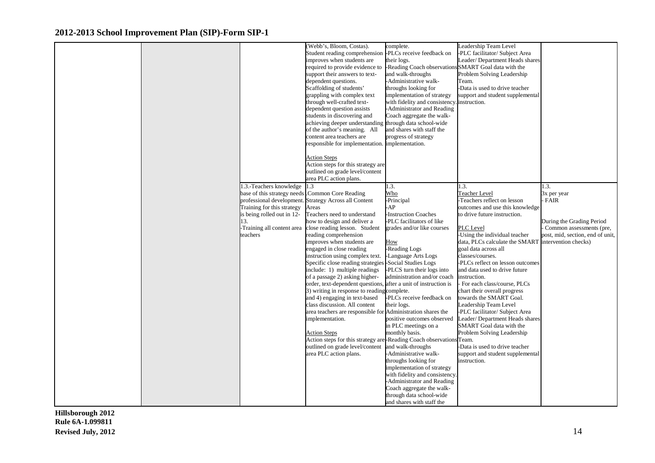|  |                                                 | (Webb's, Bloom, Costas).                                    | complete.                                            | Leadership Team Level            |                                  |
|--|-------------------------------------------------|-------------------------------------------------------------|------------------------------------------------------|----------------------------------|----------------------------------|
|  |                                                 |                                                             |                                                      |                                  |                                  |
|  |                                                 | Student reading comprehension                               | -PLCs receive feedback on                            | -PLC facilitator/ Subject Area   |                                  |
|  |                                                 | improves when students are                                  | their logs.                                          | Leader/Department Heads shares   |                                  |
|  |                                                 | required to provide evidence to                             | -Reading Coach observations SMART Goal data with the |                                  |                                  |
|  |                                                 | support their answers to text-                              | and walk-throughs                                    | Problem Solving Leadership       |                                  |
|  |                                                 | dependent questions.                                        | -Administrative walk-                                | Team.                            |                                  |
|  |                                                 | Scaffolding of students'                                    | throughs looking for                                 | -Data is used to drive teacher   |                                  |
|  |                                                 | grappling with complex text                                 | implementation of strategy                           | support and student supplemental |                                  |
|  |                                                 | through well-crafted text-                                  | with fidelity and consistency                        | instruction.                     |                                  |
|  |                                                 | dependent question assists                                  | -Administrator and Reading                           |                                  |                                  |
|  |                                                 | students in discovering and                                 | Coach aggregate the walk-                            |                                  |                                  |
|  |                                                 | achieving deeper understanding                              | through data school-wide                             |                                  |                                  |
|  |                                                 | of the author's meaning. All                                | and shares with staff the                            |                                  |                                  |
|  |                                                 | content area teachers are                                   | progress of strategy                                 |                                  |                                  |
|  |                                                 | responsible for implementation. implementation.             |                                                      |                                  |                                  |
|  |                                                 |                                                             |                                                      |                                  |                                  |
|  |                                                 | <b>Action Steps</b>                                         |                                                      |                                  |                                  |
|  |                                                 | Action steps for this strategy are                          |                                                      |                                  |                                  |
|  |                                                 | outlined on grade level/content                             |                                                      |                                  |                                  |
|  |                                                 | area PLC action plans.                                      |                                                      |                                  |                                  |
|  | 1.3.-Teachers knowledge                         | .3                                                          | 1.3.                                                 | 1.3.                             | l.3.                             |
|  | base of this strategy needs Common Core Reading |                                                             | Who                                                  | <b>Teacher Level</b>             | 3x per year                      |
|  | professional development.                       | Strategy Across all Content                                 | Principal-                                           | -Teachers reflect on lesson      | FAIR                             |
|  | Training for this strategy                      | Areas                                                       | -AP                                                  | outcomes and use this knowledge  |                                  |
|  | is being rolled out in 12-                      | Teachers need to understand                                 | <b>Instruction Coaches</b>                           | to drive future instruction.     |                                  |
|  | 13.                                             | how to design and deliver a                                 | PLC facilitators of like                             |                                  | During the Grading Period        |
|  | Training all content area                       | close reading lesson. Student                               | grades and/or like courses                           | PLC Level                        | Common assessments (pre,         |
|  | teachers                                        | reading comprehension                                       |                                                      | -Using the individual teacher    | post, mid, section, end of unit, |
|  |                                                 | improves when students are                                  | How                                                  | data, PLCs calculate the SMART   | intervention checks)             |
|  |                                                 | engaged in close reading                                    | <b>Reading Logs</b>                                  | goal data across all             |                                  |
|  |                                                 | instruction using complex text.                             | -Language Arts Logs                                  | classes/courses.                 |                                  |
|  |                                                 | Specific close reading strategies                           | -Social Studies Logs                                 | -PLCs reflect on lesson outcomes |                                  |
|  |                                                 | include: 1) multiple readings                               | -PLCS turn their logs into                           | and data used to drive future    |                                  |
|  |                                                 | of a passage 2) asking higher-                              | administration and/or coach                          | instruction.                     |                                  |
|  |                                                 | order, text-dependent questions,                            | after a unit of instruction is                       | For each class/course, PLCs      |                                  |
|  |                                                 | 3) writing in response to reading complete.                 |                                                      | chart their overall progress     |                                  |
|  |                                                 | and 4) engaging in text-based                               | -PLCs receive feedback on                            | towards the SMART Goal.          |                                  |
|  |                                                 | class discussion. All content                               | their logs.                                          | Leadership Team Level            |                                  |
|  |                                                 | area teachers are responsible for Administration shares the |                                                      | -PLC facilitator/ Subject Area   |                                  |
|  |                                                 | implementation.                                             | positive outcomes observed                           | Leader/Department Heads shares   |                                  |
|  |                                                 |                                                             | in PLC meetings on a                                 | SMART Goal data with the         |                                  |
|  |                                                 | <b>Action Steps</b>                                         | monthly basis.                                       | Problem Solving Leadership       |                                  |
|  |                                                 | Action steps for this strategy are                          | P-Reading Coach observations Team.                   |                                  |                                  |
|  |                                                 | outlined on grade level/content                             | and walk-throughs                                    | -Data is used to drive teacher   |                                  |
|  |                                                 | area PLC action plans.                                      | -Administrative walk-                                | support and student supplemental |                                  |
|  |                                                 |                                                             | throughs looking for                                 | instruction.                     |                                  |
|  |                                                 |                                                             | implementation of strategy                           |                                  |                                  |
|  |                                                 |                                                             | with fidelity and consistency.                       |                                  |                                  |
|  |                                                 |                                                             | -Administrator and Reading                           |                                  |                                  |
|  |                                                 |                                                             | Coach aggregate the walk-                            |                                  |                                  |
|  |                                                 |                                                             | through data school-wide                             |                                  |                                  |
|  |                                                 |                                                             | and shares with staff the                            |                                  |                                  |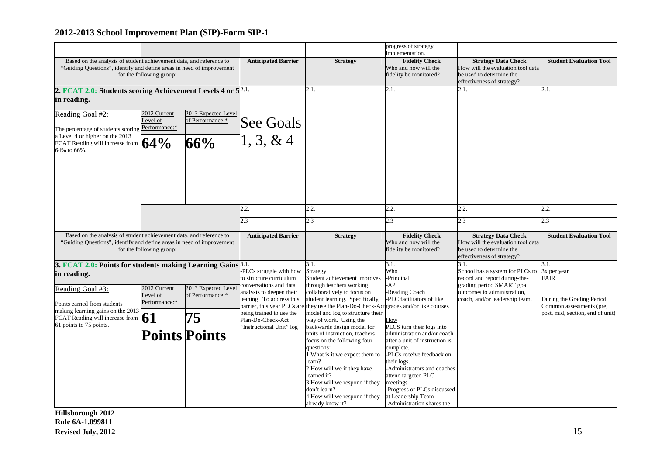|                                                                         |                          |                      |                                                      |                                                                                      | progress of strategy                             |                                                               |                                                       |
|-------------------------------------------------------------------------|--------------------------|----------------------|------------------------------------------------------|--------------------------------------------------------------------------------------|--------------------------------------------------|---------------------------------------------------------------|-------------------------------------------------------|
|                                                                         |                          |                      |                                                      |                                                                                      | implementation.                                  |                                                               |                                                       |
| Based on the analysis of student achievement data, and reference to     |                          |                      | <b>Anticipated Barrier</b>                           | <b>Strategy</b>                                                                      | <b>Fidelity Check</b>                            | <b>Strategy Data Check</b>                                    | <b>Student Evaluation Tool</b>                        |
| "Guiding Questions", identify and define areas in need of improvement   |                          |                      |                                                      |                                                                                      | Who and how will the                             | How will the evaluation tool data                             |                                                       |
|                                                                         | for the following group: |                      |                                                      |                                                                                      | fidelity be monitored?                           | be used to determine the                                      |                                                       |
|                                                                         |                          |                      |                                                      |                                                                                      |                                                  | effectiveness of strategy?                                    |                                                       |
| 2. FCAT 2.0: Students scoring Achievement Levels 4 or 5 <sup>2.1.</sup> |                          |                      |                                                      | 2.1.                                                                                 | 2.1.                                             | 2.1.                                                          | 2.1.                                                  |
| in reading.                                                             |                          |                      |                                                      |                                                                                      |                                                  |                                                               |                                                       |
|                                                                         |                          |                      |                                                      |                                                                                      |                                                  |                                                               |                                                       |
| Reading Goal #2:                                                        | 2012 Current             | 2013 Expected Level  |                                                      |                                                                                      |                                                  |                                                               |                                                       |
|                                                                         | evel of                  | of Performance:*     | See Goals                                            |                                                                                      |                                                  |                                                               |                                                       |
| The percentage of students scoring Performance:*                        |                          |                      |                                                      |                                                                                      |                                                  |                                                               |                                                       |
| a Level 4 or higher on the 2013                                         |                          |                      | $\vert 1, 3, 8, 4 \vert$                             |                                                                                      |                                                  |                                                               |                                                       |
| FCAT Reading will increase from $64\%$                                  |                          | 66%                  |                                                      |                                                                                      |                                                  |                                                               |                                                       |
| 64% to 66%.                                                             |                          |                      |                                                      |                                                                                      |                                                  |                                                               |                                                       |
|                                                                         |                          |                      |                                                      |                                                                                      |                                                  |                                                               |                                                       |
|                                                                         |                          |                      |                                                      |                                                                                      |                                                  |                                                               |                                                       |
|                                                                         |                          |                      |                                                      |                                                                                      |                                                  |                                                               |                                                       |
|                                                                         |                          |                      |                                                      |                                                                                      |                                                  |                                                               |                                                       |
|                                                                         |                          |                      |                                                      |                                                                                      |                                                  |                                                               |                                                       |
|                                                                         |                          |                      |                                                      |                                                                                      |                                                  |                                                               |                                                       |
|                                                                         |                          |                      | 2.2.                                                 | 2.2.                                                                                 | 2.2.                                             | 2.2.                                                          | 2.2.                                                  |
|                                                                         |                          |                      |                                                      |                                                                                      |                                                  |                                                               |                                                       |
|                                                                         |                          |                      | 2.3                                                  | 2.3                                                                                  | 2.3                                              | 2.3                                                           | 2.3                                                   |
| Based on the analysis of student achievement data, and reference to     |                          |                      | <b>Anticipated Barrier</b>                           | <b>Strategy</b>                                                                      | <b>Fidelity Check</b>                            | <b>Strategy Data Check</b>                                    | <b>Student Evaluation Tool</b>                        |
| "Guiding Questions", identify and define areas in need of improvement   |                          |                      |                                                      |                                                                                      | Who and how will the                             | How will the evaluation tool data                             |                                                       |
|                                                                         | for the following group: |                      |                                                      |                                                                                      | fidelity be monitored?                           | be used to determine the                                      |                                                       |
|                                                                         |                          |                      |                                                      |                                                                                      |                                                  | effectiveness of strategy?                                    |                                                       |
| 3. FCAT 2.0: Points for students making Learning Gains 3.1.             |                          |                      |                                                      | 3.1.                                                                                 | 3.1.                                             | 3.1.                                                          | 3.1.                                                  |
| in reading.                                                             |                          |                      | -PLCs struggle with how                              | Strategy                                                                             | Who                                              | School has a system for PLCs to                               | 3x per year                                           |
|                                                                         |                          |                      | to structure curriculum                              | Student achievement improves                                                         | -Principal                                       | record and report during-the-                                 | FAIR                                                  |
| Reading Goal #3:                                                        | 2012 Current             | 2013 Expected Level  | conversations and data                               | through teachers working                                                             | -AP                                              | grading period SMART goal                                     |                                                       |
|                                                                         | evel of                  | of Performance:*     | analysis to deepen their<br>leaning. To address this | collaboratively to focus on<br>student learning. Specifically,                       | -Reading Coach<br>-PLC facilitators of like      | outcomes to administration,<br>coach, and/or leadership team. |                                                       |
| Points earned from students                                             | Performance:*            |                      |                                                      | barrier, this year PLCs are they use the Plan-Do-Check-Actgrades and/or like courses |                                                  |                                                               | During the Grading Period<br>Common assessments (pre, |
| making learning gains on the 2013                                       |                          |                      | being trained to use the                             | model and log to structure their                                                     |                                                  |                                                               | post, mid, section, end of unit)                      |
| FCAT Reading will increase from                                         | 61                       | 75                   | Plan-Do-Check-Act                                    | way of work. Using the                                                               | How                                              |                                                               |                                                       |
| 61 points to 75 points.                                                 |                          |                      | 'Instructional Unit'' log                            | backwards design model for                                                           | PLCS turn their logs into                        |                                                               |                                                       |
|                                                                         |                          |                      |                                                      |                                                                                      |                                                  |                                                               |                                                       |
|                                                                         |                          |                      |                                                      | units of instruction, teachers                                                       | administration and/or coach                      |                                                               |                                                       |
|                                                                         |                          | <b>Points Points</b> |                                                      | focus on the following four                                                          | after a unit of instruction is                   |                                                               |                                                       |
|                                                                         |                          |                      |                                                      | questions:                                                                           | complete.                                        |                                                               |                                                       |
|                                                                         |                          |                      |                                                      | 1. What is it we expect them to                                                      | -PLCs receive feedback on                        |                                                               |                                                       |
|                                                                         |                          |                      |                                                      | learn?                                                                               | their logs.                                      |                                                               |                                                       |
|                                                                         |                          |                      |                                                      | 2. How will we if they have                                                          | -Administrators and coaches                      |                                                               |                                                       |
|                                                                         |                          |                      |                                                      | learned it?                                                                          | attend targeted PLC                              |                                                               |                                                       |
|                                                                         |                          |                      |                                                      | 3. How will we respond if they                                                       | meetings                                         |                                                               |                                                       |
|                                                                         |                          |                      |                                                      | don't learn?                                                                         | Progress of PLCs discussed                       |                                                               |                                                       |
|                                                                         |                          |                      |                                                      | 4. How will we respond if they<br>already know it?                                   | at Leadership Team<br>-Administration shares the |                                                               |                                                       |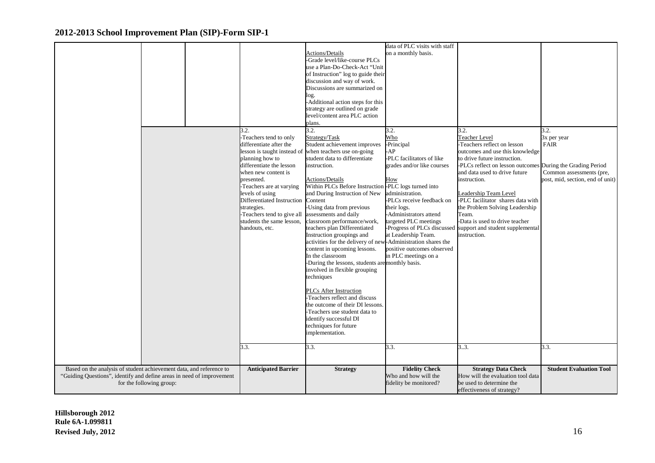|                                                                                                                                              |                             |                                                              | data of PLC visits with staff                 |                                                                 |                                  |
|----------------------------------------------------------------------------------------------------------------------------------------------|-----------------------------|--------------------------------------------------------------|-----------------------------------------------|-----------------------------------------------------------------|----------------------------------|
|                                                                                                                                              |                             | Actions/Details                                              | on a monthly basis.                           |                                                                 |                                  |
|                                                                                                                                              |                             | -Grade level/like-course PLCs                                |                                               |                                                                 |                                  |
|                                                                                                                                              |                             | use a Plan-Do-Check-Act "Unit                                |                                               |                                                                 |                                  |
|                                                                                                                                              |                             | of Instruction" log to guide their                           |                                               |                                                                 |                                  |
|                                                                                                                                              |                             | discussion and way of work.                                  |                                               |                                                                 |                                  |
|                                                                                                                                              |                             | Discussions are summarized on                                |                                               |                                                                 |                                  |
|                                                                                                                                              |                             | log.                                                         |                                               |                                                                 |                                  |
|                                                                                                                                              |                             | -Additional action steps for this                            |                                               |                                                                 |                                  |
|                                                                                                                                              |                             | strategy are outlined on grade                               |                                               |                                                                 |                                  |
|                                                                                                                                              |                             | level/content area PLC action                                |                                               |                                                                 |                                  |
|                                                                                                                                              |                             | plans.                                                       |                                               |                                                                 |                                  |
|                                                                                                                                              | 3.2.                        | 3.2.                                                         | 3.2.                                          | 3.2.                                                            | 3.2.                             |
|                                                                                                                                              | -Teachers tend to only      | Strategy/Task                                                | Who                                           | <b>Teacher Level</b>                                            | 3x per year                      |
|                                                                                                                                              | differentiate after the     | Student achievement improves                                 | -Principal                                    | -Teachers reflect on lesson                                     | <b>FAIR</b>                      |
|                                                                                                                                              | lesson is taught instead of | when teachers use on-going                                   | -AP                                           | outcomes and use this knowledge                                 |                                  |
|                                                                                                                                              | planning how to             | student data to differentiate                                | PLC facilitators of like                      | to drive future instruction.                                    |                                  |
|                                                                                                                                              | differentiate the lesson    | instruction.                                                 | grades and/or like courses                    | -PLCs reflect on lesson outcomes                                | During the Grading Period        |
|                                                                                                                                              | when new content is         |                                                              |                                               | and data used to drive future                                   | Common assessments (pre,         |
|                                                                                                                                              | presented.                  | Actions/Details                                              | How                                           | instruction.                                                    | post, mid, section, end of unit) |
|                                                                                                                                              | Teachers are at varying     | Within PLCs Before Instruction                               | -PLC logs turned into                         |                                                                 |                                  |
|                                                                                                                                              | levels of using             | and During Instruction of New                                | administration.                               | Leadership Team Level                                           |                                  |
|                                                                                                                                              | Differentiated Instruction  | Content                                                      | PLCs receive feedback on                      | -PLC facilitator shares data with                               |                                  |
|                                                                                                                                              | strategies.                 | -Using data from previous                                    | their logs.                                   | the Problem Solving Leadership                                  |                                  |
|                                                                                                                                              | -Teachers tend to give all  | assessments and daily                                        | -Administrators attend                        | Team.                                                           |                                  |
|                                                                                                                                              | students the same lesson,   | classroom performance/work,                                  | targeted PLC meetings                         | -Data is used to drive teacher                                  |                                  |
|                                                                                                                                              | handouts, etc.              | teachers plan Differentiated                                 | -Progress of PLCs discussed                   | support and student supplemental                                |                                  |
|                                                                                                                                              |                             | Instruction groupings and                                    | at Leadership Team.                           | instruction.                                                    |                                  |
|                                                                                                                                              |                             | activities for the delivery of new-Administration shares the |                                               |                                                                 |                                  |
|                                                                                                                                              |                             | content in upcoming lessons.                                 | positive outcomes observed                    |                                                                 |                                  |
|                                                                                                                                              |                             | In the classroom                                             | in PLC meetings on a                          |                                                                 |                                  |
|                                                                                                                                              |                             | -During the lessons, students are monthly basis.             |                                               |                                                                 |                                  |
|                                                                                                                                              |                             | involved in flexible grouping                                |                                               |                                                                 |                                  |
|                                                                                                                                              |                             | techniques                                                   |                                               |                                                                 |                                  |
|                                                                                                                                              |                             |                                                              |                                               |                                                                 |                                  |
|                                                                                                                                              |                             | <b>PLCs After Instruction</b>                                |                                               |                                                                 |                                  |
|                                                                                                                                              |                             | -Teachers reflect and discuss                                |                                               |                                                                 |                                  |
|                                                                                                                                              |                             | the outcome of their DI lessons.                             |                                               |                                                                 |                                  |
|                                                                                                                                              |                             | -Teachers use student data to                                |                                               |                                                                 |                                  |
|                                                                                                                                              |                             | identify successful DI                                       |                                               |                                                                 |                                  |
|                                                                                                                                              |                             | techniques for future                                        |                                               |                                                                 |                                  |
|                                                                                                                                              |                             | implementation.                                              |                                               |                                                                 |                                  |
|                                                                                                                                              |                             |                                                              |                                               |                                                                 |                                  |
|                                                                                                                                              | 3.3.                        | 3.3.                                                         | 3.3.                                          | 3.3.                                                            | 3.3.                             |
|                                                                                                                                              |                             |                                                              |                                               |                                                                 |                                  |
|                                                                                                                                              |                             |                                                              |                                               |                                                                 |                                  |
|                                                                                                                                              |                             |                                                              |                                               |                                                                 |                                  |
| Based on the analysis of student achievement data, and reference to<br>"Guiding Questions", identify and define areas in need of improvement | <b>Anticipated Barrier</b>  | <b>Strategy</b>                                              | <b>Fidelity Check</b><br>Who and how will the | <b>Strategy Data Check</b><br>How will the evaluation tool data | <b>Student Evaluation Tool</b>   |
| for the following group:                                                                                                                     |                             |                                                              | fidelity be monitored?                        | be used to determine the                                        |                                  |
|                                                                                                                                              |                             |                                                              |                                               | effectiveness of strategy?                                      |                                  |
|                                                                                                                                              |                             |                                                              |                                               |                                                                 |                                  |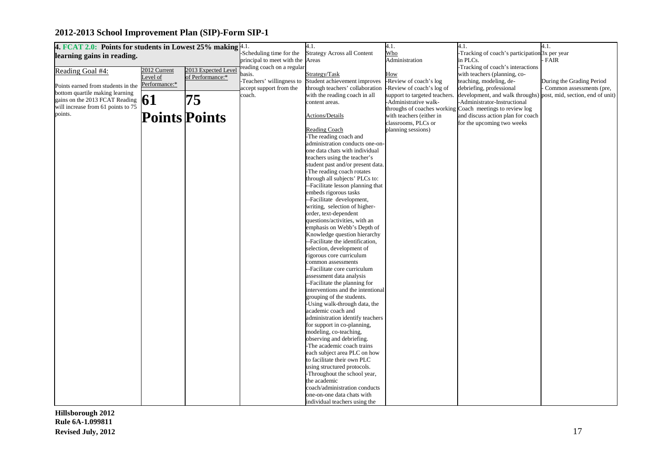| 4. FCAT 2.0: Points for students in Lowest 25% making $4.1$ . |                      |                     |                            | 4.1.                                                  | 4.1.                          | 4.1.                                                             | 4.1.                      |
|---------------------------------------------------------------|----------------------|---------------------|----------------------------|-------------------------------------------------------|-------------------------------|------------------------------------------------------------------|---------------------------|
| learning gains in reading.                                    |                      |                     | Scheduling time for the    | <b>Strategy Across all Content</b>                    | Who                           | -Tracking of coach's participation 3x per year                   |                           |
|                                                               |                      |                     | principal to meet with the | Areas                                                 | Administration                | in PLCs.                                                         | FAIR                      |
| Reading Goal #4:                                              | 2012 Current         | 2013 Expected Level | reading coach on a regular |                                                       |                               | -Tracking of coach's interactions                                |                           |
|                                                               | evel of              | of Performance:*    | basis.                     | Strategy/Task                                         | How                           | with teachers (planning, co-                                     |                           |
|                                                               | Performance:*        |                     | -Teachers' willingness to  | Student achievement improves                          | -Review of coach's log        | teaching, modeling, de-                                          | During the Grading Period |
| Points earned from students in the                            |                      |                     | accept support from the    | through teachers' collaboration                       | Review of coach's log of      | debriefing, professional                                         | Common assessments (pre,  |
| bottom quartile making learning                               |                      |                     | coach.                     | with the reading coach in all                         | support to targeted teachers. | development, and walk throughs) post, mid, section, end of unit) |                           |
| gains on the 2013 FCAT Reading                                | 61                   | 75                  |                            | content areas.                                        | Administrative walk-          | -Administrator-Instructional                                     |                           |
| will increase from 61 points to 75                            |                      |                     |                            |                                                       | throughs of coaches working   | Coach meetings to review log                                     |                           |
| points.                                                       | <b>Points Points</b> |                     |                            | <b>Actions/Details</b>                                | with teachers (either in      | and discuss action plan for coach                                |                           |
|                                                               |                      |                     |                            |                                                       | classrooms, PLCs or           | for the upcoming two weeks                                       |                           |
|                                                               |                      |                     |                            | <b>Reading Coach</b>                                  | planning sessions)            |                                                                  |                           |
|                                                               |                      |                     |                            | -The reading coach and                                |                               |                                                                  |                           |
|                                                               |                      |                     |                            | administration conducts one-on-                       |                               |                                                                  |                           |
|                                                               |                      |                     |                            | one data chats with individual                        |                               |                                                                  |                           |
|                                                               |                      |                     |                            | teachers using the teacher's                          |                               |                                                                  |                           |
|                                                               |                      |                     |                            | student past and/or present data.                     |                               |                                                                  |                           |
|                                                               |                      |                     |                            | The reading coach rotates                             |                               |                                                                  |                           |
|                                                               |                      |                     |                            | through all subjects' PLCs to:                        |                               |                                                                  |                           |
|                                                               |                      |                     |                            | --Facilitate lesson planning that                     |                               |                                                                  |                           |
|                                                               |                      |                     |                            | embeds rigorous tasks                                 |                               |                                                                  |                           |
|                                                               |                      |                     |                            | --Facilitate development,                             |                               |                                                                  |                           |
|                                                               |                      |                     |                            | writing, selection of higher-                         |                               |                                                                  |                           |
|                                                               |                      |                     |                            | order, text-dependent                                 |                               |                                                                  |                           |
|                                                               |                      |                     |                            | questions/activities, with an                         |                               |                                                                  |                           |
|                                                               |                      |                     |                            | emphasis on Webb's Depth of                           |                               |                                                                  |                           |
|                                                               |                      |                     |                            | Knowledge question hierarchy                          |                               |                                                                  |                           |
|                                                               |                      |                     |                            | --Facilitate the identification,                      |                               |                                                                  |                           |
|                                                               |                      |                     |                            | selection, development of<br>rigorous core curriculum |                               |                                                                  |                           |
|                                                               |                      |                     |                            | common assessments                                    |                               |                                                                  |                           |
|                                                               |                      |                     |                            | --Facilitate core curriculum                          |                               |                                                                  |                           |
|                                                               |                      |                     |                            | assessment data analysis                              |                               |                                                                  |                           |
|                                                               |                      |                     |                            | --Facilitate the planning for                         |                               |                                                                  |                           |
|                                                               |                      |                     |                            | interventions and the intentional                     |                               |                                                                  |                           |
|                                                               |                      |                     |                            | grouping of the students.                             |                               |                                                                  |                           |
|                                                               |                      |                     |                            | -Using walk-through data, the                         |                               |                                                                  |                           |
|                                                               |                      |                     |                            | academic coach and                                    |                               |                                                                  |                           |
|                                                               |                      |                     |                            | administration identify teachers                      |                               |                                                                  |                           |
|                                                               |                      |                     |                            | for support in co-planning,                           |                               |                                                                  |                           |
|                                                               |                      |                     |                            | modeling, co-teaching,                                |                               |                                                                  |                           |
|                                                               |                      |                     |                            | observing and debriefing.                             |                               |                                                                  |                           |
|                                                               |                      |                     |                            | The academic coach trains                             |                               |                                                                  |                           |
|                                                               |                      |                     |                            | each subject area PLC on how                          |                               |                                                                  |                           |
|                                                               |                      |                     |                            | to facilitate their own PLC                           |                               |                                                                  |                           |
|                                                               |                      |                     |                            | using structured protocols.                           |                               |                                                                  |                           |
|                                                               |                      |                     |                            | Throughout the school year,                           |                               |                                                                  |                           |
|                                                               |                      |                     |                            | the academic                                          |                               |                                                                  |                           |
|                                                               |                      |                     |                            | coach/administration conducts                         |                               |                                                                  |                           |
|                                                               |                      |                     |                            | one-on-one data chats with                            |                               |                                                                  |                           |
|                                                               |                      |                     |                            | individual teachers using the                         |                               |                                                                  |                           |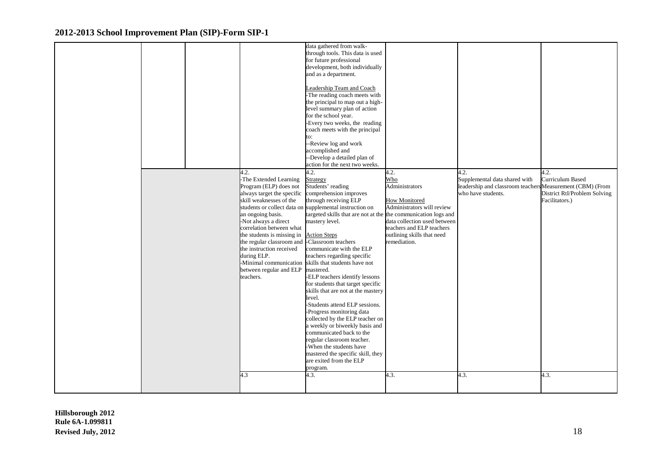|  |                                               | data gathered from walk-                                       |                              |                                                           |                              |
|--|-----------------------------------------------|----------------------------------------------------------------|------------------------------|-----------------------------------------------------------|------------------------------|
|  |                                               | through tools. This data is used                               |                              |                                                           |                              |
|  |                                               | for future professional                                        |                              |                                                           |                              |
|  |                                               | development, both individually                                 |                              |                                                           |                              |
|  |                                               | and as a department.                                           |                              |                                                           |                              |
|  |                                               |                                                                |                              |                                                           |                              |
|  |                                               | Leadership Team and Coach                                      |                              |                                                           |                              |
|  |                                               | The reading coach meets with                                   |                              |                                                           |                              |
|  |                                               | the principal to map out a high-                               |                              |                                                           |                              |
|  |                                               | level summary plan of action                                   |                              |                                                           |                              |
|  |                                               | for the school year.                                           |                              |                                                           |                              |
|  |                                               | Every two weeks, the reading                                   |                              |                                                           |                              |
|  |                                               | coach meets with the principal                                 |                              |                                                           |                              |
|  |                                               | to:                                                            |                              |                                                           |                              |
|  |                                               | -Review log and work                                           |                              |                                                           |                              |
|  |                                               | accomplished and                                               |                              |                                                           |                              |
|  |                                               | -Develop a detailed plan of                                    |                              |                                                           |                              |
|  |                                               | action for the next two weeks.                                 |                              |                                                           |                              |
|  | 4.2.                                          | 4.2.                                                           | 4.2.                         | 4.2.                                                      | 4.2.                         |
|  | -The Extended Learning                        | Strategy                                                       | Who                          | Supplemental data shared with                             | Curriculum Based             |
|  | Program (ELP) does not                        | Students' reading                                              | Administrators               | leadership and classroom teachers Measurement (CBM) (From |                              |
|  | always target the specific                    | comprehension improves                                         |                              | who have students.                                        | District RtI/Problem Solving |
|  | skill weaknesses of the                       | through receiving ELP                                          | <b>How Monitored</b>         |                                                           | Facilitators.)               |
|  |                                               | students or collect data on supplemental instruction on        | Administrators will review   |                                                           |                              |
|  | an ongoing basis.                             | targeted skills that are not at the the communication logs and |                              |                                                           |                              |
|  | -Not always a direct                          | mastery level.                                                 | data collection used between |                                                           |                              |
|  | correlation between what                      |                                                                | teachers and ELP teachers    |                                                           |                              |
|  | the students is missing in                    | <b>Action Steps</b>                                            | outlining skills that need   |                                                           |                              |
|  | the regular classroom and -Classroom teachers |                                                                | remediation.                 |                                                           |                              |
|  | the instruction received                      | communicate with the ELP                                       |                              |                                                           |                              |
|  | during ELP.                                   | teachers regarding specific                                    |                              |                                                           |                              |
|  |                                               | -Minimal communication skills that students have not           |                              |                                                           |                              |
|  | between regular and ELP                       | mastered.                                                      |                              |                                                           |                              |
|  | teachers.                                     | -ELP teachers identify lessons                                 |                              |                                                           |                              |
|  |                                               | for students that target specific                              |                              |                                                           |                              |
|  |                                               | skills that are not at the mastery                             |                              |                                                           |                              |
|  |                                               | level.                                                         |                              |                                                           |                              |
|  |                                               | -Students attend ELP sessions.                                 |                              |                                                           |                              |
|  |                                               | -Progress monitoring data                                      |                              |                                                           |                              |
|  |                                               | collected by the ELP teacher on                                |                              |                                                           |                              |
|  |                                               | a weekly or biweekly basis and                                 |                              |                                                           |                              |
|  |                                               | communicated back to the                                       |                              |                                                           |                              |
|  |                                               | regular classroom teacher.                                     |                              |                                                           |                              |
|  |                                               | When the students have                                         |                              |                                                           |                              |
|  |                                               | mastered the specific skill, they                              |                              |                                                           |                              |
|  |                                               | are exited from the ELP                                        |                              |                                                           |                              |
|  |                                               | program.                                                       |                              |                                                           |                              |
|  | 4.3                                           | 4.3.                                                           | 4.3.                         | 4.3.                                                      | 4.3.                         |
|  |                                               |                                                                |                              |                                                           |                              |
|  |                                               |                                                                |                              |                                                           |                              |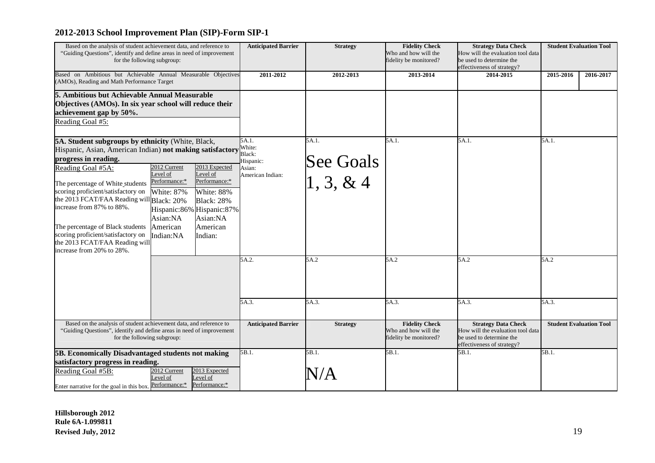| Based on the analysis of student achievement data, and reference to<br>"Guiding Questions", identify and define areas in need of improvement<br>for the following subgroup:                                                                                                                                                                                                                                                                                                                                                                                                                                                                                                                              |                          |                                                                      | <b>Anticipated Barrier</b>                                       | <b>Strategy</b>                  | <b>Fidelity Check</b><br>Who and how will the<br>fidelity be monitored? | <b>Strategy Data Check</b><br>How will the evaluation tool data<br>be used to determine the<br>effectiveness of strategy? |               | <b>Student Evaluation Tool</b> |
|----------------------------------------------------------------------------------------------------------------------------------------------------------------------------------------------------------------------------------------------------------------------------------------------------------------------------------------------------------------------------------------------------------------------------------------------------------------------------------------------------------------------------------------------------------------------------------------------------------------------------------------------------------------------------------------------------------|--------------------------|----------------------------------------------------------------------|------------------------------------------------------------------|----------------------------------|-------------------------------------------------------------------------|---------------------------------------------------------------------------------------------------------------------------|---------------|--------------------------------|
| Based on Ambitious but Achievable Annual Measurable Objectives<br>(AMOs), Reading and Math Performance Target                                                                                                                                                                                                                                                                                                                                                                                                                                                                                                                                                                                            |                          |                                                                      | 2011-2012                                                        | 2012-2013                        | 2013-2014                                                               | 2014-2015                                                                                                                 | 2015-2016     | 2016-2017                      |
| 5. Ambitious but Achievable Annual Measurable<br>Objectives (AMOs). In six year school will reduce their<br>achievement gap by 50%.<br>Reading Goal #5:                                                                                                                                                                                                                                                                                                                                                                                                                                                                                                                                                  |                          |                                                                      |                                                                  |                                  |                                                                         |                                                                                                                           |               |                                |
| 5A. Student subgroups by ethnicity (White, Black,<br>Hispanic, Asian, American Indian) not making satisfactory<br>progress in reading.<br>2012 Current<br>2013 Expected<br>Reading Goal #5A:<br>evel of<br>Level of<br>Performance:*<br>Performance:*<br>The percentage of White students<br>scoring proficient/satisfactory on<br>White: 87%<br>White: 88%<br>the 2013 FCAT/FAA Reading will Black: 20%<br><b>Black: 28%</b><br>increase from 87% to 88%.<br>Hispanic:86% Hispanic:87%<br>Asian:NA<br>Asian:NA<br>American<br>American<br>The percentage of Black students<br>scoring proficient/satisfactory on<br>Indian:<br>Indian:NA<br>the 2013 FCAT/FAA Reading will<br>increase from 20% to 28%. |                          | 5A.1.<br>White:<br>Black:<br>Hispanic:<br>Asian:<br>American Indian: | 5A.1.<br>See Goals<br>$\begin{bmatrix} 1, 3, \& 4 \end{bmatrix}$ | 5A.1.                            | 5A.1.                                                                   | 5A.1.                                                                                                                     |               |                                |
| Based on the analysis of student achievement data, and reference to                                                                                                                                                                                                                                                                                                                                                                                                                                                                                                                                                                                                                                      |                          |                                                                      | 5A.2.<br>5A.3.<br><b>Anticipated Barrier</b>                     | 5A.2<br>5A.3.<br><b>Strategy</b> | 5A.2<br>5A.3.<br><b>Fidelity Check</b>                                  | 5A.2<br>5A.3.<br><b>Strategy Data Check</b>                                                                               | 5A.2<br>5A.3. | <b>Student Evaluation Tool</b> |
| "Guiding Questions", identify and define areas in need of improvement<br>for the following subgroup:                                                                                                                                                                                                                                                                                                                                                                                                                                                                                                                                                                                                     |                          |                                                                      |                                                                  |                                  | Who and how will the<br>fidelity be monitored?                          | How will the evaluation tool data<br>be used to determine the<br>effectiveness of strategy?                               |               |                                |
| 5B. Economically Disadvantaged students not making<br>satisfactory progress in reading.<br>Reading Goal #5B:<br>Enter narrative for the goal in this box. Performance:*                                                                                                                                                                                                                                                                                                                                                                                                                                                                                                                                  | 2012 Current<br>Level of | 2013 Expected<br>Level of<br>Performance:*                           | 5B.1.                                                            | 5B.1.                            | 5B.1.                                                                   | 5B.1.                                                                                                                     | 5B.1.         |                                |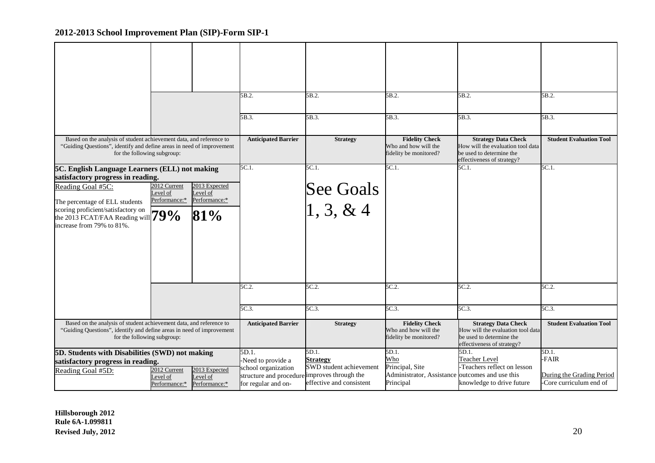|                                                                                                                                                                             |                                           |                                            | 5B.2.                                          | 5B.2.                                                                   | 5B.2.                                                                                                                     | 5B.2.                                                                                                                     | 5B.2.                                               |
|-----------------------------------------------------------------------------------------------------------------------------------------------------------------------------|-------------------------------------------|--------------------------------------------|------------------------------------------------|-------------------------------------------------------------------------|---------------------------------------------------------------------------------------------------------------------------|---------------------------------------------------------------------------------------------------------------------------|-----------------------------------------------------|
|                                                                                                                                                                             |                                           |                                            | 5B.3.                                          | 5B.3.                                                                   | 5B.3.                                                                                                                     | 5B.3.                                                                                                                     | 5B.3.                                               |
| Based on the analysis of student achievement data, and reference to<br>"Guiding Questions", identify and define areas in need of improvement<br>for the following subgroup: |                                           |                                            | <b>Anticipated Barrier</b>                     | <b>Strategy</b>                                                         | <b>Fidelity Check</b><br>Who and how will the<br>fidelity be monitored?                                                   | <b>Strategy Data Check</b><br>How will the evaluation tool data<br>be used to determine the<br>effectiveness of strategy? | <b>Student Evaluation Tool</b>                      |
| 5C. English Language Learners (ELL) not making                                                                                                                              |                                           |                                            | $5C.1$ .                                       | 5C.1.                                                                   | 5C.1.                                                                                                                     | 5C.1.                                                                                                                     | 5C.1.                                               |
| satisfactory progress in reading.<br>Reading Goal #5C:                                                                                                                      | 2012 Current                              | 2013 Expected                              |                                                |                                                                         |                                                                                                                           |                                                                                                                           |                                                     |
|                                                                                                                                                                             | Level of<br>Performance:*                 | Level of<br>Performance:*                  |                                                | See Goals<br>$\begin{bmatrix} 1, 3, \& 4 \end{bmatrix}$                 |                                                                                                                           |                                                                                                                           |                                                     |
| The percentage of ELL students<br>scoring proficient/satisfactory on                                                                                                        |                                           |                                            |                                                |                                                                         |                                                                                                                           |                                                                                                                           |                                                     |
| scoring proficient/satisfactory on the 2013 FCAT/FAA Reading will $79\%$<br>increase from 79% to 81%.                                                                       |                                           | 81%                                        |                                                |                                                                         |                                                                                                                           |                                                                                                                           |                                                     |
|                                                                                                                                                                             |                                           |                                            |                                                |                                                                         |                                                                                                                           |                                                                                                                           |                                                     |
|                                                                                                                                                                             |                                           |                                            | 5C.2.                                          | 5C.2.                                                                   | 5C.2.                                                                                                                     | 5C.2.                                                                                                                     | 5C.2.                                               |
|                                                                                                                                                                             |                                           |                                            | 5C.3.                                          | 5C.3.                                                                   | 5C.3.                                                                                                                     | 5C.3.                                                                                                                     | 5C.3.                                               |
| Based on the analysis of student achievement data, and reference to<br>"Guiding Questions", identify and define areas in need of improvement<br>for the following subgroup: |                                           | <b>Anticipated Barrier</b>                 | <b>Strategy</b>                                | <b>Fidelity Check</b><br>Who and how will the<br>fidelity be monitored? | <b>Strategy Data Check</b><br>How will the evaluation tool data<br>be used to determine the<br>effectiveness of strategy? | <b>Student Evaluation Tool</b>                                                                                            |                                                     |
| 5D. Students with Disabilities (SWD) not making                                                                                                                             |                                           |                                            | 5D.1.                                          | 5D.1.                                                                   | 5D.1.<br>Who                                                                                                              | 5D.1.                                                                                                                     | 5D.1.<br>-FAIR                                      |
| satisfactory progress in reading.                                                                                                                                           |                                           |                                            | -Need to provide a<br>school organization      | <b>Strategy</b><br>SWD student achievement                              | Principal, Site                                                                                                           | <b>Teacher Level</b><br>-Teachers reflect on lesson                                                                       |                                                     |
| Reading Goal #5D:                                                                                                                                                           | 2012 Current<br>Level of<br>Performance:* | 2013 Expected<br>Level of<br>Performance:* | structure and procedure<br>for regular and on- | improves through the<br>effective and consistent                        | Administrator, Assistance outcomes and use this<br>Principal                                                              | knowledge to drive future                                                                                                 | During the Grading Period<br>Core curriculum end of |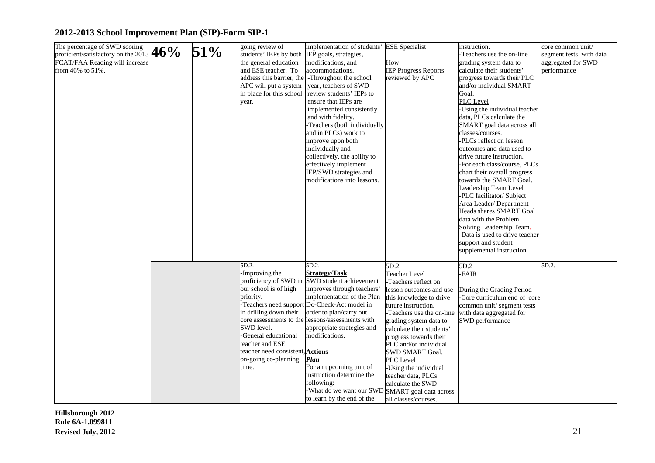| The percentage of SWD scoring<br>The percentage of SWD scoring<br>proficient/satisfactory on the 2013 $46\%$<br>FCAT/FAA Reading will increase<br>from 46% to 51%. | 51% | going review of<br>students' IEPs by both<br>the general education<br>and ESE teacher. To<br>APC will put a system<br>in place for this school<br>year.                                                                      | implementation of students' ESE Specialist<br>IEP goals, strategies,<br>modifications, and<br>accommodations.<br>address this barrier, the -Throughout the school<br>year, teachers of SWD<br>review students' IEPs to<br>ensure that IEPs are<br>implemented consistently<br>and with fidelity.<br>Teachers (both individually<br>and in PLCs) work to<br>improve upon both<br>individually and<br>collectively, the ability to<br>effectively implement<br>IEP/SWD strategies and<br>modifications into lessons. | How<br><b>IEP Progress Reports</b><br>reviewed by APC                                                                                                                                                                                                                                                                                                                                       | instruction.<br>Teachers use the on-line<br>grading system data to<br>calculate their students'<br>progress towards their PLC<br>and/or individual SMART<br>Goal.<br>PLC Level<br>-Using the individual teacher<br>data, PLCs calculate the<br>SMART goal data across all<br>classes/courses.<br>-PLCs reflect on lesson<br>outcomes and data used to<br>drive future instruction.<br>-For each class/course, PLCs<br>chart their overall progress<br>towards the SMART Goal.<br>Leadership Team Level<br>-PLC facilitator/ Subject<br>Area Leader/Department<br><b>Heads shares SMART Goal</b><br>data with the Problem<br>Solving Leadership Team.<br>-Data is used to drive teacher<br>support and student<br>supplemental instruction. | core common unit/<br>segment tests with data<br>aggregated for SWD<br>performance |
|--------------------------------------------------------------------------------------------------------------------------------------------------------------------|-----|------------------------------------------------------------------------------------------------------------------------------------------------------------------------------------------------------------------------------|--------------------------------------------------------------------------------------------------------------------------------------------------------------------------------------------------------------------------------------------------------------------------------------------------------------------------------------------------------------------------------------------------------------------------------------------------------------------------------------------------------------------|---------------------------------------------------------------------------------------------------------------------------------------------------------------------------------------------------------------------------------------------------------------------------------------------------------------------------------------------------------------------------------------------|--------------------------------------------------------------------------------------------------------------------------------------------------------------------------------------------------------------------------------------------------------------------------------------------------------------------------------------------------------------------------------------------------------------------------------------------------------------------------------------------------------------------------------------------------------------------------------------------------------------------------------------------------------------------------------------------------------------------------------------------|-----------------------------------------------------------------------------------|
|                                                                                                                                                                    |     | 5D.2.<br>-Improving the<br>our school is of high<br>priority.<br>in drilling down their<br>SWD level.<br>-General educational<br>teacher and ESE<br>teacher need consistent, <b>Actions</b><br>on-going co-planning<br>time. | 5D.2.<br><b>Strategy/Task</b><br>proficiency of SWD in SWD student achievement<br>improves through teachers'<br>implementation of the Plan-<br>-Teachers need support Do-Check-Act model in<br>order to plan/carry out<br>core assessments to the lessons/assessments with<br>appropriate strategies and<br>modifications.<br>Plan<br>For an upcoming unit of<br>instruction determine the<br>following:<br>-What do we want our SWD SMART goal data across<br>to learn by the end of the                          | 5D.2<br>Teacher Level<br>-Teachers reflect on<br>lesson outcomes and use<br>this knowledge to drive<br>future instruction.<br>Teachers use the on-line<br>grading system data to<br>calculate their students'<br>progress towards their<br>PLC and/or individual<br>SWD SMART Goal.<br>PLC Level<br>Using the individual<br>teacher data, PLCs<br>calculate the SWD<br>all classes/courses. | 5D.2<br>-FAIR<br>During the Grading Period<br>-Core curriculum end of core<br>common unit/segment tests<br>with data aggregated for<br>SWD performance                                                                                                                                                                                                                                                                                                                                                                                                                                                                                                                                                                                     | 5D.2.                                                                             |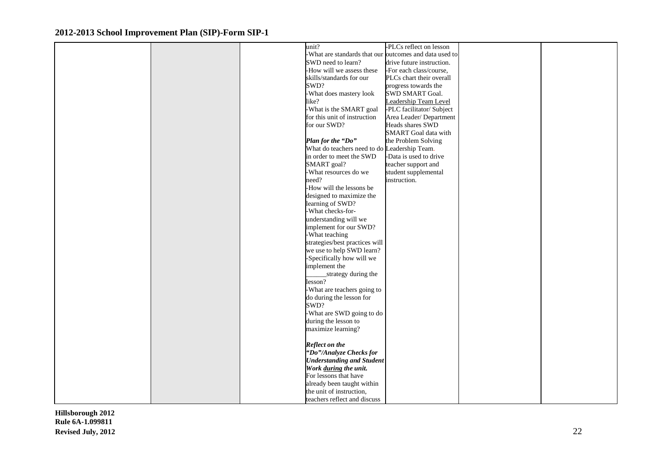|  | unit?                                                  | -PLCs reflect on lesson     |  |
|--|--------------------------------------------------------|-----------------------------|--|
|  | -What are standards that our outcomes and data used to |                             |  |
|  | SWD need to learn?                                     | drive future instruction.   |  |
|  | -How will we assess these                              | -For each class/course,     |  |
|  | skills/standards for our                               | PLCs chart their overall    |  |
|  | SWD?                                                   | progress towards the        |  |
|  | -What does mastery look                                | SWD SMART Goal.             |  |
|  | like?                                                  |                             |  |
|  |                                                        | Leadership Team Level       |  |
|  | -What is the SMART goal                                | -PLC facilitator/ Subject   |  |
|  | for this unit of instruction                           | Area Leader/Department      |  |
|  | for our SWD?                                           | Heads shares SWD            |  |
|  |                                                        | <b>SMART</b> Goal data with |  |
|  | Plan for the "Do"                                      | the Problem Solving         |  |
|  | What do teachers need to do Leadership Team.           |                             |  |
|  | in order to meet the SWD                               | -Data is used to drive      |  |
|  | SMART goal?                                            | teacher support and         |  |
|  | -What resources do we                                  | student supplemental        |  |
|  | need?                                                  | instruction.                |  |
|  | -How will the lessons be                               |                             |  |
|  | designed to maximize the                               |                             |  |
|  | learning of SWD?                                       |                             |  |
|  | -What checks-for-                                      |                             |  |
|  | understanding will we                                  |                             |  |
|  |                                                        |                             |  |
|  | implement for our SWD?                                 |                             |  |
|  | -What teaching                                         |                             |  |
|  | strategies/best practices will                         |                             |  |
|  | we use to help SWD learn?                              |                             |  |
|  | -Specifically how will we                              |                             |  |
|  | implement the                                          |                             |  |
|  | strategy during the                                    |                             |  |
|  | lesson?                                                |                             |  |
|  | -What are teachers going to                            |                             |  |
|  | do during the lesson for                               |                             |  |
|  | SWD?                                                   |                             |  |
|  | -What are SWD going to do                              |                             |  |
|  | during the lesson to                                   |                             |  |
|  | maximize learning?                                     |                             |  |
|  |                                                        |                             |  |
|  | <b>Reflect on the</b>                                  |                             |  |
|  | "Do"/Analyze Checks for                                |                             |  |
|  | <b>Understanding and Student</b>                       |                             |  |
|  |                                                        |                             |  |
|  | Work during the unit.                                  |                             |  |
|  | For lessons that have                                  |                             |  |
|  | already been taught within                             |                             |  |
|  | the unit of instruction,                               |                             |  |
|  | teachers reflect and discuss                           |                             |  |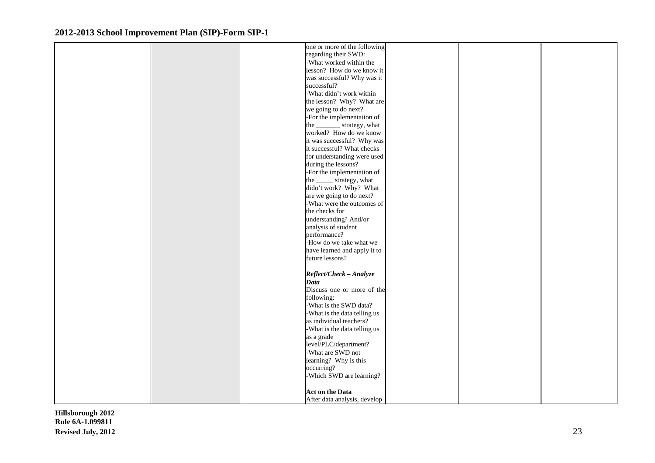|  | one or more of the following  |  |  |
|--|-------------------------------|--|--|
|  | regarding their SWD:          |  |  |
|  | -What worked within the       |  |  |
|  | lesson? How do we know it     |  |  |
|  | was successful? Why was it    |  |  |
|  | successful?                   |  |  |
|  |                               |  |  |
|  | -What didn't work within      |  |  |
|  | the lesson? Why? What are     |  |  |
|  | we going to do next?          |  |  |
|  | -For the implementation of    |  |  |
|  | the __________ strategy, what |  |  |
|  | worked? How do we know        |  |  |
|  | it was successful? Why was    |  |  |
|  | it successful? What checks    |  |  |
|  | for understanding were used   |  |  |
|  | during the lessons?           |  |  |
|  | -For the implementation of    |  |  |
|  |                               |  |  |
|  | the _______ strategy, what    |  |  |
|  | didn't work? Why? What        |  |  |
|  | are we going to do next?      |  |  |
|  | -What were the outcomes of    |  |  |
|  | the checks for                |  |  |
|  | understanding? And/or         |  |  |
|  | analysis of student           |  |  |
|  | performance?                  |  |  |
|  | -How do we take what we       |  |  |
|  | have learned and apply it to  |  |  |
|  | future lessons?               |  |  |
|  |                               |  |  |
|  | Reflect/Check - Analyze       |  |  |
|  |                               |  |  |
|  | <b>Data</b>                   |  |  |
|  | Discuss one or more of the    |  |  |
|  | following:                    |  |  |
|  | -What is the SWD data?        |  |  |
|  | -What is the data telling us  |  |  |
|  | as individual teachers?       |  |  |
|  | -What is the data telling us  |  |  |
|  | as a grade                    |  |  |
|  | level/PLC/department?         |  |  |
|  | -What are SWD not             |  |  |
|  | learning? Why is this         |  |  |
|  | occurring?                    |  |  |
|  | -Which SWD are learning?      |  |  |
|  |                               |  |  |
|  | <b>Act on the Data</b>        |  |  |
|  |                               |  |  |
|  | After data analysis, develop  |  |  |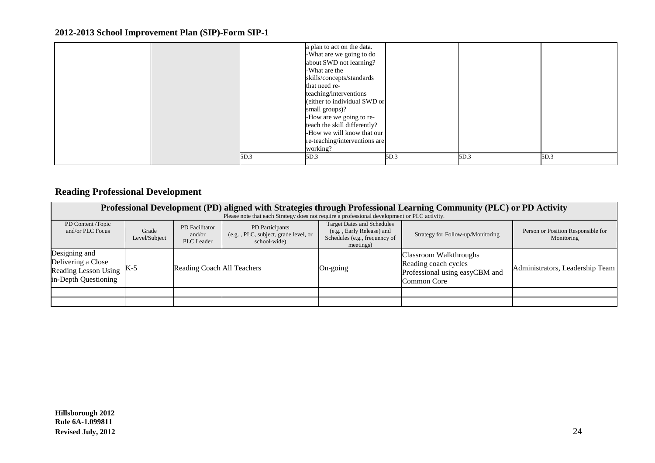|      | a plan to act on the data.<br>-What are we going to do<br>about SWD not learning?<br>-What are the<br>skills/concepts/standards<br>that need re-<br>teaching/interventions<br>(either to individual SWD or<br>small groups)?<br>-How are we going to re-<br>teach the skill differently?<br>-How we will know that our<br>re-teaching/interventions are<br>working? |      |      |      |
|------|---------------------------------------------------------------------------------------------------------------------------------------------------------------------------------------------------------------------------------------------------------------------------------------------------------------------------------------------------------------------|------|------|------|
| 5D.3 | 5D.3                                                                                                                                                                                                                                                                                                                                                                | 5D.3 | 5D.3 | 5D.3 |

## **Reading Professional Development**

|                                                                                         | Professional Development (PD) aligned with Strategies through Professional Learning Community (PLC) or PD Activity<br>Please note that each Strategy does not require a professional development or PLC activity. |                                               |                                                                        |                                                                                                              |                                                                                                 |                                                  |  |  |  |  |  |  |  |
|-----------------------------------------------------------------------------------------|-------------------------------------------------------------------------------------------------------------------------------------------------------------------------------------------------------------------|-----------------------------------------------|------------------------------------------------------------------------|--------------------------------------------------------------------------------------------------------------|-------------------------------------------------------------------------------------------------|--------------------------------------------------|--|--|--|--|--|--|--|
| PD Content /Topic<br>and/or PLC Focus                                                   | Grade<br>Level/Subject                                                                                                                                                                                            | PD Facilitator<br>and/or<br><b>PLC</b> Leader | PD Participants<br>(e.g., PLC, subject, grade level, or<br>school-wide | <b>Target Dates and Schedules</b><br>(e.g., Early Release) and<br>Schedules (e.g., frequency of<br>meetings) | Strategy for Follow-up/Monitoring                                                               | Person or Position Responsible for<br>Monitoring |  |  |  |  |  |  |  |
| Designing and<br>Delivering a Close<br>Reading Lesson Using K-5<br>in-Depth Questioning |                                                                                                                                                                                                                   | Reading Coach All Teachers                    |                                                                        | On-going                                                                                                     | Classroom Walkthroughs<br>Reading coach cycles<br>Professional using easyCBM and<br>Common Core | Administrators, Leadership Team                  |  |  |  |  |  |  |  |
|                                                                                         |                                                                                                                                                                                                                   |                                               |                                                                        |                                                                                                              |                                                                                                 |                                                  |  |  |  |  |  |  |  |
|                                                                                         |                                                                                                                                                                                                                   |                                               |                                                                        |                                                                                                              |                                                                                                 |                                                  |  |  |  |  |  |  |  |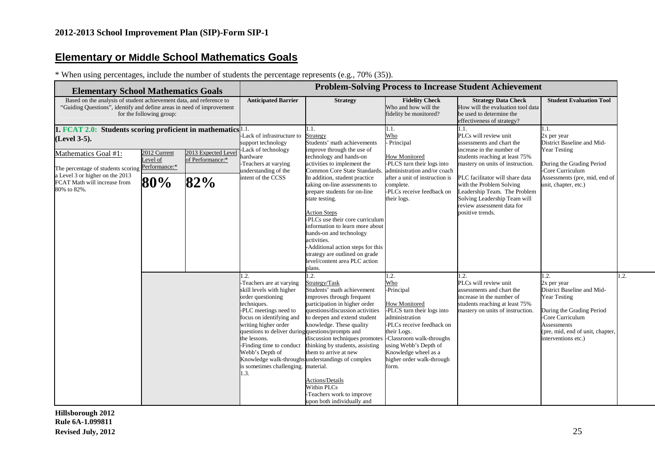## **Elementary or Middle School Mathematics Goals**

\* When using percentages, include the number of students the percentage represents (e.g., 70% (35)).

| <b>Elementary School Mathematics Goals</b>                                                                                                                                                                                      |                                                  |                                                | <b>Problem-Solving Process to Increase Student Achievement</b>                                                                                                                                                                                                                                                       |                                                                                                                                                                                                                                                                                                                                                                                                                                                                                                                                                   |                                                                                                                                                                                                                                                                  |                                                                                                                                                                                                                                                                                                                                                |                                                                                                                                                                                                                 |  |  |  |
|---------------------------------------------------------------------------------------------------------------------------------------------------------------------------------------------------------------------------------|--------------------------------------------------|------------------------------------------------|----------------------------------------------------------------------------------------------------------------------------------------------------------------------------------------------------------------------------------------------------------------------------------------------------------------------|---------------------------------------------------------------------------------------------------------------------------------------------------------------------------------------------------------------------------------------------------------------------------------------------------------------------------------------------------------------------------------------------------------------------------------------------------------------------------------------------------------------------------------------------------|------------------------------------------------------------------------------------------------------------------------------------------------------------------------------------------------------------------------------------------------------------------|------------------------------------------------------------------------------------------------------------------------------------------------------------------------------------------------------------------------------------------------------------------------------------------------------------------------------------------------|-----------------------------------------------------------------------------------------------------------------------------------------------------------------------------------------------------------------|--|--|--|
| Based on the analysis of student achievement data, and reference to<br>"Guiding Questions", identify and define areas in need of improvement                                                                                    | for the following group:                         |                                                | <b>Anticipated Barrier</b>                                                                                                                                                                                                                                                                                           | <b>Strategy</b>                                                                                                                                                                                                                                                                                                                                                                                                                                                                                                                                   | <b>Fidelity Check</b><br>Who and how will the<br>fidelity be monitored?                                                                                                                                                                                          | <b>Strategy Data Check</b><br>How will the evaluation tool data<br>be used to determine the<br>effectiveness of strategy?                                                                                                                                                                                                                      | <b>Student Evaluation Tool</b>                                                                                                                                                                                  |  |  |  |
| 1. FCAT 2.0: Students scoring proficient in mathematics $1.1$ .<br>(Level 3-5).<br>Mathematics Goal #1:<br>The percentage of students scoring<br>a Level 3 or higher on the 2013<br>FCAT Math will increase from<br>80% to 82%. | 2012 Current<br>Level of<br>Performance:*<br>80% | 2013 Expected Level<br>of Performance:*<br>82% | Lack of infrastructure to<br>support technology<br>Lack of technology<br>aardware<br>-Teachers at varying<br>understanding of the<br>intent of the CCSS                                                                                                                                                              | l.1.<br>Strategy<br>Students' math achievements<br>improve through the use of<br>technology and hands-on<br>activities to implement the<br>Common Core State Standards<br>In addition, student practice<br>taking on-line assessments to<br>prepare students for on-line<br>state testing.<br><b>Action Steps</b><br>PLCs use their core curriculum<br>information to learn more about<br>hands-on and technology<br>activities.<br>Additional action steps for this<br>strategy are outlined on grade<br>level/content area PLC action<br>plans. | l.1.<br>Who<br>- Principal<br><b>How Monitored</b><br>-PLCS turn their logs into<br>administration and/or coach<br>after a unit of instruction is<br>complete.<br>-PLCs receive feedback on<br>their logs.                                                       | 1.1.<br>PLCs will review unit<br>assessments and chart the<br>increase in the number of<br>students reaching at least 75%<br>mastery on units of instruction.<br>PLC facilitator will share data<br>with the Problem Solving<br>Leadership Team. The Problem<br>Solving Leadership Team will<br>review assessment data for<br>positive trends. | 1.1.<br>2x per year<br>District Baseline and Mid-<br>Year Testing<br>During the Grading Period<br>-Core Curriculum<br>Assessments (pre, mid, end of<br>unit, chapter, etc.)                                     |  |  |  |
|                                                                                                                                                                                                                                 |                                                  |                                                | 1.2.<br>-Teachers are at varying<br>skill levels with higher<br>order questioning<br>techniques.<br>-PLC meetings need to<br>focus on identifying and<br>writing higher order<br>questions to deliver during questions/prompts and<br>the lessons.<br>Webb's Depth of<br>is sometimes challenging. material.<br>1.3. | $\cdot$ 2.<br>Strategy/Task<br>Students' math achievement<br>improves through frequent<br>participation in higher order<br>questions/discussion activities<br>to deepen and extend student<br>knowledge. These quality<br>discussion techniques promotes<br>-Finding time to conduct thinking by students, assisting<br>them to arrive at new<br>Knowledge walk-throughs understandings of complex<br><b>Actions/Details</b><br><b>Within PLCs</b><br>Teachers work to improve<br>upon both individually and                                      | 1.2.<br>Who<br>-Principal<br><b>How Monitored</b><br>-PLCS turn their logs into<br>administration<br>-PLCs receive feedback on<br>their Logs.<br>-Classroom walk-throughs<br>using Webb's Depth of<br>Knowledge wheel as a<br>higher order walk-through<br>form. | 1.2.<br>PLCs will review unit<br>assessments and chart the<br>increase in the number of<br>students reaching at least 75%<br>mastery on units of instruction.                                                                                                                                                                                  | $\cdot$ .<br>2x per year<br>District Baseline and Mid-<br><b>Year Testing</b><br>During the Grading Period<br>-Core Curriculum<br><b>Assessments</b><br>(pre, mid, end of unit, chapter,<br>interventions etc.) |  |  |  |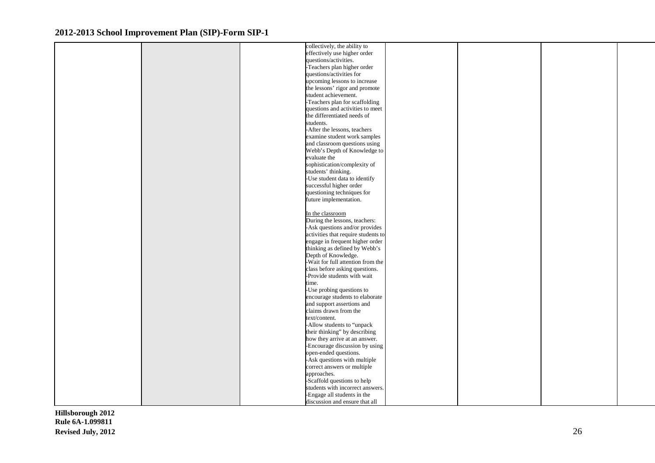|  | collectively, the ability to                         |  |  |
|--|------------------------------------------------------|--|--|
|  | effectively use higher order                         |  |  |
|  | questions/activities.                                |  |  |
|  | -Teachers plan higher order                          |  |  |
|  | questions/activities for                             |  |  |
|  | upcoming lessons to increase                         |  |  |
|  | the lessons' rigor and promote                       |  |  |
|  | student achievement.                                 |  |  |
|  | -Teachers plan for scaffolding                       |  |  |
|  | questions and activities to meet                     |  |  |
|  | the differentiated needs of                          |  |  |
|  | students.                                            |  |  |
|  | -After the lessons, teachers                         |  |  |
|  | examine student work samples                         |  |  |
|  | and classroom questions using                        |  |  |
|  | Webb's Depth of Knowledge to                         |  |  |
|  | evaluate the                                         |  |  |
|  | sophistication/complexity of                         |  |  |
|  | students' thinking.                                  |  |  |
|  | -Use student data to identify                        |  |  |
|  | successful higher order                              |  |  |
|  | questioning techniques for                           |  |  |
|  | future implementation.                               |  |  |
|  |                                                      |  |  |
|  | In the classroom                                     |  |  |
|  | During the lessons, teachers:                        |  |  |
|  | -Ask questions and/or provides                       |  |  |
|  | activities that require students to                  |  |  |
|  | engage in frequent higher order                      |  |  |
|  | thinking as defined by Webb's<br>Depth of Knowledge. |  |  |
|  | -Wait for full attention from the                    |  |  |
|  | class before asking questions.                       |  |  |
|  | -Provide students with wait                          |  |  |
|  | time.                                                |  |  |
|  | -Use probing questions to                            |  |  |
|  | encourage students to elaborate                      |  |  |
|  | and support assertions and                           |  |  |
|  | claims drawn from the                                |  |  |
|  | text/content.                                        |  |  |
|  | -Allow students to "unpack                           |  |  |
|  | their thinking" by describing                        |  |  |
|  | how they arrive at an answer.                        |  |  |
|  | -Encourage discussion by using                       |  |  |
|  | open-ended questions.                                |  |  |
|  | -Ask questions with multiple                         |  |  |
|  | correct answers or multiple                          |  |  |
|  | approaches.                                          |  |  |
|  | -Scaffold questions to help                          |  |  |
|  | students with incorrect answers.                     |  |  |
|  | -Engage all students in the                          |  |  |
|  | discussion and ensure that all                       |  |  |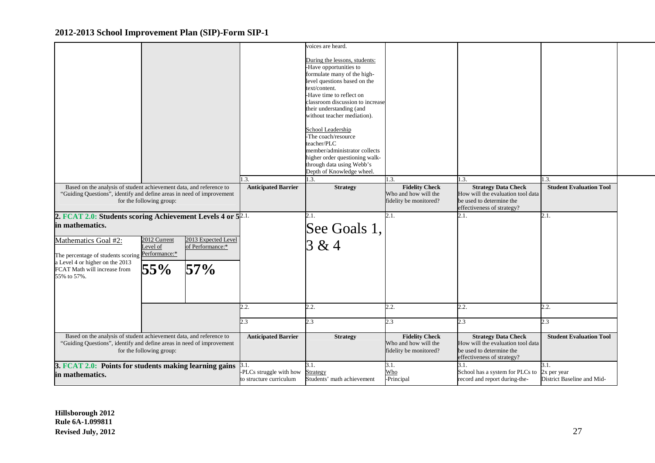|                                                                                                                                                                          |                                 |                                                |                                                           | voices are heard.<br>During the lessons, students:<br>-Have opportunities to<br>formulate many of the high-<br>level questions based on the<br>text/content.<br>-Have time to reflect on<br>classroom discussion to increase<br>their understanding (and<br>without teacher mediation).<br>School Leadership<br>-The coach/resource<br>teacher/PLC<br>member/administrator collects |                                                                                 |                                                                                                                                   |                                                   |  |
|--------------------------------------------------------------------------------------------------------------------------------------------------------------------------|---------------------------------|------------------------------------------------|-----------------------------------------------------------|-------------------------------------------------------------------------------------------------------------------------------------------------------------------------------------------------------------------------------------------------------------------------------------------------------------------------------------------------------------------------------------|---------------------------------------------------------------------------------|-----------------------------------------------------------------------------------------------------------------------------------|---------------------------------------------------|--|
|                                                                                                                                                                          |                                 |                                                |                                                           | higher order questioning walk-<br>through data using Webb's<br>Depth of Knowledge wheel.                                                                                                                                                                                                                                                                                            |                                                                                 |                                                                                                                                   |                                                   |  |
| Based on the analysis of student achievement data, and reference to<br>"Guiding Questions", identify and define areas in need of improvement<br>for the following group: |                                 |                                                | .3.<br><b>Anticipated Barrier</b>                         | $\overline{3}$ .<br><b>Strategy</b>                                                                                                                                                                                                                                                                                                                                                 | 1.3.<br><b>Fidelity Check</b><br>Who and how will the<br>fidelity be monitored? | 1.3.<br><b>Strategy Data Check</b><br>How will the evaluation tool data<br>be used to determine the<br>effectiveness of strategy? | .3.<br><b>Student Evaluation Tool</b>             |  |
| 2. FCAT 2.0: Students scoring Achievement Levels 4 or 5 <sup>2.1.</sup><br>in mathematics.                                                                               |                                 |                                                |                                                           | 2.1.<br>See Goals 1,                                                                                                                                                                                                                                                                                                                                                                | 2.1.                                                                            | 2.1.                                                                                                                              | 2.1.                                              |  |
| Mathematics Goal #2:<br>The percentage of students scoring Performance:*<br>a Level 4 or higher on the 2013<br>FCAT Math will increase from<br>55% to 57%.               | 2012 Current<br>Level of<br>55% | 2013 Expected Level<br>of Performance:*<br>57% |                                                           | 3 & 4                                                                                                                                                                                                                                                                                                                                                                               |                                                                                 |                                                                                                                                   |                                                   |  |
|                                                                                                                                                                          |                                 |                                                | 2.2.                                                      | 2.2.                                                                                                                                                                                                                                                                                                                                                                                | 2.2.                                                                            | 2.2.                                                                                                                              | 2.2.                                              |  |
|                                                                                                                                                                          |                                 |                                                | 2.3                                                       | 2.3                                                                                                                                                                                                                                                                                                                                                                                 | 2.3                                                                             | 2.3                                                                                                                               | 2.3                                               |  |
| Based on the analysis of student achievement data, and reference to<br>"Guiding Questions", identify and define areas in need of improvement<br>for the following group: |                                 |                                                | <b>Anticipated Barrier</b>                                | <b>Strategy</b>                                                                                                                                                                                                                                                                                                                                                                     | <b>Fidelity Check</b><br>Who and how will the<br>fidelity be monitored?         | <b>Strategy Data Check</b><br>How will the evaluation tool data<br>be used to determine the<br>effectiveness of strategy?         | <b>Student Evaluation Tool</b>                    |  |
| 3. FCAT 2.0: Points for students making learning gains<br>in mathematics.                                                                                                |                                 |                                                | 3.1.<br>PLCs struggle with how<br>to structure curriculum | 3.1.<br>Strategy<br>Students' math achievement                                                                                                                                                                                                                                                                                                                                      | 3.1.<br>Who<br>-Principal                                                       | 3.1.<br>School has a system for PLCs to<br>record and report during-the-                                                          | 3.1.<br>2x per year<br>District Baseline and Mid- |  |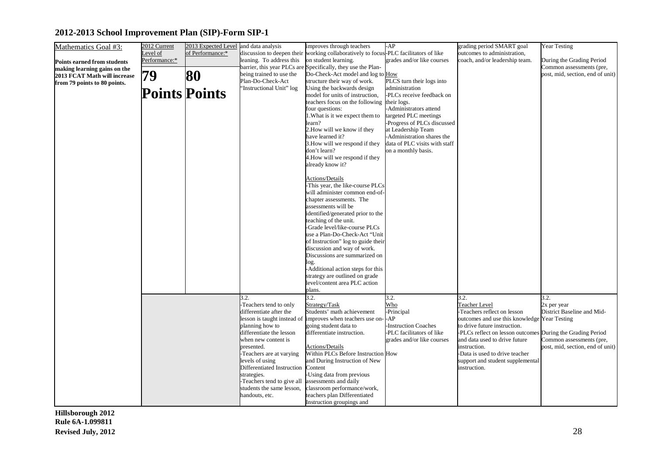| Mathematics Goal #3:               | 2012 Current  | 2013 Expected Level and data analysis |                                                        | improves through teachers                                                            | AP                            | grading period SMART goal                                                   | Year Testing                     |
|------------------------------------|---------------|---------------------------------------|--------------------------------------------------------|--------------------------------------------------------------------------------------|-------------------------------|-----------------------------------------------------------------------------|----------------------------------|
|                                    | Level of      | of Performance:*                      |                                                        | discussion to deepen their working collaboratively to focus-PLC facilitators of like |                               | outcomes to administration,                                                 |                                  |
| <b>Points earned from students</b> | Performance:* |                                       | leaning. To address this                               | on student learning.                                                                 | grades and/or like courses    | coach, and/or leadership team.                                              | During the Grading Period        |
| making learning gains on the       |               |                                       | barrier, this year PLCs are                            | Specifically, they use the Plan-                                                     |                               |                                                                             | Common assessments (pre,         |
| 2013 FCAT Math will increase       | 79            | 80                                    | being trained to use the                               | Do-Check-Act model and log to How                                                    |                               |                                                                             | post, mid, section, end of unit) |
| from 79 points to 80 points.       |               |                                       | Plan-Do-Check-Act                                      | structure their way of work.                                                         | PLCS turn their logs into     |                                                                             |                                  |
|                                    |               |                                       | "Instructional Unit" log                               | Using the backwards design                                                           | administration                |                                                                             |                                  |
|                                    |               | <b>Points Points</b>                  |                                                        | model for units of instruction,                                                      | -PLCs receive feedback on     |                                                                             |                                  |
|                                    |               |                                       |                                                        | teachers focus on the following                                                      | their logs.                   |                                                                             |                                  |
|                                    |               |                                       |                                                        | four questions:                                                                      | Administrators attend         |                                                                             |                                  |
|                                    |               |                                       |                                                        | 1. What is it we expect them to                                                      | argeted PLC meetings          |                                                                             |                                  |
|                                    |               |                                       |                                                        | learn?                                                                               | Progress of PLCs discussed    |                                                                             |                                  |
|                                    |               |                                       |                                                        | 2. How will we know if they                                                          | at Leadership Team            |                                                                             |                                  |
|                                    |               |                                       |                                                        | have learned it?                                                                     | -Administration shares the    |                                                                             |                                  |
|                                    |               |                                       |                                                        | 3. How will we respond if they                                                       | data of PLC visits with staff |                                                                             |                                  |
|                                    |               |                                       |                                                        | don't learn?                                                                         | on a monthly basis.           |                                                                             |                                  |
|                                    |               |                                       |                                                        | 4. How will we respond if they                                                       |                               |                                                                             |                                  |
|                                    |               |                                       |                                                        | already know it?                                                                     |                               |                                                                             |                                  |
|                                    |               |                                       |                                                        | <b>Actions/Details</b>                                                               |                               |                                                                             |                                  |
|                                    |               |                                       |                                                        | This year, the like-course PLCs                                                      |                               |                                                                             |                                  |
|                                    |               |                                       |                                                        | will administer common end-of-                                                       |                               |                                                                             |                                  |
|                                    |               |                                       |                                                        | chapter assessments. The                                                             |                               |                                                                             |                                  |
|                                    |               |                                       |                                                        | assessments will be                                                                  |                               |                                                                             |                                  |
|                                    |               |                                       |                                                        | identified/generated prior to the                                                    |                               |                                                                             |                                  |
|                                    |               |                                       |                                                        | teaching of the unit.                                                                |                               |                                                                             |                                  |
|                                    |               |                                       |                                                        | -Grade level/like-course PLCs                                                        |                               |                                                                             |                                  |
|                                    |               |                                       |                                                        | use a Plan-Do-Check-Act "Unit                                                        |                               |                                                                             |                                  |
|                                    |               |                                       |                                                        | of Instruction" log to guide their                                                   |                               |                                                                             |                                  |
|                                    |               |                                       |                                                        | discussion and way of work.                                                          |                               |                                                                             |                                  |
|                                    |               |                                       |                                                        | Discussions are summarized on                                                        |                               |                                                                             |                                  |
|                                    |               |                                       |                                                        | log.                                                                                 |                               |                                                                             |                                  |
|                                    |               |                                       |                                                        | Additional action steps for this                                                     |                               |                                                                             |                                  |
|                                    |               |                                       |                                                        | strategy are outlined on grade                                                       |                               |                                                                             |                                  |
|                                    |               |                                       |                                                        | level/content area PLC action                                                        |                               |                                                                             |                                  |
|                                    |               |                                       |                                                        | plans.                                                                               |                               |                                                                             |                                  |
|                                    |               |                                       | 3.2.                                                   | 3.2.                                                                                 | 3.2.                          | 3.2.                                                                        | 3.2.                             |
|                                    |               |                                       | -Teachers tend to only                                 | Strategy/Task<br>Students' math achievement                                          | Who<br>-Principal             | Teacher Level                                                               | 2x per year                      |
|                                    |               |                                       | differentiate after the<br>lesson is taught instead of | improves when teachers use on-                                                       | AP                            | -Teachers reflect on lesson<br>outcomes and use this knowledge Year Testing | District Baseline and Mid-       |
|                                    |               |                                       | planning how to                                        | going student data to                                                                | <b>Instruction Coaches</b>    | to drive future instruction.                                                |                                  |
|                                    |               |                                       | differentiate the lesson                               | differentiate instruction.                                                           | PLC facilitators of like      | -PLCs reflect on lesson outcomes                                            | <b>During the Grading Period</b> |
|                                    |               |                                       | when new content is                                    |                                                                                      | grades and/or like courses    | and data used to drive future                                               | Common assessments (pre,         |
|                                    |               |                                       | presented.                                             | <b>Actions/Details</b>                                                               |                               | instruction.                                                                | post, mid, section, end of unit) |
|                                    |               |                                       | -Teachers are at varying                               | Within PLCs Before Instruction How                                                   |                               | -Data is used to drive teacher                                              |                                  |
|                                    |               |                                       | levels of using                                        | and During Instruction of New                                                        |                               | support and student supplemental                                            |                                  |
|                                    |               |                                       | Differentiated Instruction                             | Content                                                                              |                               | instruction.                                                                |                                  |
|                                    |               |                                       | strategies.                                            | Using data from previous                                                             |                               |                                                                             |                                  |
|                                    |               |                                       | -Teachers tend to give all                             | assessments and daily                                                                |                               |                                                                             |                                  |
|                                    |               |                                       | students the same lesson,                              | classroom performance/work,                                                          |                               |                                                                             |                                  |
|                                    |               |                                       | handouts, etc.                                         | teachers plan Differentiated                                                         |                               |                                                                             |                                  |
|                                    |               |                                       |                                                        | Instruction groupings and                                                            |                               |                                                                             |                                  |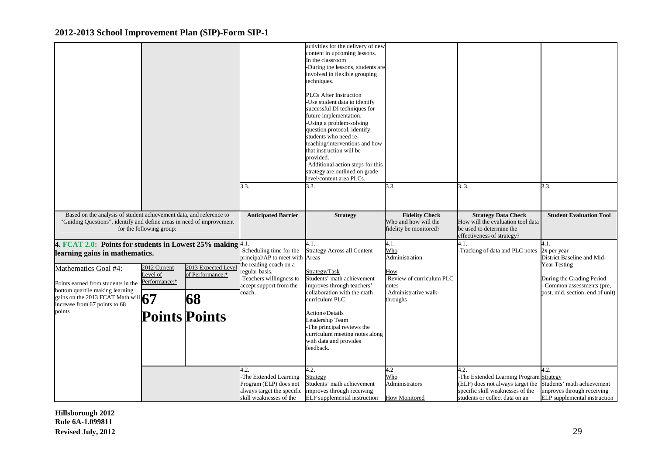|                                                                                                                                                                                                                                                                                                |                                          |                                                                      | 3.3.                                                                                                                                                                   | activities for the delivery of new<br>content in upcoming lessons.<br>In the classroom<br>-During the lessons, students are<br>involved in flexible grouping<br>techniques.<br><b>PLCs After Instruction</b><br>Use student data to identify<br>successful DI techniques for<br>future implementation.<br>Using a problem-solving<br>question protocol, identify<br>students who need re-<br>teaching/interventions and how<br>that instruction will be<br>provided.<br>-Additional action steps for this<br>strategy are outlined on grade<br>evel/content area PLCs.<br>3.3. | 3.3.                                                                                                            | 33.                                                                                                                                                      | 3.3.                                                                                                                                                                  |
|------------------------------------------------------------------------------------------------------------------------------------------------------------------------------------------------------------------------------------------------------------------------------------------------|------------------------------------------|----------------------------------------------------------------------|------------------------------------------------------------------------------------------------------------------------------------------------------------------------|--------------------------------------------------------------------------------------------------------------------------------------------------------------------------------------------------------------------------------------------------------------------------------------------------------------------------------------------------------------------------------------------------------------------------------------------------------------------------------------------------------------------------------------------------------------------------------|-----------------------------------------------------------------------------------------------------------------|----------------------------------------------------------------------------------------------------------------------------------------------------------|-----------------------------------------------------------------------------------------------------------------------------------------------------------------------|
| Based on the analysis of student achievement data, and reference to<br>"Guiding Questions", identify and define areas in need of improvement                                                                                                                                                   | for the following group:                 |                                                                      | <b>Anticipated Barrier</b>                                                                                                                                             | <b>Strategy</b>                                                                                                                                                                                                                                                                                                                                                                                                                                                                                                                                                                | <b>Fidelity Check</b><br>Who and how will the<br>fidelity be monitored?                                         | <b>Strategy Data Check</b><br>How will the evaluation tool data<br>be used to determine the<br>effectiveness of strategy?                                | <b>Student Evaluation Tool</b>                                                                                                                                        |
| 4. FCAT 2.0: Points for students in Lowest 25% making $4.1$ .<br>learning gains in mathematics.<br>Mathematics Goal #4:<br>Points earned from students in the<br>bottom quartile making learning<br>gains on the 2013 FCAT Math will $\binom{7}{7}$<br>increase from 67 points to 68<br>points | 2012 Current<br>evel of<br>Performance:* | 2013 Expected Leve<br>of Performance:*<br>68<br><b>Points Points</b> | -Scheduling time for the<br>principal/AP to meet with Areas<br>the reading coach on a<br>egular basis.<br>Teachers willingness to<br>accept support from the<br>coach. | 4.1.<br><b>Strategy Across all Content</b><br>Strategy/Task<br>Students' math achievement<br>improves through teachers'<br>collaboration with the math<br>curriculum PLC.<br>Actions/Details<br>eadership Team<br>The principal reviews the<br>curriculum meeting notes along<br>with data and provides<br>feedback.                                                                                                                                                                                                                                                           | 4.1.<br>Who<br>Administration<br>How<br>-Review of curriculum PLC<br>notes<br>-Administrative walk-<br>throughs | 4.1.<br>-Tracking of data and PLC notes                                                                                                                  | 4.1.<br>2x per year<br>District Baseline and Mid-<br><b>Year Testing</b><br>During the Grading Period<br>Common assessments (pre,<br>post, mid, section, end of unit) |
|                                                                                                                                                                                                                                                                                                |                                          |                                                                      | 1.2.<br>The Extended Learning<br>Program (ELP) does not<br>always target the specific<br>skill weaknesses of the                                                       | 4.2.<br><b>Strategy</b><br>Students' math achievement<br>improves through receiving<br>ELP supplemental instruction                                                                                                                                                                                                                                                                                                                                                                                                                                                            | 4.2<br>Who<br>Administrators<br><b>How Monitored</b>                                                            | 4.2.<br>The Extended Learning Program Strategy<br>(ELP) does not always target the<br>specific skill weaknesses of the<br>students or collect data on an | 4.2.<br>Students' math achievement<br>improves through receiving<br>ELP supplemental instruction                                                                      |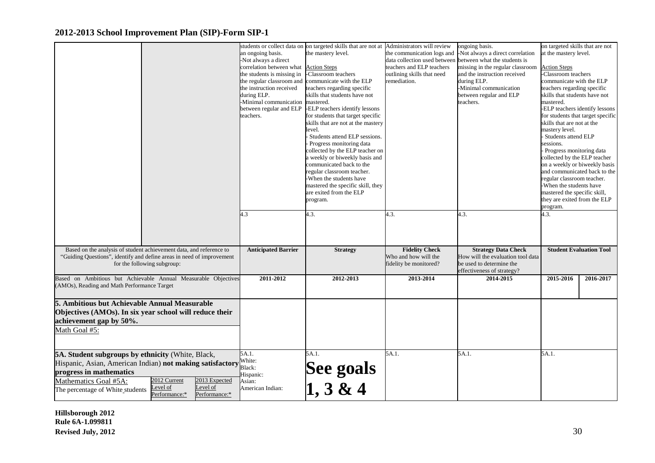|                                                                                                                                                                                                                                                                                                  | an ongoing basis.<br>Not always a direct<br>correlation between what<br>the students is missing in<br>the regular classroom and<br>the instruction received<br>during ELP.<br>-Minimal communication<br>between regular and ELP<br>teachers.<br>4.3 | students or collect data on on targeted skills that are not at Administrators will review<br>the mastery level.<br><b>Action Steps</b><br>Classroom teachers<br>communicate with the ELP<br>teachers regarding specific<br>skills that students have not<br>mastered.<br>-ELP teachers identify lessons<br>for students that target specific<br>skills that are not at the mastery<br>level.<br>Students attend ELP sessions.<br>Progress monitoring data<br>collected by the ELP teacher on<br>u weekly or biweekly basis and<br>communicated back to the<br>regular classroom teacher.<br>When the students have<br>mastered the specific skill, they<br>are exited from the ELP<br>program.<br>4.3. | the communication logs and<br>data collection used between<br>teachers and ELP teachers<br>outlining skills that need<br>remediation.<br>4.3. | ongoing basis.<br>-Not always a direct correlation<br>between what the students is<br>missing in the regular classroom<br>and the instruction received<br>during ELP.<br>-Minimal communication<br>between regular and ELP<br>teachers.<br>4.3. | on targeted skills that are not<br>at the mastery level.<br><b>Action Steps</b><br>-Classroom teachers<br>communicate with the ELP<br>teachers regarding specific<br>skills that students have not<br>mastered.<br>-ELP teachers identify lessons<br>skills that are not at the<br>mastery level.<br>Students attend ELP<br>sessions.<br>Progress monitoring data<br>collected by the ELP teacher<br>on a weekly or biweekly basis<br>and communicated back to the<br>regular classroom teacher.<br>When the students have<br>mastered the specific skill,<br>they are exited from the ELP<br>program.<br>4.3. | for students that target specific |
|--------------------------------------------------------------------------------------------------------------------------------------------------------------------------------------------------------------------------------------------------------------------------------------------------|-----------------------------------------------------------------------------------------------------------------------------------------------------------------------------------------------------------------------------------------------------|--------------------------------------------------------------------------------------------------------------------------------------------------------------------------------------------------------------------------------------------------------------------------------------------------------------------------------------------------------------------------------------------------------------------------------------------------------------------------------------------------------------------------------------------------------------------------------------------------------------------------------------------------------------------------------------------------------|-----------------------------------------------------------------------------------------------------------------------------------------------|-------------------------------------------------------------------------------------------------------------------------------------------------------------------------------------------------------------------------------------------------|----------------------------------------------------------------------------------------------------------------------------------------------------------------------------------------------------------------------------------------------------------------------------------------------------------------------------------------------------------------------------------------------------------------------------------------------------------------------------------------------------------------------------------------------------------------------------------------------------------------|-----------------------------------|
| Based on the analysis of student achievement data, and reference to<br>"Guiding Questions", identify and define areas in need of improvement<br>for the following subgroup:                                                                                                                      | <b>Anticipated Barrier</b>                                                                                                                                                                                                                          | <b>Strategy</b>                                                                                                                                                                                                                                                                                                                                                                                                                                                                                                                                                                                                                                                                                        | <b>Fidelity Check</b><br>Who and how will the<br>fidelity be monitored?                                                                       | <b>Strategy Data Check</b><br>How will the evaluation tool data<br>be used to determine the                                                                                                                                                     |                                                                                                                                                                                                                                                                                                                                                                                                                                                                                                                                                                                                                | <b>Student Evaluation Tool</b>    |
|                                                                                                                                                                                                                                                                                                  |                                                                                                                                                                                                                                                     |                                                                                                                                                                                                                                                                                                                                                                                                                                                                                                                                                                                                                                                                                                        |                                                                                                                                               | effectiveness of strategy?                                                                                                                                                                                                                      |                                                                                                                                                                                                                                                                                                                                                                                                                                                                                                                                                                                                                |                                   |
| Based on Ambitious but Achievable Annual Measurable Objectives<br>(AMOs), Reading and Math Performance Target                                                                                                                                                                                    | 2011-2012                                                                                                                                                                                                                                           | 2012-2013                                                                                                                                                                                                                                                                                                                                                                                                                                                                                                                                                                                                                                                                                              | 2013-2014                                                                                                                                     | 2014-2015                                                                                                                                                                                                                                       | 2015-2016                                                                                                                                                                                                                                                                                                                                                                                                                                                                                                                                                                                                      | 2016-2017                         |
| 5. Ambitious but Achievable Annual Measurable<br>Objectives (AMOs). In six year school will reduce their<br>achievement gap by 50%.<br>Math Goal #5:                                                                                                                                             |                                                                                                                                                                                                                                                     |                                                                                                                                                                                                                                                                                                                                                                                                                                                                                                                                                                                                                                                                                                        |                                                                                                                                               |                                                                                                                                                                                                                                                 |                                                                                                                                                                                                                                                                                                                                                                                                                                                                                                                                                                                                                |                                   |
| 5A. Student subgroups by ethnicity (White, Black,<br>Hispanic, Asian, American Indian) not making satisfactory<br>progress in mathematics<br>2012 Current<br>2013 Expected<br>Mathematics Goal #5A:<br>evel of<br>Level of<br>The percentage of White students<br>Performance:*<br>Performance:* | 5A.1.<br>White:<br>Black:<br>Hispanic:<br>Asian:<br>American Indian:                                                                                                                                                                                | 5A.1.<br>See goals<br>$\begin{array}{c} 1, 3 \& 4 \end{array}$                                                                                                                                                                                                                                                                                                                                                                                                                                                                                                                                                                                                                                         | 5A.1.                                                                                                                                         | 5A.1.                                                                                                                                                                                                                                           | 5A.1.                                                                                                                                                                                                                                                                                                                                                                                                                                                                                                                                                                                                          |                                   |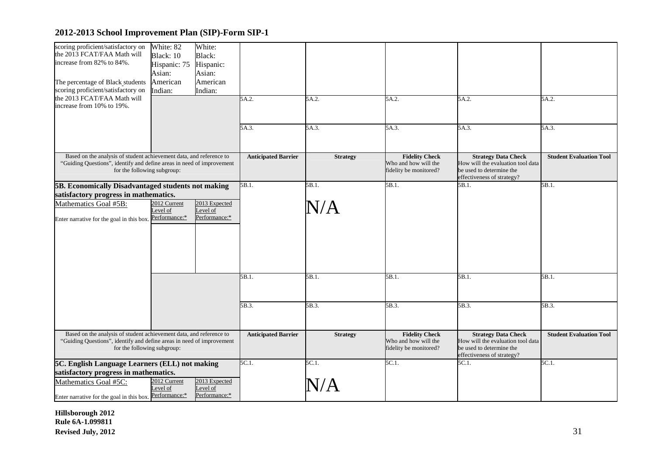| scoring proficient/satisfactory on<br>the 2013 FCAT/FAA Math will<br>increase from 82% to 84%.<br>The percentage of Black students<br>scoring proficient/satisfactory on    | White: 82<br>Black: 10<br>Hispanic: 75<br>Asian:<br>American<br>Indian: | White:<br>Black:<br>Hispanic:<br>Asian:<br>American<br>Indian: |                            |                    |                                                                         |                                                                                                                           |                                |
|-----------------------------------------------------------------------------------------------------------------------------------------------------------------------------|-------------------------------------------------------------------------|----------------------------------------------------------------|----------------------------|--------------------|-------------------------------------------------------------------------|---------------------------------------------------------------------------------------------------------------------------|--------------------------------|
| the 2013 FCAT/FAA Math will<br>increase from 10% to 19%.                                                                                                                    |                                                                         |                                                                | 5A.2.                      | 5A.2.              | 5A.2.                                                                   | 5A.2.                                                                                                                     | 5A.2.                          |
|                                                                                                                                                                             |                                                                         |                                                                | 5A.3.                      | 5A.3.              | 5A.3.                                                                   | 5A.3.                                                                                                                     | 5A.3.                          |
| Based on the analysis of student achievement data, and reference to<br>"Guiding Questions", identify and define areas in need of improvement<br>for the following subgroup: |                                                                         |                                                                | <b>Anticipated Barrier</b> | <b>Strategy</b>    | <b>Fidelity Check</b><br>Who and how will the<br>fidelity be monitored? | <b>Strategy Data Check</b><br>How will the evaluation tool data<br>be used to determine the<br>effectiveness of strategy? | <b>Student Evaluation Tool</b> |
| 5B. Economically Disadvantaged students not making<br>satisfactory progress in mathematics.<br>Mathematics Goal #5B:<br>Enter narrative for the goal in this box.           | 2012 Current<br>evel of<br>Performance:*                                | 2013 Expected<br>Level of<br>Performance:*                     | 5B.1.                      | 5B.1.<br>$\rm N/A$ | 5B.1.                                                                   | 5B.1.                                                                                                                     | 5B.1.                          |
|                                                                                                                                                                             |                                                                         |                                                                | 5B.1.                      | 5B.1.              | 5B.1.                                                                   | 5B.1.                                                                                                                     | 5B.1.                          |
|                                                                                                                                                                             |                                                                         |                                                                | 5B.3.                      | 5B.3.              | 5B.3.                                                                   | 5B.3.                                                                                                                     | 5B.3.                          |
| Based on the analysis of student achievement data, and reference to<br>"Guiding Questions", identify and define areas in need of improvement<br>for the following subgroup: |                                                                         |                                                                | <b>Anticipated Barrier</b> | <b>Strategy</b>    | <b>Fidelity Check</b><br>Who and how will the<br>fidelity be monitored? | <b>Strategy Data Check</b><br>How will the evaluation tool data<br>be used to determine the<br>effectiveness of strategy? | <b>Student Evaluation Tool</b> |
| 5C. English Language Learners (ELL) not making<br>satisfactory progress in mathematics.<br>Mathematics Goal #5C:<br>Enter narrative for the goal in this box. Performance:* | 2012 Current<br>Level of                                                | 2013 Expected<br>Level of<br>Performance:*                     | 5C.1.                      | 5C.1.              | 5C.1.                                                                   | 5C.1.                                                                                                                     | 5C.1.                          |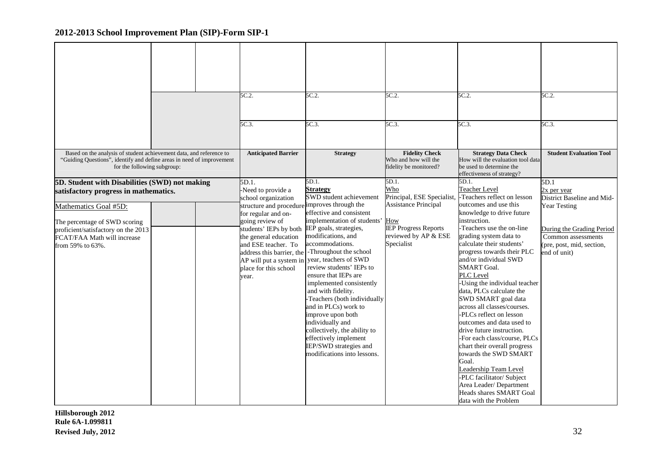|                                                                                                                                                                                                                                             |  | 5C.2.<br>5C.3.                                                                                                                                                                                                                                                                                                   | 5C.2.<br>5C.3                                                                                                                                                                                                                                                                                                                                                                                                                                                                                                                                                           | 5C.2.<br>5C.3.                                                                                                                                    | 5C.2.<br>5C.3.                                                                                                                                                                                                                                                                                                                                                                                                                                                                                                                                                                                                                                                                                                                                                         | 5C.2.<br>$5C.3$ .                                                                                                                                                        |
|---------------------------------------------------------------------------------------------------------------------------------------------------------------------------------------------------------------------------------------------|--|------------------------------------------------------------------------------------------------------------------------------------------------------------------------------------------------------------------------------------------------------------------------------------------------------------------|-------------------------------------------------------------------------------------------------------------------------------------------------------------------------------------------------------------------------------------------------------------------------------------------------------------------------------------------------------------------------------------------------------------------------------------------------------------------------------------------------------------------------------------------------------------------------|---------------------------------------------------------------------------------------------------------------------------------------------------|------------------------------------------------------------------------------------------------------------------------------------------------------------------------------------------------------------------------------------------------------------------------------------------------------------------------------------------------------------------------------------------------------------------------------------------------------------------------------------------------------------------------------------------------------------------------------------------------------------------------------------------------------------------------------------------------------------------------------------------------------------------------|--------------------------------------------------------------------------------------------------------------------------------------------------------------------------|
| Based on the analysis of student achievement data, and reference to<br>"Guiding Questions", identify and define areas in need of improvement<br>for the following subgroup:                                                                 |  | <b>Anticipated Barrier</b>                                                                                                                                                                                                                                                                                       | <b>Strategy</b>                                                                                                                                                                                                                                                                                                                                                                                                                                                                                                                                                         | <b>Fidelity Check</b><br>Who and how will the<br>fidelity be monitored?                                                                           | <b>Strategy Data Check</b><br>How will the evaluation tool data<br>be used to determine the<br>effectiveness of strategy?                                                                                                                                                                                                                                                                                                                                                                                                                                                                                                                                                                                                                                              | <b>Student Evaluation Tool</b>                                                                                                                                           |
| 5D. Student with Disabilities (SWD) not making<br>satisfactory progress in mathematics.<br>Mathematics Goal #5D:<br>The percentage of SWD scoring<br>proficient/satisfactory on the 2013<br>FCAT/FAA Math will increase<br>from 59% to 63%. |  | 5D.1.<br>-Need to provide a<br>school organization<br>structure and procedure improves through the<br>for regular and on-<br>going review of<br>students' IEPs by both<br>the general education<br>and ESE teacher. To<br>address this barrier, the<br>AP will put a system in<br>place for this school<br>year. | 5D.1.<br><b>Strategy</b><br><b>SWD</b> student achievement<br>effective and consistent<br>implementation of students' How<br>IEP goals, strategies,<br>modifications, and<br>accommodations.<br>-Throughout the school<br>year, teachers of SWD<br>review students' IEPs to<br>ensure that IEPs are<br>implemented consistently<br>and with fidelity.<br>Teachers (both individually<br>and in PLCs) work to<br>improve upon both<br>individually and<br>collectively, the ability to<br>effectively implement<br>IEP/SWD strategies and<br>modifications into lessons. | $5D.1$ .<br>Who<br>Principal, ESE Specialist,<br><b>Assistance Principal</b><br><b>IEP Progress Reports</b><br>reviewed by AP & ESE<br>Specialist | 5D.1.<br><b>Teacher Level</b><br>-Teachers reflect on lesson<br>outcomes and use this<br>knowledge to drive future<br>instruction.<br>-Teachers use the on-line<br>grading system data to<br>calculate their students'<br>progress towards their PLC<br>and/or individual SWD<br><b>SMART Goal.</b><br>PLC Level<br>-Using the individual teacher<br>data, PLCs calculate the<br>SWD SMART goal data<br>across all classes/courses.<br>-PLCs reflect on lesson<br>outcomes and data used to<br>drive future instruction.<br>-For each class/course, PLCs<br>chart their overall progress<br>towards the SWD SMART<br>Goal.<br>Leadership Team Level<br>-PLC facilitator/ Subject<br>Area Leader/ Department<br><b>Heads shares SMART Goal</b><br>data with the Problem | 5D.1<br>2x per year<br>District Baseline and Mid-<br><b>Year Testing</b><br>During the Grading Period<br>Common assessments<br>(pre, post, mid, section,<br>end of unit) |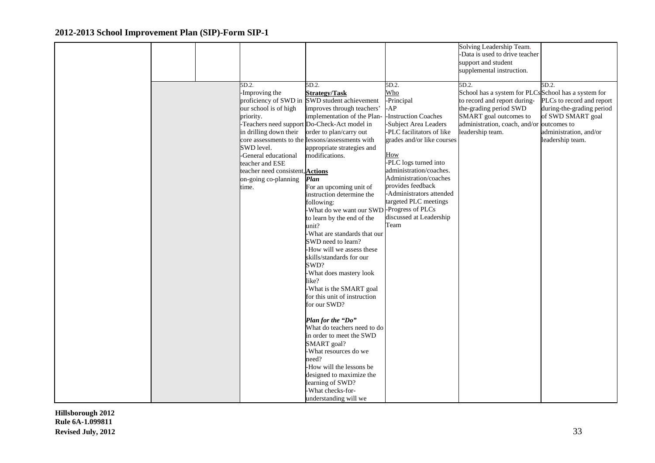|  |                                         |                                               |                                                  | Solving Leadership Team.                            |                           |
|--|-----------------------------------------|-----------------------------------------------|--------------------------------------------------|-----------------------------------------------------|---------------------------|
|  |                                         |                                               |                                                  | -Data is used to drive teacher                      |                           |
|  |                                         |                                               |                                                  | support and student                                 |                           |
|  |                                         |                                               |                                                  | supplemental instruction.                           |                           |
|  | 5D.2.                                   | 5D.2.                                         | 5D.2.                                            | 5D.2.                                               | 5D.2.                     |
|  | -Improving the                          | <b>Strategy/Task</b>                          | Who                                              | School has a system for PLCsSchool has a system for |                           |
|  |                                         | proficiency of SWD in SWD student achievement | -Principal                                       | to record and report during-                        | PLCs to record and report |
|  | our school is of high                   | improves through teachers'                    | $-AP$                                            | the-grading period SWD                              | during-the-grading period |
|  | priority.                               | implementation of the Plan-                   | -Instruction Coaches                             | SMART goal outcomes to                              | of SWD SMART goal         |
|  |                                         | -Teachers need support Do-Check-Act model in  | -Subject Area Leaders                            | administration, coach, and/or outcomes to           |                           |
|  | in drilling down their                  | order to plan/carry out                       | -PLC facilitators of like                        | leadership team.                                    | administration, and/or    |
|  | core assessments to the                 | lessons/assessments with                      | grades and/or like courses                       |                                                     | leadership team.          |
|  | SWD level.                              | appropriate strategies and                    |                                                  |                                                     |                           |
|  | -General educational                    | modifications.                                | How                                              |                                                     |                           |
|  | teacher and ESE                         |                                               | -PLC logs turned into<br>administration/coaches. |                                                     |                           |
|  | teacher need consistent, <b>Actions</b> |                                               | Administration/coaches                           |                                                     |                           |
|  | on-going co-planning<br>time.           | <b>Plan</b><br>For an upcoming unit of        | provides feedback                                |                                                     |                           |
|  |                                         | instruction determine the                     | -Administrators attended                         |                                                     |                           |
|  |                                         | following:                                    | targeted PLC meetings                            |                                                     |                           |
|  |                                         | -What do we want our SWD-Progress of PLCs     |                                                  |                                                     |                           |
|  |                                         | to learn by the end of the                    | discussed at Leadership                          |                                                     |                           |
|  |                                         | unit?                                         | Team                                             |                                                     |                           |
|  |                                         | -What are standards that our                  |                                                  |                                                     |                           |
|  |                                         | SWD need to learn?                            |                                                  |                                                     |                           |
|  |                                         | -How will we assess these                     |                                                  |                                                     |                           |
|  |                                         | skills/standards for our                      |                                                  |                                                     |                           |
|  |                                         | SWD?                                          |                                                  |                                                     |                           |
|  |                                         | -What does mastery look                       |                                                  |                                                     |                           |
|  |                                         | like?                                         |                                                  |                                                     |                           |
|  |                                         | -What is the SMART goal                       |                                                  |                                                     |                           |
|  |                                         | for this unit of instruction<br>for our SWD?  |                                                  |                                                     |                           |
|  |                                         |                                               |                                                  |                                                     |                           |
|  |                                         | Plan for the "Do"                             |                                                  |                                                     |                           |
|  |                                         | What do teachers need to do                   |                                                  |                                                     |                           |
|  |                                         | in order to meet the SWD                      |                                                  |                                                     |                           |
|  |                                         | SMART goal?                                   |                                                  |                                                     |                           |
|  |                                         | -What resources do we                         |                                                  |                                                     |                           |
|  |                                         | need?                                         |                                                  |                                                     |                           |
|  |                                         | -How will the lessons be                      |                                                  |                                                     |                           |
|  |                                         | designed to maximize the                      |                                                  |                                                     |                           |
|  |                                         | learning of SWD?                              |                                                  |                                                     |                           |
|  |                                         | -What checks-for-                             |                                                  |                                                     |                           |
|  |                                         | understanding will we                         |                                                  |                                                     |                           |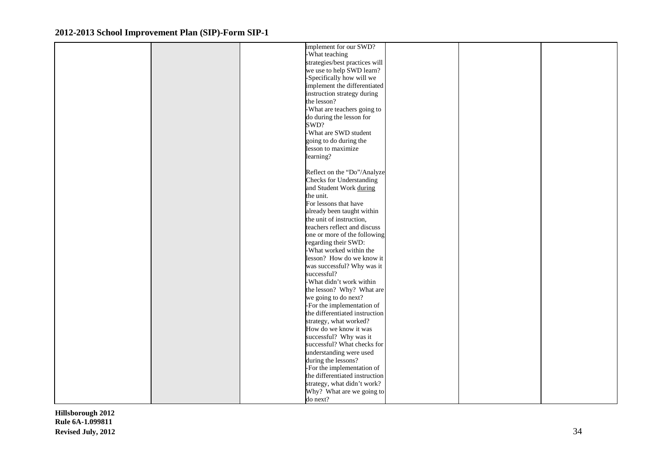| -What teaching<br>strategies/best practices will<br>we use to help SWD learn?<br>-Specifically how will we<br>implement the differentiated<br>instruction strategy during<br>the lesson?<br>-What are teachers going to<br>do during the lesson for<br>SWD?<br>-What are SWD student<br>going to do during the<br>lesson to maximize<br>learning?<br>Reflect on the "Do"/Analyze<br><b>Checks for Understanding</b><br>and Student Work during<br>the unit.<br>For lessons that have<br>already been taught within<br>the unit of instruction,<br>teachers reflect and discuss<br>one or more of the following<br>regarding their SWD:<br>-What worked within the<br>lesson? How do we know it<br>was successful? Why was it<br>successful?<br>-What didn't work within<br>the lesson? Why? What are<br>we going to do next?<br>-For the implementation of<br>the differentiated instruction<br>strategy, what worked?<br>How do we know it was<br>successful? Why was it<br>successful? What checks for<br>understanding were used |  | implement for our SWD? |  |  |
|-------------------------------------------------------------------------------------------------------------------------------------------------------------------------------------------------------------------------------------------------------------------------------------------------------------------------------------------------------------------------------------------------------------------------------------------------------------------------------------------------------------------------------------------------------------------------------------------------------------------------------------------------------------------------------------------------------------------------------------------------------------------------------------------------------------------------------------------------------------------------------------------------------------------------------------------------------------------------------------------------------------------------------------|--|------------------------|--|--|
|                                                                                                                                                                                                                                                                                                                                                                                                                                                                                                                                                                                                                                                                                                                                                                                                                                                                                                                                                                                                                                     |  |                        |  |  |
|                                                                                                                                                                                                                                                                                                                                                                                                                                                                                                                                                                                                                                                                                                                                                                                                                                                                                                                                                                                                                                     |  |                        |  |  |
|                                                                                                                                                                                                                                                                                                                                                                                                                                                                                                                                                                                                                                                                                                                                                                                                                                                                                                                                                                                                                                     |  |                        |  |  |
|                                                                                                                                                                                                                                                                                                                                                                                                                                                                                                                                                                                                                                                                                                                                                                                                                                                                                                                                                                                                                                     |  |                        |  |  |
|                                                                                                                                                                                                                                                                                                                                                                                                                                                                                                                                                                                                                                                                                                                                                                                                                                                                                                                                                                                                                                     |  |                        |  |  |
|                                                                                                                                                                                                                                                                                                                                                                                                                                                                                                                                                                                                                                                                                                                                                                                                                                                                                                                                                                                                                                     |  |                        |  |  |
|                                                                                                                                                                                                                                                                                                                                                                                                                                                                                                                                                                                                                                                                                                                                                                                                                                                                                                                                                                                                                                     |  |                        |  |  |
|                                                                                                                                                                                                                                                                                                                                                                                                                                                                                                                                                                                                                                                                                                                                                                                                                                                                                                                                                                                                                                     |  |                        |  |  |
|                                                                                                                                                                                                                                                                                                                                                                                                                                                                                                                                                                                                                                                                                                                                                                                                                                                                                                                                                                                                                                     |  |                        |  |  |
|                                                                                                                                                                                                                                                                                                                                                                                                                                                                                                                                                                                                                                                                                                                                                                                                                                                                                                                                                                                                                                     |  |                        |  |  |
|                                                                                                                                                                                                                                                                                                                                                                                                                                                                                                                                                                                                                                                                                                                                                                                                                                                                                                                                                                                                                                     |  |                        |  |  |
|                                                                                                                                                                                                                                                                                                                                                                                                                                                                                                                                                                                                                                                                                                                                                                                                                                                                                                                                                                                                                                     |  |                        |  |  |
|                                                                                                                                                                                                                                                                                                                                                                                                                                                                                                                                                                                                                                                                                                                                                                                                                                                                                                                                                                                                                                     |  |                        |  |  |
|                                                                                                                                                                                                                                                                                                                                                                                                                                                                                                                                                                                                                                                                                                                                                                                                                                                                                                                                                                                                                                     |  |                        |  |  |
|                                                                                                                                                                                                                                                                                                                                                                                                                                                                                                                                                                                                                                                                                                                                                                                                                                                                                                                                                                                                                                     |  |                        |  |  |
|                                                                                                                                                                                                                                                                                                                                                                                                                                                                                                                                                                                                                                                                                                                                                                                                                                                                                                                                                                                                                                     |  |                        |  |  |
|                                                                                                                                                                                                                                                                                                                                                                                                                                                                                                                                                                                                                                                                                                                                                                                                                                                                                                                                                                                                                                     |  |                        |  |  |
|                                                                                                                                                                                                                                                                                                                                                                                                                                                                                                                                                                                                                                                                                                                                                                                                                                                                                                                                                                                                                                     |  |                        |  |  |
|                                                                                                                                                                                                                                                                                                                                                                                                                                                                                                                                                                                                                                                                                                                                                                                                                                                                                                                                                                                                                                     |  |                        |  |  |
|                                                                                                                                                                                                                                                                                                                                                                                                                                                                                                                                                                                                                                                                                                                                                                                                                                                                                                                                                                                                                                     |  |                        |  |  |
|                                                                                                                                                                                                                                                                                                                                                                                                                                                                                                                                                                                                                                                                                                                                                                                                                                                                                                                                                                                                                                     |  |                        |  |  |
|                                                                                                                                                                                                                                                                                                                                                                                                                                                                                                                                                                                                                                                                                                                                                                                                                                                                                                                                                                                                                                     |  |                        |  |  |
|                                                                                                                                                                                                                                                                                                                                                                                                                                                                                                                                                                                                                                                                                                                                                                                                                                                                                                                                                                                                                                     |  |                        |  |  |
|                                                                                                                                                                                                                                                                                                                                                                                                                                                                                                                                                                                                                                                                                                                                                                                                                                                                                                                                                                                                                                     |  |                        |  |  |
|                                                                                                                                                                                                                                                                                                                                                                                                                                                                                                                                                                                                                                                                                                                                                                                                                                                                                                                                                                                                                                     |  |                        |  |  |
|                                                                                                                                                                                                                                                                                                                                                                                                                                                                                                                                                                                                                                                                                                                                                                                                                                                                                                                                                                                                                                     |  |                        |  |  |
|                                                                                                                                                                                                                                                                                                                                                                                                                                                                                                                                                                                                                                                                                                                                                                                                                                                                                                                                                                                                                                     |  |                        |  |  |
|                                                                                                                                                                                                                                                                                                                                                                                                                                                                                                                                                                                                                                                                                                                                                                                                                                                                                                                                                                                                                                     |  |                        |  |  |
|                                                                                                                                                                                                                                                                                                                                                                                                                                                                                                                                                                                                                                                                                                                                                                                                                                                                                                                                                                                                                                     |  |                        |  |  |
|                                                                                                                                                                                                                                                                                                                                                                                                                                                                                                                                                                                                                                                                                                                                                                                                                                                                                                                                                                                                                                     |  |                        |  |  |
|                                                                                                                                                                                                                                                                                                                                                                                                                                                                                                                                                                                                                                                                                                                                                                                                                                                                                                                                                                                                                                     |  |                        |  |  |
|                                                                                                                                                                                                                                                                                                                                                                                                                                                                                                                                                                                                                                                                                                                                                                                                                                                                                                                                                                                                                                     |  |                        |  |  |
|                                                                                                                                                                                                                                                                                                                                                                                                                                                                                                                                                                                                                                                                                                                                                                                                                                                                                                                                                                                                                                     |  |                        |  |  |
|                                                                                                                                                                                                                                                                                                                                                                                                                                                                                                                                                                                                                                                                                                                                                                                                                                                                                                                                                                                                                                     |  |                        |  |  |
|                                                                                                                                                                                                                                                                                                                                                                                                                                                                                                                                                                                                                                                                                                                                                                                                                                                                                                                                                                                                                                     |  |                        |  |  |
|                                                                                                                                                                                                                                                                                                                                                                                                                                                                                                                                                                                                                                                                                                                                                                                                                                                                                                                                                                                                                                     |  |                        |  |  |
|                                                                                                                                                                                                                                                                                                                                                                                                                                                                                                                                                                                                                                                                                                                                                                                                                                                                                                                                                                                                                                     |  |                        |  |  |
|                                                                                                                                                                                                                                                                                                                                                                                                                                                                                                                                                                                                                                                                                                                                                                                                                                                                                                                                                                                                                                     |  |                        |  |  |
|                                                                                                                                                                                                                                                                                                                                                                                                                                                                                                                                                                                                                                                                                                                                                                                                                                                                                                                                                                                                                                     |  |                        |  |  |
|                                                                                                                                                                                                                                                                                                                                                                                                                                                                                                                                                                                                                                                                                                                                                                                                                                                                                                                                                                                                                                     |  |                        |  |  |
|                                                                                                                                                                                                                                                                                                                                                                                                                                                                                                                                                                                                                                                                                                                                                                                                                                                                                                                                                                                                                                     |  | during the lessons?    |  |  |
| -For the implementation of                                                                                                                                                                                                                                                                                                                                                                                                                                                                                                                                                                                                                                                                                                                                                                                                                                                                                                                                                                                                          |  |                        |  |  |
| the differentiated instruction                                                                                                                                                                                                                                                                                                                                                                                                                                                                                                                                                                                                                                                                                                                                                                                                                                                                                                                                                                                                      |  |                        |  |  |
| strategy, what didn't work?                                                                                                                                                                                                                                                                                                                                                                                                                                                                                                                                                                                                                                                                                                                                                                                                                                                                                                                                                                                                         |  |                        |  |  |
| Why? What are we going to                                                                                                                                                                                                                                                                                                                                                                                                                                                                                                                                                                                                                                                                                                                                                                                                                                                                                                                                                                                                           |  |                        |  |  |
| do next?                                                                                                                                                                                                                                                                                                                                                                                                                                                                                                                                                                                                                                                                                                                                                                                                                                                                                                                                                                                                                            |  |                        |  |  |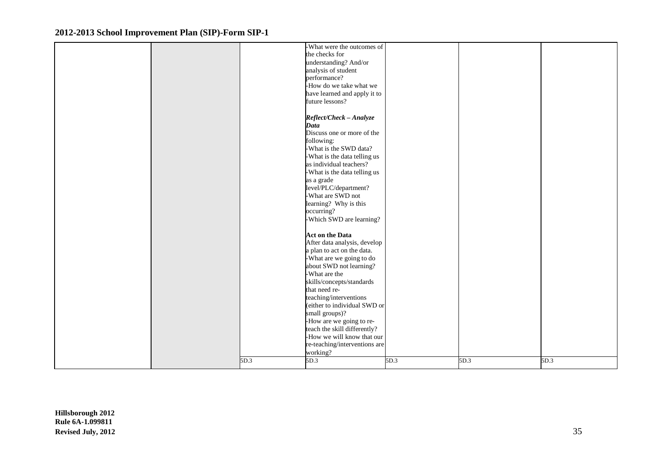|  |      | -What were the outcomes of    |      |      |      |
|--|------|-------------------------------|------|------|------|
|  |      | the checks for                |      |      |      |
|  |      | understanding? And/or         |      |      |      |
|  |      | analysis of student           |      |      |      |
|  |      | performance?                  |      |      |      |
|  |      |                               |      |      |      |
|  |      | -How do we take what we       |      |      |      |
|  |      | have learned and apply it to  |      |      |      |
|  |      | future lessons?               |      |      |      |
|  |      |                               |      |      |      |
|  |      | Reflect/Check - Analyze       |      |      |      |
|  |      | <b>Data</b>                   |      |      |      |
|  |      | Discuss one or more of the    |      |      |      |
|  |      | following:                    |      |      |      |
|  |      | -What is the SWD data?        |      |      |      |
|  |      | -What is the data telling us  |      |      |      |
|  |      | as individual teachers?       |      |      |      |
|  |      | -What is the data telling us  |      |      |      |
|  |      |                               |      |      |      |
|  |      | as a grade                    |      |      |      |
|  |      | level/PLC/department?         |      |      |      |
|  |      | -What are SWD not             |      |      |      |
|  |      | learning? Why is this         |      |      |      |
|  |      | occurring?                    |      |      |      |
|  |      | -Which SWD are learning?      |      |      |      |
|  |      |                               |      |      |      |
|  |      | <b>Act on the Data</b>        |      |      |      |
|  |      | After data analysis, develop  |      |      |      |
|  |      | a plan to act on the data.    |      |      |      |
|  |      | What are we going to do       |      |      |      |
|  |      | about SWD not learning?       |      |      |      |
|  |      | -What are the                 |      |      |      |
|  |      | skills/concepts/standards     |      |      |      |
|  |      | that need re-                 |      |      |      |
|  |      | teaching/interventions        |      |      |      |
|  |      | (either to individual SWD or  |      |      |      |
|  |      |                               |      |      |      |
|  |      | small groups)?                |      |      |      |
|  |      | -How are we going to re-      |      |      |      |
|  |      | teach the skill differently?  |      |      |      |
|  |      | -How we will know that our    |      |      |      |
|  |      | re-teaching/interventions are |      |      |      |
|  |      | working?                      |      |      |      |
|  | 5D.3 | 5D.3                          | 5D.3 | 5D.3 | 5D.3 |
|  |      |                               |      |      |      |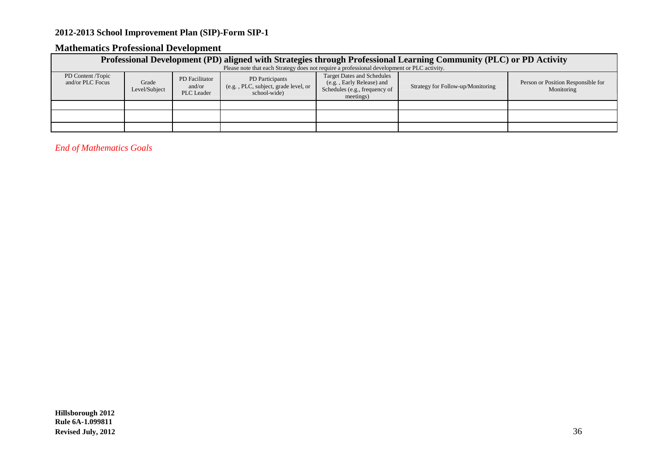## **Mathematics Professional Development**

|                                       | Professional Development (PD) aligned with Strategies through Professional Learning Community (PLC) or PD Activity                                                                                                                                                                                     |  |  |  |  |  |  |  |  |  |  |  |
|---------------------------------------|--------------------------------------------------------------------------------------------------------------------------------------------------------------------------------------------------------------------------------------------------------------------------------------------------------|--|--|--|--|--|--|--|--|--|--|--|
|                                       | Please note that each Strategy does not require a professional development or PLC activity.                                                                                                                                                                                                            |  |  |  |  |  |  |  |  |  |  |  |
| PD Content /Topic<br>and/or PLC Focus | <b>Target Dates and Schedules</b><br>PD Participants<br>PD Facilitator<br>(e.g., Early Release) and<br>Grade<br>(e.g., PLC, subject, grade level, or<br>Strategy for Follow-up/Monitoring<br>and/or<br>Schedules (e.g., frequency of<br>Level/Subject<br>school-wide<br><b>PLC</b> Leader<br>meetings) |  |  |  |  |  |  |  |  |  |  |  |
|                                       |                                                                                                                                                                                                                                                                                                        |  |  |  |  |  |  |  |  |  |  |  |
|                                       |                                                                                                                                                                                                                                                                                                        |  |  |  |  |  |  |  |  |  |  |  |
|                                       |                                                                                                                                                                                                                                                                                                        |  |  |  |  |  |  |  |  |  |  |  |

*End of Mathematics Goals*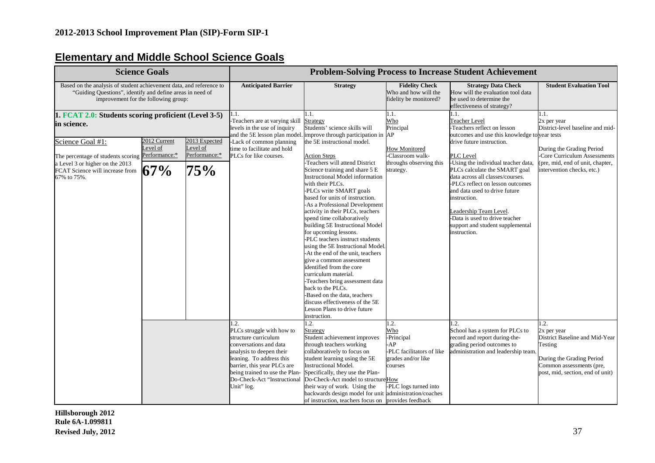## **Elementary and Middle School Science Goals**

| <b>Science Goals</b>                                                                                                                                                                                                             |                                 |                                                   | <b>Problem-Solving Process to Increase Student Achievement</b>                                                                                                                                                                                            |                                                                                                                                                                                                                                                                                                                                                                                                                                                                                 |                                                                                                                        |                                                                                                                                                                                                                                                                                                                                                                                                                   |                                                                                                                                                                                       |  |
|----------------------------------------------------------------------------------------------------------------------------------------------------------------------------------------------------------------------------------|---------------------------------|---------------------------------------------------|-----------------------------------------------------------------------------------------------------------------------------------------------------------------------------------------------------------------------------------------------------------|---------------------------------------------------------------------------------------------------------------------------------------------------------------------------------------------------------------------------------------------------------------------------------------------------------------------------------------------------------------------------------------------------------------------------------------------------------------------------------|------------------------------------------------------------------------------------------------------------------------|-------------------------------------------------------------------------------------------------------------------------------------------------------------------------------------------------------------------------------------------------------------------------------------------------------------------------------------------------------------------------------------------------------------------|---------------------------------------------------------------------------------------------------------------------------------------------------------------------------------------|--|
| Based on the analysis of student achievement data, and reference to<br>"Guiding Questions", identify and define areas in need of<br>improvement for the following group:                                                         |                                 |                                                   | <b>Anticipated Barrier</b>                                                                                                                                                                                                                                | <b>Strategy</b>                                                                                                                                                                                                                                                                                                                                                                                                                                                                 | <b>Fidelity Check</b><br>Who and how will the<br>fidelity be monitored?                                                | <b>Strategy Data Check</b><br>How will the evaluation tool data<br>be used to determine the<br>effectiveness of strategy?                                                                                                                                                                                                                                                                                         | <b>Student Evaluation Tool</b>                                                                                                                                                        |  |
| 1. FCAT 2.0: Students scoring proficient (Level 3-5)<br>in science.<br>Science Goal #1:<br>The percentage of students scoring Performance:*<br>a Level 3 or higher on the 2013<br>FCAT Science will increase from<br>67% to 75%. | 2012 Current<br>Level of<br>67% | 2013 Expected<br>Level of<br>Performance:*<br>75% | 1.1.<br>-Teachers are at varying skill<br>levels in the use of inquiry<br>-Lack of common planning<br>time to facilitate and hold<br>PLCs for like courses.                                                                                               | 1.1.<br>Strategy<br>Students' science skills will<br>and the 5E lesson plan model. improve through participation in AP<br>the 5E instructional model.<br><b>Action Steps</b><br>Teachers will attend District<br>Science training and share 5 E<br><b>Instructional Model information</b><br>with their PLCs.<br>-PLCs write SMART goals<br>based for units of instruction.<br>-As a Professional Development<br>activity in their PLCs, teachers<br>spend time collaboratively | 1.1.<br>Who<br>Principal<br><b>How Monitored</b><br>-Classroom walk-<br>throughs observing this<br>strategy.           | l.1.<br><b>Teacher Level</b><br>Teachers reflect on lesson<br>outcomes and use this knowledge to year tests<br>drive future instruction.<br>PLC Level<br>-Using the individual teacher data,<br>PLCs calculate the SMART goal<br>data across all classes/courses.<br>-PLCs reflect on lesson outcomes<br>and data used to drive future<br>instruction.<br>Leadership Team Level.<br>Data is used to drive teacher | 1.1.<br>2x per year<br>District-level baseline and mid-<br>During the Grading Period<br>Core Curriculum Assessments<br>(pre, mid, end of unit, chapter,<br>intervention checks, etc.) |  |
|                                                                                                                                                                                                                                  |                                 |                                                   |                                                                                                                                                                                                                                                           | building 5E Instructional Model<br>for upcoming lessons.<br>-PLC teachers instruct students<br>using the 5E Instructional Model.<br>-At the end of the unit, teachers<br>give a common assessment<br>identified from the core<br>curriculum material.<br>-Teachers bring assessment data<br>back to the PLCs.<br>-Based on the data, teachers<br>discuss effectiveness of the 5E<br>Lesson Plans to drive future<br>instruction.                                                |                                                                                                                        | support and student supplemental<br>instruction.                                                                                                                                                                                                                                                                                                                                                                  |                                                                                                                                                                                       |  |
|                                                                                                                                                                                                                                  |                                 |                                                   | 1.2.<br>PLCs struggle with how to<br>structure curriculum<br>conversations and data<br>analysis to deepen their<br>leaning. To address this<br>barrier, this year PLCs are<br>being trained to use the Plan-<br>Do-Check-Act "Instructional<br>Unit" log. | 1.2.<br><b>Strategy</b><br>Student achievement improves<br>through teachers working<br>collaboratively to focus on<br>student learning using the 5E<br><b>Instructional Model.</b><br>Specifically, they use the Plan-<br>Do-Check-Act model to structure How<br>their way of work. Using the<br>backwards design model for unit administration/coaches<br>of instruction, teachers focus on provides feedback                                                                  | 1.2.<br>Who<br>-Principal<br>AP.<br>PLC facilitators of like<br>grades and/or like<br>courses<br>-PLC logs turned into | $\overline{2}$ .<br>School has a system for PLCs to<br>record and report during-the-<br>grading period outcomes to<br>administration and leadership team.                                                                                                                                                                                                                                                         | 1.2.<br>2x per year<br>District Baseline and Mid-Year<br>Testing<br>During the Grading Period<br>Common assessments (pre,<br>post, mid, section, end of unit)                         |  |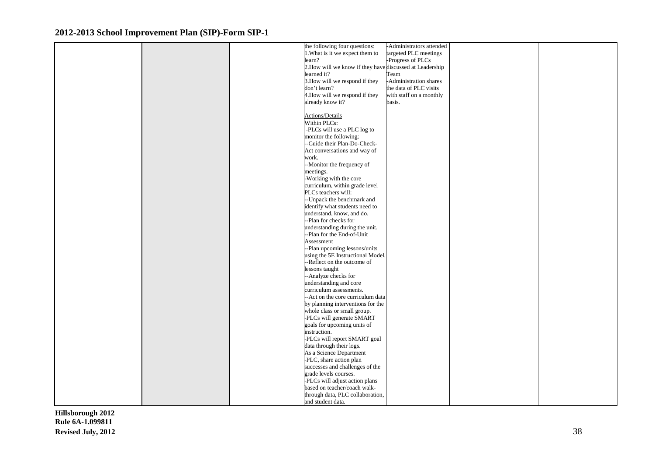|  | the following four questions:                            | -Administrators attended |  |
|--|----------------------------------------------------------|--------------------------|--|
|  | 1. What is it we expect them to                          |                          |  |
|  |                                                          | targeted PLC meetings    |  |
|  | learn?                                                   | -Progress of PLCs        |  |
|  | 2. How will we know if they have discussed at Leadership |                          |  |
|  | learned it?                                              | Team                     |  |
|  | 3. How will we respond if they                           | -Administration shares   |  |
|  | don't learn?                                             | the data of PLC visits   |  |
|  | 4. How will we respond if they                           | with staff on a monthly  |  |
|  | already know it?                                         | basis.                   |  |
|  |                                                          |                          |  |
|  | Actions/Details                                          |                          |  |
|  | Within PLCs:                                             |                          |  |
|  | -PLCs will use a PLC $\log$ to                           |                          |  |
|  | monitor the following:                                   |                          |  |
|  | --Guide their Plan-Do-Check-                             |                          |  |
|  | Act conversations and way of                             |                          |  |
|  | work.                                                    |                          |  |
|  | --Monitor the frequency of                               |                          |  |
|  | meetings.                                                |                          |  |
|  | -Working with the core                                   |                          |  |
|  | curriculum, within grade level                           |                          |  |
|  | PLCs teachers will:                                      |                          |  |
|  | --Unpack the benchmark and                               |                          |  |
|  | identify what students need to                           |                          |  |
|  | understand, know, and do.                                |                          |  |
|  | --Plan for checks for                                    |                          |  |
|  | understanding during the unit.                           |                          |  |
|  | --Plan for the End-of-Unit                               |                          |  |
|  | Assessment                                               |                          |  |
|  | --Plan upcoming lessons/units                            |                          |  |
|  | using the 5E Instructional Model.                        |                          |  |
|  | --Reflect on the outcome of                              |                          |  |
|  | lessons taught                                           |                          |  |
|  | --Analyze checks for                                     |                          |  |
|  | understanding and core                                   |                          |  |
|  | curriculum assessments.                                  |                          |  |
|  | -- Act on the core curriculum data                       |                          |  |
|  | by planning interventions for the                        |                          |  |
|  | whole class or small group.                              |                          |  |
|  | -PLCs will generate SMART                                |                          |  |
|  | goals for upcoming units of                              |                          |  |
|  | instruction.                                             |                          |  |
|  | -PLCs will report SMART goal                             |                          |  |
|  | data through their logs.                                 |                          |  |
|  | As a Science Department                                  |                          |  |
|  | -PLC, share action plan                                  |                          |  |
|  | successes and challenges of the                          |                          |  |
|  | grade levels courses.                                    |                          |  |
|  | -PLCs will adjust action plans                           |                          |  |
|  | based on teacher/coach walk-                             |                          |  |
|  | through data, PLC collaboration,                         |                          |  |
|  | and student data.                                        |                          |  |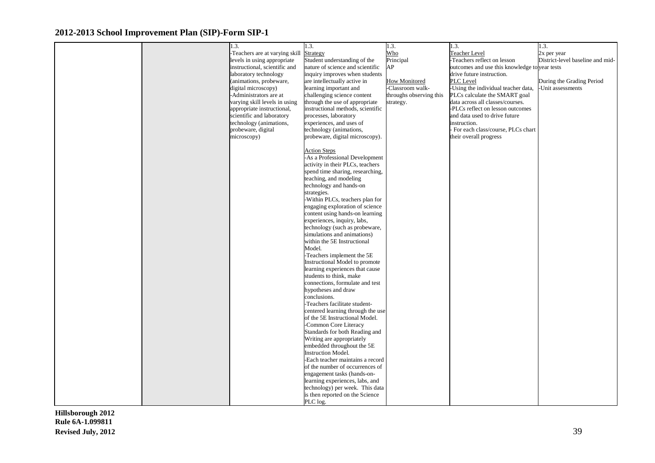|  | 1.3.                                    | 1.3.                              | 1.3.                    | 1.3.                                          | 1.3.                             |
|--|-----------------------------------------|-----------------------------------|-------------------------|-----------------------------------------------|----------------------------------|
|  | -Teachers are at varying skill Strategy |                                   | Who                     | Teacher Level                                 | 2x per year                      |
|  | levels in using appropriate             | Student understanding of the      | Principal               | -Teachers reflect on lesson                   | District-level baseline and mid- |
|  | instructional, scientific and           | nature of science and scientific  | AP                      | outcomes and use this knowledge to year tests |                                  |
|  | laboratory technology                   | inquiry improves when students    |                         | drive future instruction.                     |                                  |
|  | (animations, probeware,                 | are intellectually active in      | <b>How Monitored</b>    | PLC Level                                     | During the Grading Period        |
|  | digital microscopy)                     | learning important and            | -Classroom walk-        | -Using the individual teacher data,           | -Unit assessments                |
|  | -Administrators are at                  | challenging science content       | throughs observing this | PLCs calculate the SMART goal                 |                                  |
|  | varying skill levels in using           | through the use of appropriate    | strategy.               | data across all classes/courses.              |                                  |
|  | appropriate instructional,              | instructional methods, scientific |                         | -PLCs reflect on lesson outcomes              |                                  |
|  | scientific and laboratory               | processes, laboratory             |                         | and data used to drive future                 |                                  |
|  | technology (animations,                 | experiences, and uses of          |                         | instruction.                                  |                                  |
|  | probeware, digital                      | technology (animations,           |                         | For each class/course, PLCs chart             |                                  |
|  | microscopy)                             | probeware, digital microscopy).   |                         | their overall progress                        |                                  |
|  |                                         |                                   |                         |                                               |                                  |
|  |                                         | <b>Action Steps</b>               |                         |                                               |                                  |
|  |                                         | -As a Professional Development    |                         |                                               |                                  |
|  |                                         | activity in their PLCs, teachers  |                         |                                               |                                  |
|  |                                         | spend time sharing, researching,  |                         |                                               |                                  |
|  |                                         | teaching, and modeling            |                         |                                               |                                  |
|  |                                         | technology and hands-on           |                         |                                               |                                  |
|  |                                         | strategies.                       |                         |                                               |                                  |
|  |                                         | -Within PLCs, teachers plan for   |                         |                                               |                                  |
|  |                                         | engaging exploration of science   |                         |                                               |                                  |
|  |                                         | content using hands-on learning   |                         |                                               |                                  |
|  |                                         | experiences, inquiry, labs,       |                         |                                               |                                  |
|  |                                         | technology (such as probeware,    |                         |                                               |                                  |
|  |                                         | simulations and animations)       |                         |                                               |                                  |
|  |                                         | within the 5E Instructional       |                         |                                               |                                  |
|  |                                         | Model.                            |                         |                                               |                                  |
|  |                                         | -Teachers implement the 5E        |                         |                                               |                                  |
|  |                                         | Instructional Model to promote    |                         |                                               |                                  |
|  |                                         | learning experiences that cause   |                         |                                               |                                  |
|  |                                         | students to think, make           |                         |                                               |                                  |
|  |                                         | connections, formulate and test   |                         |                                               |                                  |
|  |                                         | hypotheses and draw               |                         |                                               |                                  |
|  |                                         | conclusions.                      |                         |                                               |                                  |
|  |                                         | -Teachers facilitate student-     |                         |                                               |                                  |
|  |                                         | centered learning through the use |                         |                                               |                                  |
|  |                                         | of the 5E Instructional Model.    |                         |                                               |                                  |
|  |                                         | -Common Core Literacy             |                         |                                               |                                  |
|  |                                         | Standards for both Reading and    |                         |                                               |                                  |
|  |                                         | Writing are appropriately         |                         |                                               |                                  |
|  |                                         | embedded throughout the 5E        |                         |                                               |                                  |
|  |                                         | <b>Instruction Model.</b>         |                         |                                               |                                  |
|  |                                         | -Each teacher maintains a record  |                         |                                               |                                  |
|  |                                         | of the number of occurrences of   |                         |                                               |                                  |
|  |                                         | engagement tasks (hands-on-       |                         |                                               |                                  |
|  |                                         | learning experiences, labs, and   |                         |                                               |                                  |
|  |                                         | technology) per week. This data   |                         |                                               |                                  |
|  |                                         | is then reported on the Science   |                         |                                               |                                  |
|  |                                         | PLC log.                          |                         |                                               |                                  |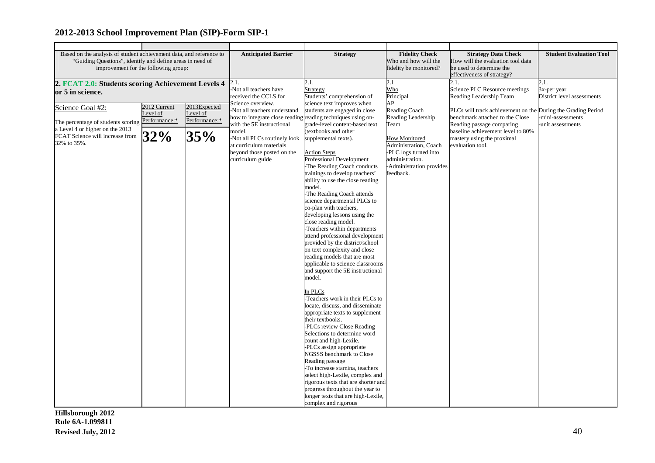| Based on the analysis of student achievement data, and reference to                               |              |                           | <b>Anticipated Barrier</b>                                  | <b>Strategy</b>                                               | <b>Fidelity Check</b>                                         | <b>Strategy Data Check</b>                                   | <b>Student Evaluation Tool</b> |
|---------------------------------------------------------------------------------------------------|--------------|---------------------------|-------------------------------------------------------------|---------------------------------------------------------------|---------------------------------------------------------------|--------------------------------------------------------------|--------------------------------|
| "Guiding Questions", identify and define areas in need of<br>improvement for the following group: |              |                           |                                                             | Who and how will the<br>fidelity be monitored?                | How will the evaluation tool data<br>be used to determine the |                                                              |                                |
|                                                                                                   |              |                           |                                                             |                                                               |                                                               | effectiveness of strategy?                                   |                                |
|                                                                                                   |              |                           | 2.1.                                                        | 2.1.                                                          | 2.1.                                                          | 2.1.                                                         | 2.1.                           |
| 2. FCAT 2.0: Students scoring Achievement Levels 4                                                |              |                           | Not all teachers have                                       | Strategy                                                      | Who                                                           | Science PLC Resource meetings                                | 3x-per year                    |
| or 5 in science.                                                                                  |              |                           | received the CCLS for                                       | Students' comprehension of                                    | Principal                                                     | Reading Leadership Team                                      | District level assessments     |
|                                                                                                   |              |                           | Science overview.                                           | science text improves when                                    | AP                                                            |                                                              |                                |
| Science Goal #2:                                                                                  | 2012 Current | 2013Expected              | -Not all teachers understand                                | students are engaged in close                                 | Reading Coach                                                 | PLCs will track achievement on the During the Grading Period |                                |
|                                                                                                   | evel of      | Level of<br>Performance:* | how to integrate close reading reading techniques using on- |                                                               | Reading Leadership                                            | benchmark attached to the Close                              | mini-assessments               |
| The percentage of students scoring Performance:*                                                  |              |                           | with the 5E instructional                                   | grade-level content-based text                                | Team                                                          | Reading passage comparing                                    | -unit assessments              |
| a Level 4 or higher on the 2013                                                                   |              |                           | model.                                                      | (textbooks and other                                          |                                                               | baseline achievement level to 80%                            |                                |
| FCAT Science will increase from<br>32% to 35%.                                                    | 32%          | 35%                       | -Not all PLCs routinely look                                | supplemental texts).                                          | <b>How Monitored</b>                                          | mastery using the proximal                                   |                                |
|                                                                                                   |              |                           | at curriculum materials                                     |                                                               | Administration, Coach                                         | evaluation tool.                                             |                                |
|                                                                                                   |              |                           | beyond those posted on the                                  | <b>Action Steps</b>                                           | -PLC logs turned into                                         |                                                              |                                |
|                                                                                                   |              |                           | curriculum guide                                            | Professional Development                                      | administration.                                               |                                                              |                                |
|                                                                                                   |              |                           |                                                             | -The Reading Coach conducts<br>trainings to develop teachers' | -Administration provides<br>feedback.                         |                                                              |                                |
|                                                                                                   |              |                           |                                                             | ability to use the close reading                              |                                                               |                                                              |                                |
|                                                                                                   |              |                           |                                                             | model.                                                        |                                                               |                                                              |                                |
|                                                                                                   |              |                           |                                                             | The Reading Coach attends                                     |                                                               |                                                              |                                |
|                                                                                                   |              |                           |                                                             | science departmental PLCs to                                  |                                                               |                                                              |                                |
|                                                                                                   |              |                           |                                                             | co-plan with teachers,                                        |                                                               |                                                              |                                |
|                                                                                                   |              |                           |                                                             | developing lessons using the                                  |                                                               |                                                              |                                |
|                                                                                                   |              |                           |                                                             | close reading model.                                          |                                                               |                                                              |                                |
|                                                                                                   |              |                           |                                                             | -Teachers within departments                                  |                                                               |                                                              |                                |
|                                                                                                   |              |                           |                                                             | attend professional development                               |                                                               |                                                              |                                |
|                                                                                                   |              |                           |                                                             | provided by the district/school                               |                                                               |                                                              |                                |
|                                                                                                   |              |                           |                                                             | on text complexity and close<br>reading models that are most  |                                                               |                                                              |                                |
|                                                                                                   |              |                           |                                                             | applicable to science classrooms                              |                                                               |                                                              |                                |
|                                                                                                   |              |                           |                                                             | and support the 5E instructional                              |                                                               |                                                              |                                |
|                                                                                                   |              |                           |                                                             | model.                                                        |                                                               |                                                              |                                |
|                                                                                                   |              |                           |                                                             |                                                               |                                                               |                                                              |                                |
|                                                                                                   |              |                           |                                                             | In PLCs                                                       |                                                               |                                                              |                                |
|                                                                                                   |              |                           |                                                             | Teachers work in their PLCs to                                |                                                               |                                                              |                                |
|                                                                                                   |              |                           |                                                             | locate, discuss, and disseminate                              |                                                               |                                                              |                                |
|                                                                                                   |              |                           |                                                             | appropriate texts to supplement                               |                                                               |                                                              |                                |
|                                                                                                   |              |                           |                                                             | their textbooks.                                              |                                                               |                                                              |                                |
|                                                                                                   |              |                           |                                                             | -PLCs review Close Reading<br>Selections to determine word    |                                                               |                                                              |                                |
|                                                                                                   |              |                           |                                                             | count and high-Lexile.                                        |                                                               |                                                              |                                |
|                                                                                                   |              |                           |                                                             | -PLCs assign appropriate                                      |                                                               |                                                              |                                |
|                                                                                                   |              |                           |                                                             | NGSSS benchmark to Close                                      |                                                               |                                                              |                                |
|                                                                                                   |              |                           |                                                             | Reading passage                                               |                                                               |                                                              |                                |
|                                                                                                   |              |                           |                                                             | -To increase stamina, teachers                                |                                                               |                                                              |                                |
|                                                                                                   |              |                           |                                                             | select high-Lexile, complex and                               |                                                               |                                                              |                                |
|                                                                                                   |              |                           |                                                             | rigorous texts that are shorter and                           |                                                               |                                                              |                                |
|                                                                                                   |              |                           |                                                             | progress throughout the year to                               |                                                               |                                                              |                                |
|                                                                                                   |              |                           |                                                             | longer texts that are high-Lexile,                            |                                                               |                                                              |                                |
|                                                                                                   |              |                           |                                                             | complex and rigorous                                          |                                                               |                                                              |                                |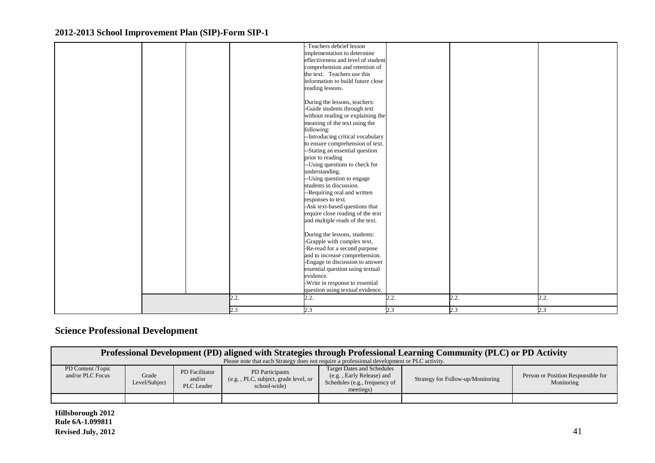|  |      | - Teachers debrief lesson          |      |      |      |
|--|------|------------------------------------|------|------|------|
|  |      |                                    |      |      |      |
|  |      | implementation to determine        |      |      |      |
|  |      | effectiveness and level of student |      |      |      |
|  |      | comprehension and retention of     |      |      |      |
|  |      | the text. Teachers use this        |      |      |      |
|  |      | information to build future close  |      |      |      |
|  |      | reading lessons.                   |      |      |      |
|  |      |                                    |      |      |      |
|  |      | During the lessons, teachers:      |      |      |      |
|  |      | -Guide students through text       |      |      |      |
|  |      | without reading or explaining the  |      |      |      |
|  |      | meaning of the text using the      |      |      |      |
|  |      | following:                         |      |      |      |
|  |      | -- Introducing critical vocabulary |      |      |      |
|  |      | to ensure comprehension of text.   |      |      |      |
|  |      | --Stating an essential question    |      |      |      |
|  |      | prior to reading                   |      |      |      |
|  |      | -- Using questions to check for    |      |      |      |
|  |      | understanding.                     |      |      |      |
|  |      | -- Using question to engage        |      |      |      |
|  |      | students in discussion.            |      |      |      |
|  |      | --Requiring oral and written       |      |      |      |
|  |      | responses to text.                 |      |      |      |
|  |      | -Ask text-based questions that     |      |      |      |
|  |      | require close reading of the text  |      |      |      |
|  |      | and multiple reads of the text.    |      |      |      |
|  |      |                                    |      |      |      |
|  |      | During the lessons, students:      |      |      |      |
|  |      | -Grapple with complex text.        |      |      |      |
|  |      | -Re-read for a second purpose      |      |      |      |
|  |      | and to increase comprehension.     |      |      |      |
|  |      | -Engage in discussion to answer    |      |      |      |
|  |      | essential question using textual   |      |      |      |
|  |      | evidence.                          |      |      |      |
|  |      | -Write in response to essential    |      |      |      |
|  |      | question using textual evidence.   |      |      |      |
|  |      |                                    |      |      |      |
|  | 2.2. | 2.2.                               | 2.2. | 2.2. | 2.2. |
|  | 2.3  | 2.3                                | 2.3  | 2.3  | 2.3  |
|  |      |                                    |      |      |      |

## **Science Professional Development**

|                                       | Professional Development (PD) aligned with Strategies through Professional Learning Community (PLC) or PD Activity<br>Please note that each Strategy does not require a professional development or PLC activity.                                          |  |  |  |  |                                                  |  |  |  |
|---------------------------------------|------------------------------------------------------------------------------------------------------------------------------------------------------------------------------------------------------------------------------------------------------------|--|--|--|--|--------------------------------------------------|--|--|--|
| PD Content /Topic<br>and/or PLC Focus | <b>Target Dates and Schedules</b><br>PD Participants<br>PD Facilitator<br>Grade<br>(e.g., Early Release) and<br>(e.g., PLC, subject, grade level, or<br>and/or<br>Level/Subject<br>Schedules (e.g., frequency of<br>PLC Leader<br>school-wide<br>meetings) |  |  |  |  | Person or Position Responsible for<br>Monitoring |  |  |  |
|                                       |                                                                                                                                                                                                                                                            |  |  |  |  |                                                  |  |  |  |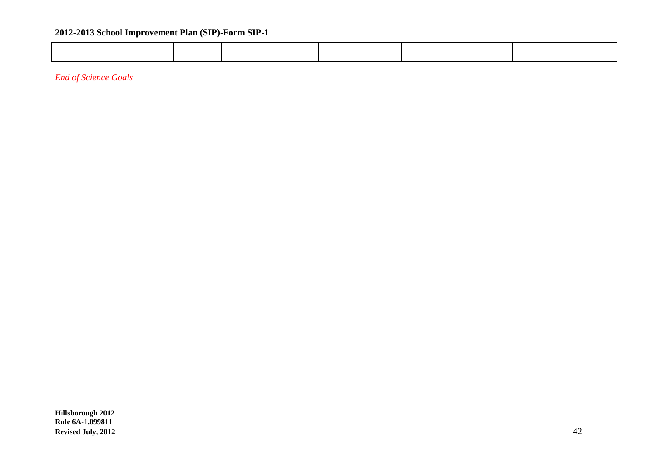*End of Science Goals*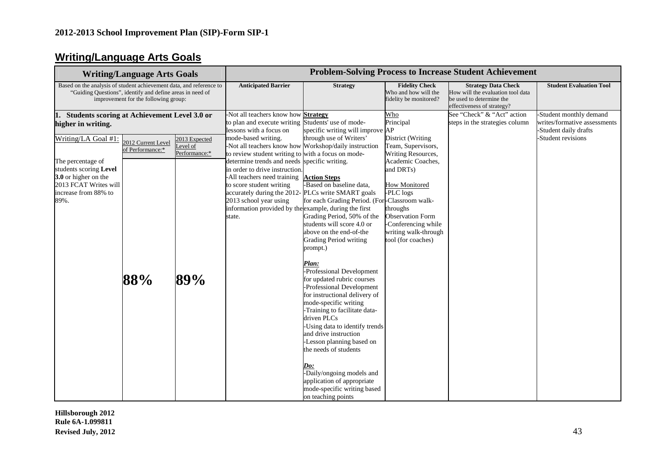## **Writing/Language Arts Goals**

| <b>Writing/Language Arts Goals</b>                                                                                           |                                                                                                                                                                          |                                 | <b>Problem-Solving Process to Increase Student Achievement</b>                                                                                                                                                                                                                                                                                                         |                                                                                                                                                                                                                                                                                                                                                                                                                                                                                                                                                                                                                                                                                                                                                         |                                                                                                                                                                                                                             |                                                                                                                           |                                                                                                       |  |
|------------------------------------------------------------------------------------------------------------------------------|--------------------------------------------------------------------------------------------------------------------------------------------------------------------------|---------------------------------|------------------------------------------------------------------------------------------------------------------------------------------------------------------------------------------------------------------------------------------------------------------------------------------------------------------------------------------------------------------------|---------------------------------------------------------------------------------------------------------------------------------------------------------------------------------------------------------------------------------------------------------------------------------------------------------------------------------------------------------------------------------------------------------------------------------------------------------------------------------------------------------------------------------------------------------------------------------------------------------------------------------------------------------------------------------------------------------------------------------------------------------|-----------------------------------------------------------------------------------------------------------------------------------------------------------------------------------------------------------------------------|---------------------------------------------------------------------------------------------------------------------------|-------------------------------------------------------------------------------------------------------|--|
|                                                                                                                              | Based on the analysis of student achievement data, and reference to<br>"Guiding Questions", identify and define areas in need of<br>improvement for the following group: |                                 |                                                                                                                                                                                                                                                                                                                                                                        | <b>Strategy</b>                                                                                                                                                                                                                                                                                                                                                                                                                                                                                                                                                                                                                                                                                                                                         | <b>Fidelity Check</b><br>Who and how will the<br>fidelity be monitored?                                                                                                                                                     | <b>Strategy Data Check</b><br>How will the evaluation tool data<br>be used to determine the<br>effectiveness of strategy? | <b>Student Evaluation Tool</b>                                                                        |  |
| Students scoring at Achievement Level 3.0 or<br>higher in writing.<br>Writing/LA Goal #1:                                    |                                                                                                                                                                          | 2013 Expected                   | -Not all teachers know how <b>Strategy</b><br>to plan and execute writing Students' use of mode-<br>lessons with a focus on<br>mode-based writing.                                                                                                                                                                                                                     | specific writing will improve AP<br>through use of Writers'                                                                                                                                                                                                                                                                                                                                                                                                                                                                                                                                                                                                                                                                                             | Who<br>Principal<br>District (Writing                                                                                                                                                                                       | See "Check" & "Act" action<br>steps in the strategies column                                                              | -Student monthly demand<br>writes/formative assessments<br>-Student daily drafts<br>Student revisions |  |
| The percentage of<br>students scoring Level<br>3.0 or higher on the<br>2013 FCAT Writes will<br>increase from 88% to<br>89%. | 2012 Current Level<br>of Performance:*<br>88%                                                                                                                            | evel of<br>Performance:*<br>89% | to review student writing to with a focus on mode-<br>determine trends and needs specific writing.<br>in order to drive instruction.<br>-All teachers need training <b>Action Steps</b><br>to score student writing<br>accurately during the 2012- PLCs write SMART goals<br>2013 school year using<br>information provided by the example, during the first<br>state. | -Not all teachers know how Workshop/daily instruction<br>-Based on baseline data,<br>for each Grading Period. (For-Classroom walk-<br>Grading Period, 50% of the<br>students will score 4.0 or<br>above on the end-of-the<br>Grading Period writing<br>prompt.)<br>Plan:<br>-Professional Development<br>for updated rubric courses<br>-Professional Development<br>for instructional delivery of<br>mode-specific writing<br>-Training to facilitate data-<br>driven PLCs<br>-Using data to identify trends<br>and drive instruction<br>-Lesson planning based on<br>the needs of students<br>$\boldsymbol{\mathit{Do:}}$<br>$\overline{-$ Daily/ongoing models and<br>application of appropriate<br>mode-specific writing based<br>on teaching points | Team, Supervisors,<br>Writing Resources,<br>Academic Coaches,<br>and DRTs)<br><b>How Monitored</b><br>-PLC logs<br>throughs<br><b>Observation Form</b><br>-Conferencing while<br>writing walk-through<br>tool (for coaches) |                                                                                                                           |                                                                                                       |  |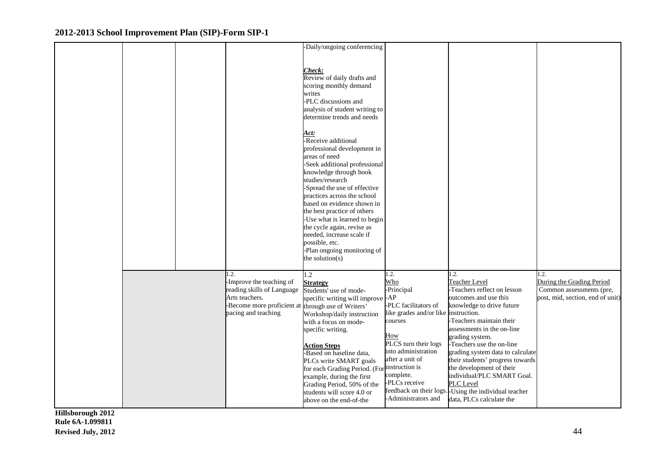|  |                                                                                                                                             | -Daily/ongoing conferencing<br>Check:<br>Review of daily drafts and<br>scoring monthly demand<br>writes<br>-PLC discussions and<br>analysis of student writing to<br>determine trends and needs<br><u>Act:</u><br>-Receive additional<br>professional development in<br>areas of need<br>-Seek additional professional<br>knowledge through book<br>studies/research<br>-Spread the use of effective<br>practices across the school<br>based on evidence shown in<br>the best practice of others<br>-Use what is learned to begin<br>the cycle again, revise as<br>needed, increase scale if<br>possible, etc.<br>-Plan ongoing monitoring of |                                                                                                                                                                                                                                            |                                                                                                                                                                                                                                                                                                                                                                                                                                                         |                                                                                                   |
|--|---------------------------------------------------------------------------------------------------------------------------------------------|-----------------------------------------------------------------------------------------------------------------------------------------------------------------------------------------------------------------------------------------------------------------------------------------------------------------------------------------------------------------------------------------------------------------------------------------------------------------------------------------------------------------------------------------------------------------------------------------------------------------------------------------------|--------------------------------------------------------------------------------------------------------------------------------------------------------------------------------------------------------------------------------------------|---------------------------------------------------------------------------------------------------------------------------------------------------------------------------------------------------------------------------------------------------------------------------------------------------------------------------------------------------------------------------------------------------------------------------------------------------------|---------------------------------------------------------------------------------------------------|
|  |                                                                                                                                             | the solution(s)                                                                                                                                                                                                                                                                                                                                                                                                                                                                                                                                                                                                                               |                                                                                                                                                                                                                                            |                                                                                                                                                                                                                                                                                                                                                                                                                                                         |                                                                                                   |
|  | $\cdot$ 2.<br>-Improve the teaching of<br>reading skills of Language<br>Arts teachers.<br>-Become more proficient at<br>pacing and teaching | $\overline{1.2}$<br><b>Strategy</b><br>Students' use of mode-<br>specific writing will improve<br>through use of Writers'<br>Workshop/daily instruction<br>with a focus on mode-<br>specific writing.<br><b>Action Steps</b><br>-Based on baseline data,<br>PLCs write SMART goals<br>for each Grading Period. (For instruction is<br>example, during the first<br>Grading Period, 50% of the<br>students will score 4.0 or<br>above on the end-of-the                                                                                                                                                                                        | .2.<br>Who<br>-Principal<br>$-AP$<br>-PLC facilitators of<br>like grades and/or like instruction.<br>courses<br>How<br>PLCS turn their logs<br>into administration<br>after a unit of<br>complete.<br>-PLCs receive<br>-Administrators and | 1.2.<br>Teacher Level<br>-Teachers reflect on lesson<br>outcomes and use this<br>knowledge to drive future<br>-Teachers maintain their<br>assessments in the on-line<br>grading system.<br>-Teachers use the on-line<br>grading system data to calculate<br>their students' progress towards<br>the development of their<br>individual/PLC SMART Goal.<br>PLC Level<br>feedback on their logs. Using the individual teacher<br>data, PLCs calculate the | 1.2.<br>During the Grading Period<br>Common assessments (pre,<br>post, mid, section, end of unit) |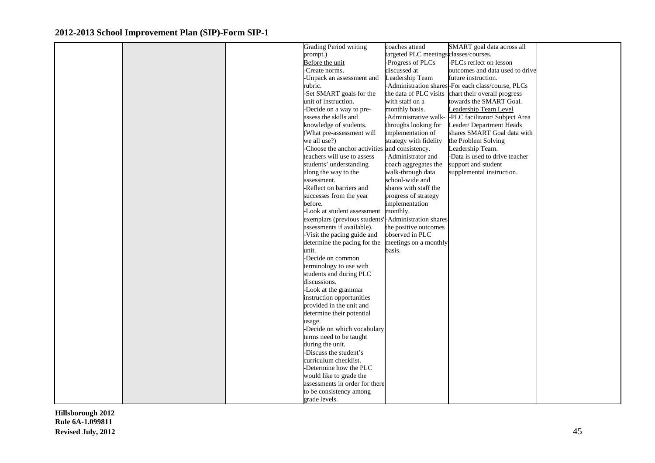|  | Grading Period writing                         | coaches attend                         | SMART goal data across all                         |  |
|--|------------------------------------------------|----------------------------------------|----------------------------------------------------|--|
|  | prompt.)                                       | targeted PLC meetings classes/courses. |                                                    |  |
|  | Before the unit                                | -Progress of PLCs                      | -PLCs reflect on lesson                            |  |
|  | Create norms.                                  | discussed at                           | outcomes and data used to drive                    |  |
|  | Unpack an assessment and                       | Leadership Team                        | future instruction.                                |  |
|  | rubric.                                        |                                        | -Administration shares-For each class/course, PLCs |  |
|  | -Set SMART goals for the                       | the data of PLC visits                 | chart their overall progress                       |  |
|  | unit of instruction.                           | with staff on a                        | towards the SMART Goal.                            |  |
|  | -Decide on a way to pre-                       | monthly basis.                         | Leadership Team Level                              |  |
|  | assess the skills and                          | -Administrative walk-                  | -PLC facilitator/ Subject Area                     |  |
|  | knowledge of students.                         | throughs looking for                   | Leader/Department Heads                            |  |
|  | (What pre-assessment will                      | implementation of                      | shares SMART Goal data with                        |  |
|  | we all use?)                                   | strategy with fidelity                 | the Problem Solving                                |  |
|  | -Choose the anchor activities and consistency. |                                        | Leadership Team.                                   |  |
|  | teachers will use to assess                    | -Administrator and                     | -Data is used to drive teacher                     |  |
|  | students' understanding                        | coach aggregates the                   | support and student                                |  |
|  | along the way to the                           | walk-through data                      | supplemental instruction.                          |  |
|  | assessment.                                    | school-wide and                        |                                                    |  |
|  | -Reflect on barriers and                       | shares with staff the                  |                                                    |  |
|  | successes from the year                        | progress of strategy                   |                                                    |  |
|  | before.                                        | implementation                         |                                                    |  |
|  | -Look at student assessment                    | monthly.                               |                                                    |  |
|  | exemplars (previous students'                  | -Administration shares                 |                                                    |  |
|  | assessments if available).                     | the positive outcomes                  |                                                    |  |
|  | Visit the pacing guide and                     | observed in PLC                        |                                                    |  |
|  | determine the pacing for the                   | meetings on a monthly                  |                                                    |  |
|  | unit.                                          | basis.                                 |                                                    |  |
|  | -Decide on common                              |                                        |                                                    |  |
|  | terminology to use with                        |                                        |                                                    |  |
|  | students and during PLC                        |                                        |                                                    |  |
|  | discussions.                                   |                                        |                                                    |  |
|  | -Look at the grammar                           |                                        |                                                    |  |
|  | instruction opportunities                      |                                        |                                                    |  |
|  | provided in the unit and                       |                                        |                                                    |  |
|  | determine their potential                      |                                        |                                                    |  |
|  | usage.                                         |                                        |                                                    |  |
|  | -Decide on which vocabulary                    |                                        |                                                    |  |
|  | terms need to be taught                        |                                        |                                                    |  |
|  | during the unit.                               |                                        |                                                    |  |
|  | -Discuss the student's                         |                                        |                                                    |  |
|  | curriculum checklist.                          |                                        |                                                    |  |
|  | -Determine how the PLC                         |                                        |                                                    |  |
|  | would like to grade the                        |                                        |                                                    |  |
|  | assessments in order for there                 |                                        |                                                    |  |
|  | to be consistency among                        |                                        |                                                    |  |
|  | grade levels.                                  |                                        |                                                    |  |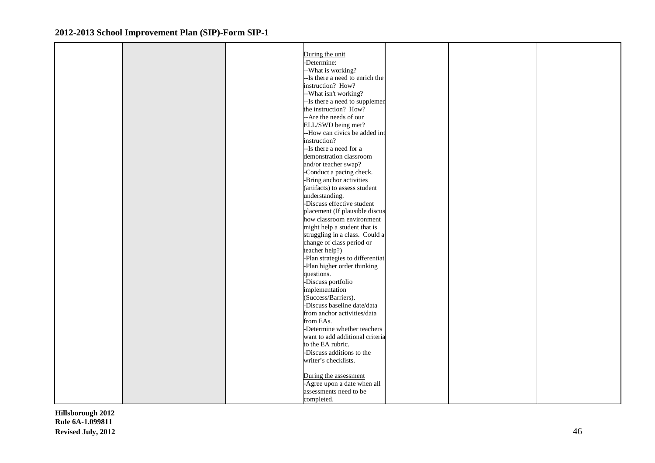| During the unit<br>-Determine:<br>-What is working?<br>--Is there a need to enrich the<br>instruction? How?<br>--What isn't working?<br>-- Is there a need to supplemen<br>the instruction? How?<br>-- Are the needs of our<br>ELL/SWD being met?<br>--How can civics be added int<br>instruction?<br>--Is there a need for a<br>demonstration classroom<br>and/or teacher swap?<br>-Conduct a pacing check.<br>-Bring anchor activities<br>(artifacts) to assess student<br>understanding.<br>-Discuss effective student<br>placement (If plausible discus<br>how classroom environment<br>might help a student that is<br>struggling in a class. Could a<br>change of class period or<br>teacher help?)<br>-Plan strategies to differentiat<br>-Plan higher order thinking<br>questions.<br>-Discuss portfolio<br>implementation<br>(Success/Barriers).<br>-Discuss baseline date/data<br>from anchor activities/data<br>from EAs.<br>-Determine whether teachers<br>want to add additional criteria<br>to the EA rubric.<br>-Discuss additions to the<br>writer's checklists.<br>During the assessment |  |                             |  |  |
|-----------------------------------------------------------------------------------------------------------------------------------------------------------------------------------------------------------------------------------------------------------------------------------------------------------------------------------------------------------------------------------------------------------------------------------------------------------------------------------------------------------------------------------------------------------------------------------------------------------------------------------------------------------------------------------------------------------------------------------------------------------------------------------------------------------------------------------------------------------------------------------------------------------------------------------------------------------------------------------------------------------------------------------------------------------------------------------------------------------|--|-----------------------------|--|--|
|                                                                                                                                                                                                                                                                                                                                                                                                                                                                                                                                                                                                                                                                                                                                                                                                                                                                                                                                                                                                                                                                                                           |  |                             |  |  |
|                                                                                                                                                                                                                                                                                                                                                                                                                                                                                                                                                                                                                                                                                                                                                                                                                                                                                                                                                                                                                                                                                                           |  |                             |  |  |
|                                                                                                                                                                                                                                                                                                                                                                                                                                                                                                                                                                                                                                                                                                                                                                                                                                                                                                                                                                                                                                                                                                           |  |                             |  |  |
|                                                                                                                                                                                                                                                                                                                                                                                                                                                                                                                                                                                                                                                                                                                                                                                                                                                                                                                                                                                                                                                                                                           |  |                             |  |  |
|                                                                                                                                                                                                                                                                                                                                                                                                                                                                                                                                                                                                                                                                                                                                                                                                                                                                                                                                                                                                                                                                                                           |  |                             |  |  |
|                                                                                                                                                                                                                                                                                                                                                                                                                                                                                                                                                                                                                                                                                                                                                                                                                                                                                                                                                                                                                                                                                                           |  |                             |  |  |
|                                                                                                                                                                                                                                                                                                                                                                                                                                                                                                                                                                                                                                                                                                                                                                                                                                                                                                                                                                                                                                                                                                           |  |                             |  |  |
|                                                                                                                                                                                                                                                                                                                                                                                                                                                                                                                                                                                                                                                                                                                                                                                                                                                                                                                                                                                                                                                                                                           |  |                             |  |  |
|                                                                                                                                                                                                                                                                                                                                                                                                                                                                                                                                                                                                                                                                                                                                                                                                                                                                                                                                                                                                                                                                                                           |  |                             |  |  |
|                                                                                                                                                                                                                                                                                                                                                                                                                                                                                                                                                                                                                                                                                                                                                                                                                                                                                                                                                                                                                                                                                                           |  |                             |  |  |
|                                                                                                                                                                                                                                                                                                                                                                                                                                                                                                                                                                                                                                                                                                                                                                                                                                                                                                                                                                                                                                                                                                           |  |                             |  |  |
|                                                                                                                                                                                                                                                                                                                                                                                                                                                                                                                                                                                                                                                                                                                                                                                                                                                                                                                                                                                                                                                                                                           |  |                             |  |  |
|                                                                                                                                                                                                                                                                                                                                                                                                                                                                                                                                                                                                                                                                                                                                                                                                                                                                                                                                                                                                                                                                                                           |  |                             |  |  |
|                                                                                                                                                                                                                                                                                                                                                                                                                                                                                                                                                                                                                                                                                                                                                                                                                                                                                                                                                                                                                                                                                                           |  |                             |  |  |
|                                                                                                                                                                                                                                                                                                                                                                                                                                                                                                                                                                                                                                                                                                                                                                                                                                                                                                                                                                                                                                                                                                           |  |                             |  |  |
|                                                                                                                                                                                                                                                                                                                                                                                                                                                                                                                                                                                                                                                                                                                                                                                                                                                                                                                                                                                                                                                                                                           |  |                             |  |  |
|                                                                                                                                                                                                                                                                                                                                                                                                                                                                                                                                                                                                                                                                                                                                                                                                                                                                                                                                                                                                                                                                                                           |  |                             |  |  |
|                                                                                                                                                                                                                                                                                                                                                                                                                                                                                                                                                                                                                                                                                                                                                                                                                                                                                                                                                                                                                                                                                                           |  |                             |  |  |
|                                                                                                                                                                                                                                                                                                                                                                                                                                                                                                                                                                                                                                                                                                                                                                                                                                                                                                                                                                                                                                                                                                           |  |                             |  |  |
|                                                                                                                                                                                                                                                                                                                                                                                                                                                                                                                                                                                                                                                                                                                                                                                                                                                                                                                                                                                                                                                                                                           |  |                             |  |  |
|                                                                                                                                                                                                                                                                                                                                                                                                                                                                                                                                                                                                                                                                                                                                                                                                                                                                                                                                                                                                                                                                                                           |  |                             |  |  |
|                                                                                                                                                                                                                                                                                                                                                                                                                                                                                                                                                                                                                                                                                                                                                                                                                                                                                                                                                                                                                                                                                                           |  |                             |  |  |
|                                                                                                                                                                                                                                                                                                                                                                                                                                                                                                                                                                                                                                                                                                                                                                                                                                                                                                                                                                                                                                                                                                           |  |                             |  |  |
|                                                                                                                                                                                                                                                                                                                                                                                                                                                                                                                                                                                                                                                                                                                                                                                                                                                                                                                                                                                                                                                                                                           |  |                             |  |  |
|                                                                                                                                                                                                                                                                                                                                                                                                                                                                                                                                                                                                                                                                                                                                                                                                                                                                                                                                                                                                                                                                                                           |  |                             |  |  |
|                                                                                                                                                                                                                                                                                                                                                                                                                                                                                                                                                                                                                                                                                                                                                                                                                                                                                                                                                                                                                                                                                                           |  |                             |  |  |
|                                                                                                                                                                                                                                                                                                                                                                                                                                                                                                                                                                                                                                                                                                                                                                                                                                                                                                                                                                                                                                                                                                           |  |                             |  |  |
|                                                                                                                                                                                                                                                                                                                                                                                                                                                                                                                                                                                                                                                                                                                                                                                                                                                                                                                                                                                                                                                                                                           |  |                             |  |  |
|                                                                                                                                                                                                                                                                                                                                                                                                                                                                                                                                                                                                                                                                                                                                                                                                                                                                                                                                                                                                                                                                                                           |  |                             |  |  |
|                                                                                                                                                                                                                                                                                                                                                                                                                                                                                                                                                                                                                                                                                                                                                                                                                                                                                                                                                                                                                                                                                                           |  |                             |  |  |
|                                                                                                                                                                                                                                                                                                                                                                                                                                                                                                                                                                                                                                                                                                                                                                                                                                                                                                                                                                                                                                                                                                           |  |                             |  |  |
|                                                                                                                                                                                                                                                                                                                                                                                                                                                                                                                                                                                                                                                                                                                                                                                                                                                                                                                                                                                                                                                                                                           |  |                             |  |  |
|                                                                                                                                                                                                                                                                                                                                                                                                                                                                                                                                                                                                                                                                                                                                                                                                                                                                                                                                                                                                                                                                                                           |  |                             |  |  |
|                                                                                                                                                                                                                                                                                                                                                                                                                                                                                                                                                                                                                                                                                                                                                                                                                                                                                                                                                                                                                                                                                                           |  |                             |  |  |
|                                                                                                                                                                                                                                                                                                                                                                                                                                                                                                                                                                                                                                                                                                                                                                                                                                                                                                                                                                                                                                                                                                           |  |                             |  |  |
|                                                                                                                                                                                                                                                                                                                                                                                                                                                                                                                                                                                                                                                                                                                                                                                                                                                                                                                                                                                                                                                                                                           |  |                             |  |  |
|                                                                                                                                                                                                                                                                                                                                                                                                                                                                                                                                                                                                                                                                                                                                                                                                                                                                                                                                                                                                                                                                                                           |  |                             |  |  |
|                                                                                                                                                                                                                                                                                                                                                                                                                                                                                                                                                                                                                                                                                                                                                                                                                                                                                                                                                                                                                                                                                                           |  |                             |  |  |
|                                                                                                                                                                                                                                                                                                                                                                                                                                                                                                                                                                                                                                                                                                                                                                                                                                                                                                                                                                                                                                                                                                           |  |                             |  |  |
|                                                                                                                                                                                                                                                                                                                                                                                                                                                                                                                                                                                                                                                                                                                                                                                                                                                                                                                                                                                                                                                                                                           |  |                             |  |  |
|                                                                                                                                                                                                                                                                                                                                                                                                                                                                                                                                                                                                                                                                                                                                                                                                                                                                                                                                                                                                                                                                                                           |  |                             |  |  |
|                                                                                                                                                                                                                                                                                                                                                                                                                                                                                                                                                                                                                                                                                                                                                                                                                                                                                                                                                                                                                                                                                                           |  |                             |  |  |
|                                                                                                                                                                                                                                                                                                                                                                                                                                                                                                                                                                                                                                                                                                                                                                                                                                                                                                                                                                                                                                                                                                           |  | -Agree upon a date when all |  |  |
| assessments need to be                                                                                                                                                                                                                                                                                                                                                                                                                                                                                                                                                                                                                                                                                                                                                                                                                                                                                                                                                                                                                                                                                    |  |                             |  |  |
| completed.                                                                                                                                                                                                                                                                                                                                                                                                                                                                                                                                                                                                                                                                                                                                                                                                                                                                                                                                                                                                                                                                                                |  |                             |  |  |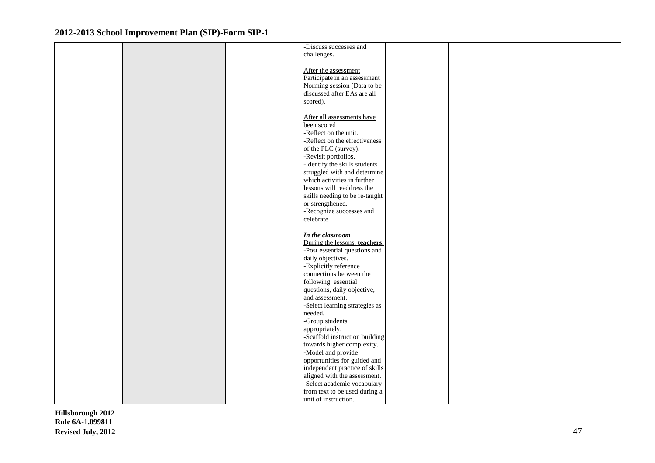|  | -Discuss successes and         |  |  |
|--|--------------------------------|--|--|
|  | challenges.                    |  |  |
|  |                                |  |  |
|  | After the assessment           |  |  |
|  | Participate in an assessment   |  |  |
|  | Norming session (Data to be    |  |  |
|  |                                |  |  |
|  | discussed after EAs are all    |  |  |
|  | scored).                       |  |  |
|  |                                |  |  |
|  | After all assessments have     |  |  |
|  | been scored                    |  |  |
|  | -Reflect on the unit.          |  |  |
|  | -Reflect on the effectiveness  |  |  |
|  | of the PLC (survey).           |  |  |
|  | -Revisit portfolios.           |  |  |
|  | -Identify the skills students  |  |  |
|  | struggled with and determine   |  |  |
|  | which activities in further    |  |  |
|  | lessons will readdress the     |  |  |
|  | skills needing to be re-taught |  |  |
|  | or strengthened.               |  |  |
|  | -Recognize successes and       |  |  |
|  | celebrate.                     |  |  |
|  |                                |  |  |
|  | In the classroom               |  |  |
|  | During the lessons, teachers:  |  |  |
|  | -Post essential questions and  |  |  |
|  |                                |  |  |
|  | daily objectives.              |  |  |
|  | -Explicitly reference          |  |  |
|  | connections between the        |  |  |
|  | following: essential           |  |  |
|  | questions, daily objective,    |  |  |
|  | and assessment.                |  |  |
|  | -Select learning strategies as |  |  |
|  | needed.                        |  |  |
|  | -Group students                |  |  |
|  | appropriately.                 |  |  |
|  | -Scaffold instruction building |  |  |
|  | towards higher complexity.     |  |  |
|  | -Model and provide             |  |  |
|  | opportunities for guided and   |  |  |
|  | independent practice of skills |  |  |
|  | aligned with the assessment.   |  |  |
|  | -Select academic vocabulary    |  |  |
|  | from text to be used during a  |  |  |
|  |                                |  |  |
|  | unit of instruction.           |  |  |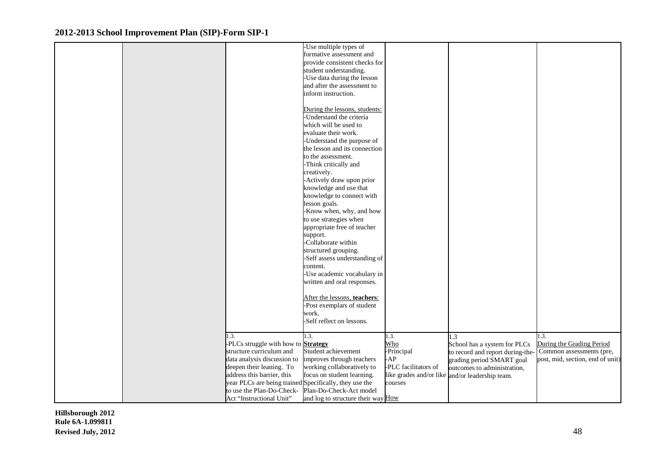|  |                                                        | -Use multiple types of             |                      |                                                 |                                  |
|--|--------------------------------------------------------|------------------------------------|----------------------|-------------------------------------------------|----------------------------------|
|  |                                                        | formative assessment and           |                      |                                                 |                                  |
|  |                                                        | provide consistent checks for      |                      |                                                 |                                  |
|  |                                                        | student understanding.             |                      |                                                 |                                  |
|  |                                                        | -Use data during the lesson        |                      |                                                 |                                  |
|  |                                                        | and after the assessment to        |                      |                                                 |                                  |
|  |                                                        | inform instruction.                |                      |                                                 |                                  |
|  |                                                        |                                    |                      |                                                 |                                  |
|  |                                                        | During the lessons, students:      |                      |                                                 |                                  |
|  |                                                        | Understand the criteria            |                      |                                                 |                                  |
|  |                                                        |                                    |                      |                                                 |                                  |
|  |                                                        | which will be used to              |                      |                                                 |                                  |
|  |                                                        | evaluate their work.               |                      |                                                 |                                  |
|  |                                                        | -Understand the purpose of         |                      |                                                 |                                  |
|  |                                                        | the lesson and its connection      |                      |                                                 |                                  |
|  |                                                        | to the assessment.                 |                      |                                                 |                                  |
|  |                                                        | -Think critically and              |                      |                                                 |                                  |
|  |                                                        | creatively.                        |                      |                                                 |                                  |
|  |                                                        | -Actively draw upon prior          |                      |                                                 |                                  |
|  |                                                        | knowledge and use that             |                      |                                                 |                                  |
|  |                                                        | knowledge to connect with          |                      |                                                 |                                  |
|  |                                                        | lesson goals.                      |                      |                                                 |                                  |
|  |                                                        | -Know when, why, and how           |                      |                                                 |                                  |
|  |                                                        | to use strategies when             |                      |                                                 |                                  |
|  |                                                        | appropriate free of teacher        |                      |                                                 |                                  |
|  |                                                        | support.                           |                      |                                                 |                                  |
|  |                                                        | -Collaborate within                |                      |                                                 |                                  |
|  |                                                        |                                    |                      |                                                 |                                  |
|  |                                                        | structured grouping.               |                      |                                                 |                                  |
|  |                                                        | -Self assess understanding of      |                      |                                                 |                                  |
|  |                                                        | content.                           |                      |                                                 |                                  |
|  |                                                        | -Use academic vocabulary in        |                      |                                                 |                                  |
|  |                                                        | written and oral responses.        |                      |                                                 |                                  |
|  |                                                        |                                    |                      |                                                 |                                  |
|  |                                                        | After the lessons, teachers:       |                      |                                                 |                                  |
|  |                                                        | -Post exemplars of student         |                      |                                                 |                                  |
|  |                                                        | work.                              |                      |                                                 |                                  |
|  |                                                        | -Self reflect on lessons.          |                      |                                                 |                                  |
|  |                                                        |                                    |                      |                                                 |                                  |
|  | 1.3.                                                   | 1.3.                               | 1.3.                 | 1.3                                             | 1.3.                             |
|  | -PLCs struggle with how to <b>Strategy</b>             |                                    | Who                  | School has a system for PLCs                    | During the Grading Period        |
|  | structure curriculum and                               | Student achievement                | -Principal           | to record and report during-the                 | Common assessments (pre,         |
|  | data analysis discussion to                            | improves through teachers          | AP                   | grading period SMART goal                       | post, mid, section, end of unit) |
|  | deepen their leaning. To                               | working collaboratively to         | -PLC facilitators of | outcomes to administration,                     |                                  |
|  | address this barrier, this                             | focus on student learning.         |                      | like grades and/or like and/or leadership team. |                                  |
|  | year PLCs are being trained Specifically, they use the |                                    | courses              |                                                 |                                  |
|  | to use the Plan-Do-Check-                              | Plan-Do-Check-Act model            |                      |                                                 |                                  |
|  | Act "Instructional Unit"                               | and log to structure their way How |                      |                                                 |                                  |
|  |                                                        |                                    |                      |                                                 |                                  |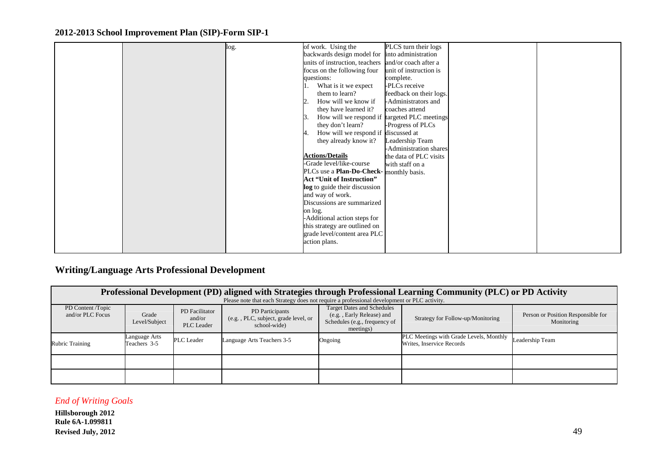| log. | of work. Using the                                  | PLCS turn their logs    |  |
|------|-----------------------------------------------------|-------------------------|--|
|      | backwards design model for into administration      |                         |  |
|      | units of instruction, teachers                      | and/or coach after a    |  |
|      | focus on the following four                         | unit of instruction is  |  |
|      | questions:                                          | complete.               |  |
|      | What is it we expect                                | -PLCs receive           |  |
|      | them to learn?                                      | feedback on their logs. |  |
|      | How will we know if                                 | -Administrators and     |  |
|      | they have learned it?                               | coaches attend          |  |
|      | How will we respond if targeted PLC meetings<br>13. |                         |  |
|      | they don't learn?                                   | -Progress of PLCs       |  |
|      | How will we respond if discussed at                 |                         |  |
|      | they already know it?                               | Leadership Team         |  |
|      |                                                     | -Administration shares  |  |
|      | <b>Actions/Details</b>                              | the data of PLC visits  |  |
|      | -Grade level/like-course                            | with staff on a         |  |
|      | PLCs use a <b>Plan-Do-Check-</b>                    | monthly basis.          |  |
|      | <b>Act "Unit of Instruction"</b>                    |                         |  |
|      | log to guide their discussion                       |                         |  |
|      | and way of work.                                    |                         |  |
|      | Discussions are summarized                          |                         |  |
|      | on log.                                             |                         |  |
|      | -Additional action steps for                        |                         |  |
|      | this strategy are outlined on                       |                         |  |
|      | grade level/content area PLC                        |                         |  |
|      | action plans.                                       |                         |  |
|      |                                                     |                         |  |

## **Writing/Language Arts Professional Development**

|                                       | Professional Development (PD) aligned with Strategies through Professional Learning Community (PLC) or PD Activity |                                        |                                                                        |                                                                                                              |                                                                      |                                                  |  |  |  |  |
|---------------------------------------|--------------------------------------------------------------------------------------------------------------------|----------------------------------------|------------------------------------------------------------------------|--------------------------------------------------------------------------------------------------------------|----------------------------------------------------------------------|--------------------------------------------------|--|--|--|--|
|                                       | Please note that each Strategy does not require a professional development or PLC activity.                        |                                        |                                                                        |                                                                                                              |                                                                      |                                                  |  |  |  |  |
| PD Content /Topic<br>and/or PLC Focus | Grade<br>Level/Subject                                                                                             | PD Facilitator<br>and/or<br>PLC Leader | PD Participants<br>(e.g., PLC, subject, grade level, or<br>school-wide | <b>Target Dates and Schedules</b><br>(e.g., Early Release) and<br>Schedules (e.g., frequency of<br>meetings) | Strategy for Follow-up/Monitoring                                    | Person or Position Responsible for<br>Monitoring |  |  |  |  |
| <b>Rubric Training</b>                | Language Arts<br>Teachers 3-5                                                                                      | PLC Leader                             | Language Arts Teachers 3-5                                             | Ongoing                                                                                                      | PLC Meetings with Grade Levels, Monthly<br>Writes, Inservice Records | Leadership Team                                  |  |  |  |  |
|                                       |                                                                                                                    |                                        |                                                                        |                                                                                                              |                                                                      |                                                  |  |  |  |  |
|                                       |                                                                                                                    |                                        |                                                                        |                                                                                                              |                                                                      |                                                  |  |  |  |  |

#### *End of Writing Goals*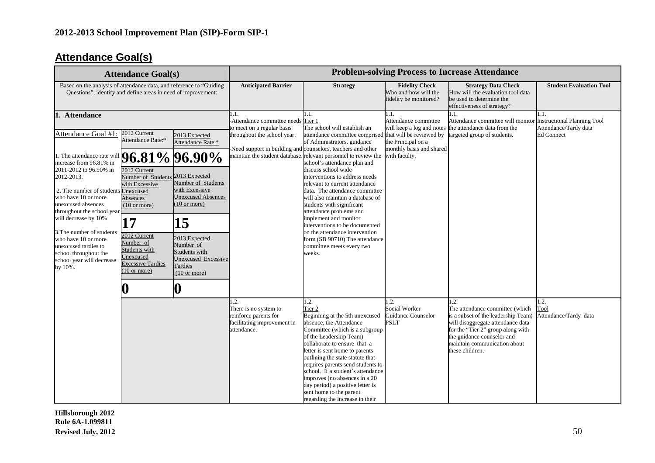## **Attendance Goal(s)**

|                                                                                                                                                                                                                                                                                                                                      | <b>Attendance Goal(s)</b>                                                                                                                                                        |                                                                                                                                                                              | <b>Problem-solving Process to Increase Attendance</b>                                                   |                                                                                                                                                                                                                                                                                                                                                                                                                                                                                                                                                                                                                                 |                                                                                                                           |                                                                                                                                                                                                |                                                                                   |
|--------------------------------------------------------------------------------------------------------------------------------------------------------------------------------------------------------------------------------------------------------------------------------------------------------------------------------------|----------------------------------------------------------------------------------------------------------------------------------------------------------------------------------|------------------------------------------------------------------------------------------------------------------------------------------------------------------------------|---------------------------------------------------------------------------------------------------------|---------------------------------------------------------------------------------------------------------------------------------------------------------------------------------------------------------------------------------------------------------------------------------------------------------------------------------------------------------------------------------------------------------------------------------------------------------------------------------------------------------------------------------------------------------------------------------------------------------------------------------|---------------------------------------------------------------------------------------------------------------------------|------------------------------------------------------------------------------------------------------------------------------------------------------------------------------------------------|-----------------------------------------------------------------------------------|
| Based on the analysis of attendance data, and reference to "Guiding<br>Questions", identify and define areas in need of improvement:                                                                                                                                                                                                 |                                                                                                                                                                                  | <b>Anticipated Barrier</b>                                                                                                                                                   | <b>Strategy</b>                                                                                         | <b>Fidelity Check</b><br>Who and how will the<br>fidelity be monitored?                                                                                                                                                                                                                                                                                                                                                                                                                                                                                                                                                         | <b>Strategy Data Check</b><br>How will the evaluation tool data<br>be used to determine the<br>effectiveness of strategy? | <b>Student Evaluation Tool</b>                                                                                                                                                                 |                                                                                   |
| 1. Attendance<br>Attendance Goal #1:<br>1. The attendance rate will<br>increase from 96.81% in<br>2011-2012 to 96.90% in<br>2012-2013.<br>2. The number of students Unexcused<br>who have 10 or more<br>unexcused absences<br>throughout the school year<br>will decrease by 10%<br>3. The number of students<br>who have 10 or more | 2012 Current<br>Attendance Rate:*<br>2012 Current<br>Number of Students 2013 Expected<br>with Excessive<br>Absences<br>$(10 \text{ or more})$<br>17<br>2012 Current<br>Number of | 2013 Expected<br>Attendance Rate:*<br>$96.81\%$ 96.90%<br>Number of Students<br>with Excessive<br><b>Unexcused Absences</b><br>$(10 \text{ or more})$<br>15<br>2013 Expected | 1.1.<br>-Attendance committee needs Tier 1<br>to meet on a regular basis<br>throughout the school year. | 1.1.<br>The school will establish an<br>attendance committee comprised<br>of Administrators, guidance<br>Need support in building and counselors, teachers and other<br>maintain the student database. relevant personnel to review the<br>school's attendance plan and<br>discuss school wide<br>interventions to address needs<br>relevant to current attendance<br>data. The attendance committee<br>will also maintain a database of<br>students with significant<br>attendance problems and<br>implement and monitor<br>interventions to be documented<br>on the attendance intervention<br>form (SB 90710) The attendance | 1.1.<br>Attendance committee<br>the Principal on a<br>monthly basis and shared<br>with faculty.                           | 1.1.<br>Attendance committee will monitor<br>will keep a log and notes the attendance data from the<br>that will be reviewed by targeted group of students.                                    | 1.1.<br>Instructional Planning Tool<br>Attendance/Tardy data<br><b>Ed Connect</b> |
| unexcused tardies to<br>school throughout the<br>school year will decrease<br>by 10%.                                                                                                                                                                                                                                                | Students with<br>Jnexcused<br><b>Excessive Tardies</b><br>$(10 \text{ or more})$                                                                                                 | Number of<br>Students with<br>Unexcused Excessive<br>Tardies<br>$(10 \text{ or more})$<br>0                                                                                  | 1.2.<br>There is no system to                                                                           | committee meets every two<br>weeks.<br>1.2.<br>Tier <sub>2</sub>                                                                                                                                                                                                                                                                                                                                                                                                                                                                                                                                                                | 1.2.<br>Social Worker                                                                                                     | 1.2.<br>The attendance committee (which                                                                                                                                                        | 1.2.<br>Tool                                                                      |
|                                                                                                                                                                                                                                                                                                                                      |                                                                                                                                                                                  |                                                                                                                                                                              | reinforce parents for<br>facilitating improvement in<br>attendance.                                     | Beginning at the 5th unexcused<br>absence, the Attendance<br>Committee (which is a subgroup<br>of the Leadership Team)<br>collaborate to ensure that a<br>letter is sent home to parents<br>outlining the state statute that<br>requires parents send students to<br>school. If a student's attendance<br>improves (no absences in a 20<br>day period) a positive letter is<br>sent home to the parent<br>regarding the increase in their                                                                                                                                                                                       | <b>Guidance Counselor</b><br><b>PSLT</b>                                                                                  | is a subset of the leadership Team)<br>will disaggregate attendance data<br>for the "Tier 2" group along with<br>the guidance counselor and<br>maintain communication about<br>these children. | Attendance/Tardy data                                                             |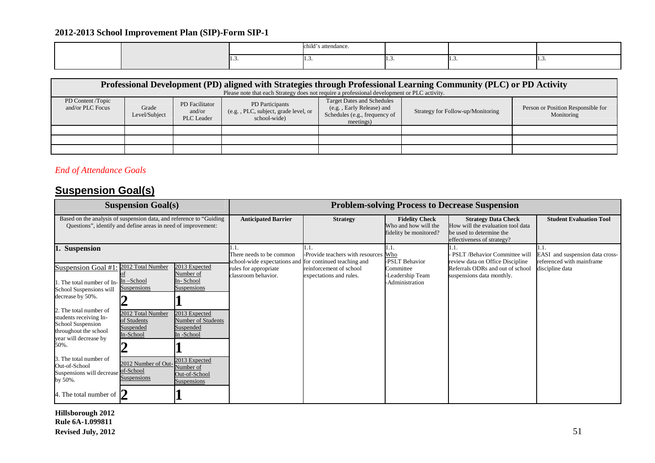|  | child'<br>''s attendance. |   |   |
|--|---------------------------|---|---|
|  | .                         | . | . |

| Professional Development (PD) aligned with Strategies through Professional Learning Community (PLC) or PD Activity<br>Please note that each Strategy does not require a professional development or PLC activity. |                        |                                               |                                                                        |                                                                                                              |                                   |                                                  |  |  |  |
|-------------------------------------------------------------------------------------------------------------------------------------------------------------------------------------------------------------------|------------------------|-----------------------------------------------|------------------------------------------------------------------------|--------------------------------------------------------------------------------------------------------------|-----------------------------------|--------------------------------------------------|--|--|--|
| PD Content /Topic<br>and/or PLC Focus                                                                                                                                                                             | Grade<br>Level/Subject | PD Facilitator<br>and/or<br><b>PLC</b> Leader | PD Participants<br>(e.g., PLC, subject, grade level, or<br>school-wide | <b>Target Dates and Schedules</b><br>(e.g., Early Release) and<br>Schedules (e.g., frequency of<br>meetings) | Strategy for Follow-up/Monitoring | Person or Position Responsible for<br>Monitoring |  |  |  |
|                                                                                                                                                                                                                   |                        |                                               |                                                                        |                                                                                                              |                                   |                                                  |  |  |  |
|                                                                                                                                                                                                                   |                        |                                               |                                                                        |                                                                                                              |                                   |                                                  |  |  |  |
|                                                                                                                                                                                                                   |                        |                                               |                                                                        |                                                                                                              |                                   |                                                  |  |  |  |

## *End of Attendance Goals*

## **Suspension Goal(s)**

| <b>Suspension Goal(s)</b>                                                                                                                                                                                                                                                                                                                                                                                                                                                                                                            |                                                                                                                                                                                                              | <b>Problem-solving Process to Decrease Suspension</b>                                                                               |                                                                                                    |                                                                         |                                                                                                                                      |                                                                                 |  |
|--------------------------------------------------------------------------------------------------------------------------------------------------------------------------------------------------------------------------------------------------------------------------------------------------------------------------------------------------------------------------------------------------------------------------------------------------------------------------------------------------------------------------------------|--------------------------------------------------------------------------------------------------------------------------------------------------------------------------------------------------------------|-------------------------------------------------------------------------------------------------------------------------------------|----------------------------------------------------------------------------------------------------|-------------------------------------------------------------------------|--------------------------------------------------------------------------------------------------------------------------------------|---------------------------------------------------------------------------------|--|
| Based on the analysis of suspension data, and reference to "Guiding"<br>Questions", identify and define areas in need of improvement:                                                                                                                                                                                                                                                                                                                                                                                                |                                                                                                                                                                                                              | <b>Anticipated Barrier</b>                                                                                                          | <b>Strategy</b>                                                                                    | <b>Fidelity Check</b><br>Who and how will the<br>fidelity be monitored? | <b>Strategy Data Check</b><br>How will the evaluation tool data<br>be used to determine the<br>effectiveness of strategy?            | <b>Student Evaluation Tool</b>                                                  |  |
| <b>Suspension</b><br>2012 Total Number<br>Suspension Goal #1<br>In-School<br>1. The total number of In-<br>Suspensions<br>School Suspensions will<br>decrease by 50%.<br>2. The total number of<br>2012 Total Number<br>students receiving In-<br>of Students<br>School Suspension<br>Suspended<br>throughout the school<br>In-School<br>year will decrease by<br>50%.<br>3. The total number of<br>Out-of-School<br>of-School<br>Suspensions will decrease<br><b>Suspensions</b><br>by 50%.<br>4. The total number of $\mathcal{V}$ | 2013 Expected<br>Number of<br>In-School<br>Suspensions<br>2013 Expected<br>Number of Students<br>Suspended<br>In-School<br>2013 Expected<br>2012 Number of Out-<br>Number of<br>Out-of-School<br>Suspensions | There needs to be common<br>school-wide expectations and for continued teaching and<br>rules for appropriate<br>classroom behavior. | 1.1.<br>-Provide teachers with resources Who<br>reinforcement of school<br>expectations and rules. | 1.1.<br>PSLT Behavior<br>Committee<br>Leadership Team<br>Administration | - PSLT /Behavior Committee will<br>review data on Office Discipline<br>Referrals ODRs and out of school<br>suspensions data monthly. | EASI and suspension data cross-<br>referenced with mainframe<br>discipline data |  |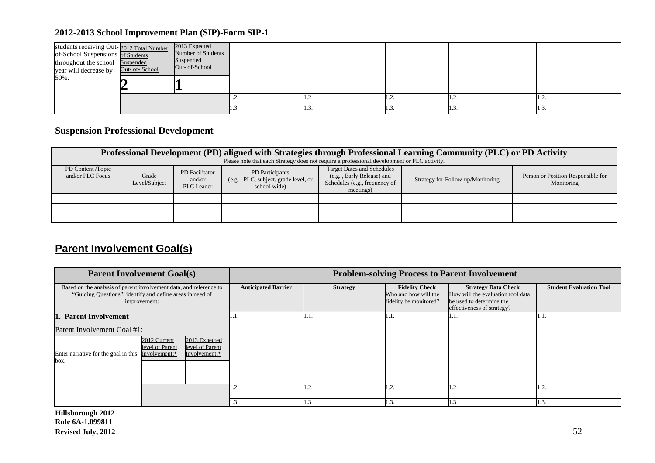| students receiving Out-2012 Total Number<br>of-School Suspensions of Students<br>throughout the school Suspended<br>year will decrease by Out- of-School<br>50%. | 2013 Expected<br>Number of Students<br>Suspended<br>Out- of-School |       |   |              |                          |
|------------------------------------------------------------------------------------------------------------------------------------------------------------------|--------------------------------------------------------------------|-------|---|--------------|--------------------------|
|                                                                                                                                                                  |                                                                    | . .∠. | . | . <u>. .</u> | 1.2                      |
|                                                                                                                                                                  |                                                                    |       |   | 11.J.        | $\mathbf{II}.\mathbf{3}$ |

## **Suspension Professional Development**

|                                       | Professional Development (PD) aligned with Strategies through Professional Learning Community (PLC) or PD Activity<br>Please note that each Strategy does not require a professional development or PLC activity. |                                        |                                                                        |                                                                                                              |                                   |                                                  |  |  |  |  |  |
|---------------------------------------|-------------------------------------------------------------------------------------------------------------------------------------------------------------------------------------------------------------------|----------------------------------------|------------------------------------------------------------------------|--------------------------------------------------------------------------------------------------------------|-----------------------------------|--------------------------------------------------|--|--|--|--|--|
| PD Content /Topic<br>and/or PLC Focus | Grade<br>Level/Subject                                                                                                                                                                                            | PD Facilitator<br>and/or<br>PLC Leader | PD Participants<br>(e.g., PLC, subject, grade level, or<br>school-wide | <b>Target Dates and Schedules</b><br>(e.g., Early Release) and<br>Schedules (e.g., frequency of<br>meetings) | Strategy for Follow-up/Monitoring | Person or Position Responsible for<br>Monitoring |  |  |  |  |  |
|                                       |                                                                                                                                                                                                                   |                                        |                                                                        |                                                                                                              |                                   |                                                  |  |  |  |  |  |
|                                       |                                                                                                                                                                                                                   |                                        |                                                                        |                                                                                                              |                                   |                                                  |  |  |  |  |  |
|                                       |                                                                                                                                                                                                                   |                                        |                                                                        |                                                                                                              |                                   |                                                  |  |  |  |  |  |

## **Parent Involvement Goal(s)**

| <b>Parent Involvement Goal(s)</b>                                                                                                                     |                            | <b>Problem-solving Process to Parent Involvement</b> |                                                                         |                                                                                                                           |                                |  |
|-------------------------------------------------------------------------------------------------------------------------------------------------------|----------------------------|------------------------------------------------------|-------------------------------------------------------------------------|---------------------------------------------------------------------------------------------------------------------------|--------------------------------|--|
| Based on the analysis of parent involvement data, and reference to<br>"Guiding Questions", identify and define areas in need of<br>improvement:       | <b>Anticipated Barrier</b> | <b>Strategy</b>                                      | <b>Fidelity Check</b><br>Who and how will the<br>fidelity be monitored? | <b>Strategy Data Check</b><br>How will the evaluation tool data<br>be used to determine the<br>effectiveness of strategy? | <b>Student Evaluation Tool</b> |  |
| 1. Parent Involvement                                                                                                                                 |                            | 1. I                                                 | 1.1.                                                                    | 1.1.                                                                                                                      | 1.1.                           |  |
| Parent Involvement Goal #1:                                                                                                                           |                            |                                                      |                                                                         |                                                                                                                           |                                |  |
| 2013 Expected<br>2012 Current<br>level of Parent<br>level of Parent<br>Enter narrative for the goal in this<br>Involvement:*<br>Involvement:*<br>box. |                            |                                                      |                                                                         |                                                                                                                           |                                |  |
|                                                                                                                                                       | 1.4.                       | 1.2.                                                 | 1.2.                                                                    | 1.2.                                                                                                                      | l .2.                          |  |
|                                                                                                                                                       | 1.3.                       | 1.3.                                                 | 1.3.                                                                    | 1.3                                                                                                                       | 1.3.                           |  |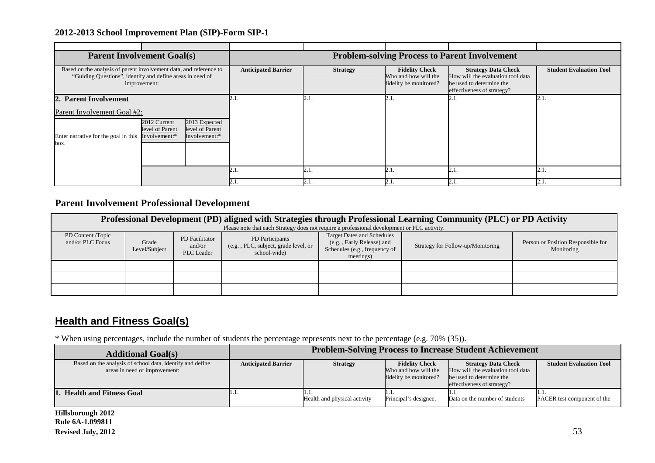|                                                                                                                                                       | <b>Parent Involvement Goal(s)</b>                                         |                            | <b>Problem-solving Process to Parent Involvement</b> |                                                                         |                                                                                                                           |                                |  |  |
|-------------------------------------------------------------------------------------------------------------------------------------------------------|---------------------------------------------------------------------------|----------------------------|------------------------------------------------------|-------------------------------------------------------------------------|---------------------------------------------------------------------------------------------------------------------------|--------------------------------|--|--|
| Based on the analysis of parent involvement data, and reference to                                                                                    | "Guiding Questions", identify and define areas in need of<br>improvement: | <b>Anticipated Barrier</b> | <b>Strategy</b>                                      | <b>Fidelity Check</b><br>Who and how will the<br>fidelity be monitored? | <b>Strategy Data Check</b><br>How will the evaluation tool data<br>be used to determine the<br>effectiveness of strategy? | <b>Student Evaluation Tool</b> |  |  |
| 2. Parent Involvement                                                                                                                                 |                                                                           |                            | 2.1.                                                 | 2.1                                                                     | 2.1                                                                                                                       | 2.1                            |  |  |
|                                                                                                                                                       | Parent Involvement Goal #2:                                               |                            |                                                      |                                                                         |                                                                                                                           |                                |  |  |
| 2013 Expected<br>2012 Current<br>level of Parent<br>level of Parent<br>Enter narrative for the goal in this<br>Involvement:*<br>Involvement:*<br>box. |                                                                           |                            |                                                      |                                                                         |                                                                                                                           |                                |  |  |
|                                                                                                                                                       |                                                                           | 2.1.                       | 2.1.                                                 | 2.1.                                                                    | 2.1                                                                                                                       | 2.1                            |  |  |
|                                                                                                                                                       |                                                                           |                            | 2.1.                                                 | 2.1.                                                                    | 2.1                                                                                                                       | 2.1                            |  |  |

## **Parent Involvement Professional Development**

| Professional Development (PD) aligned with Strategies through Professional Learning Community (PLC) or PD Activity<br>Please note that each Strategy does not require a professional development or PLC activity. |                        |                                        |                                                                        |                                                                                                              |                                   |                                                  |  |  |
|-------------------------------------------------------------------------------------------------------------------------------------------------------------------------------------------------------------------|------------------------|----------------------------------------|------------------------------------------------------------------------|--------------------------------------------------------------------------------------------------------------|-----------------------------------|--------------------------------------------------|--|--|
| PD Content /Topic<br>and/or PLC Focus                                                                                                                                                                             | Grade<br>Level/Subject | PD Facilitator<br>and/or<br>PLC Leader | PD Participants<br>(e.g., PLC, subject, grade level, or<br>school-wide | <b>Target Dates and Schedules</b><br>(e.g., Early Release) and<br>Schedules (e.g., frequency of<br>meetings) | Strategy for Follow-up/Monitoring | Person or Position Responsible for<br>Monitoring |  |  |
|                                                                                                                                                                                                                   |                        |                                        |                                                                        |                                                                                                              |                                   |                                                  |  |  |
|                                                                                                                                                                                                                   |                        |                                        |                                                                        |                                                                                                              |                                   |                                                  |  |  |
|                                                                                                                                                                                                                   |                        |                                        |                                                                        |                                                                                                              |                                   |                                                  |  |  |

## **Health and Fitness Goal(s)**

\* When using percentages, include the number of students the percentage represents next to the percentage (e.g. 70% (35)).

| <b>Additional Goal(s)</b>                                                                  | <b>Problem-Solving Process to Increase Student Achievement</b> |                                       |                                                                         |                                                                                                                           |                                |  |
|--------------------------------------------------------------------------------------------|----------------------------------------------------------------|---------------------------------------|-------------------------------------------------------------------------|---------------------------------------------------------------------------------------------------------------------------|--------------------------------|--|
| Based on the analysis of school data, identify and define<br>areas in need of improvement: | <b>Anticipated Barrier</b>                                     | <b>Strategy</b>                       | <b>Fidelity Check</b><br>Who and how will the<br>fidelity be monitored? | <b>Strategy Data Check</b><br>How will the evaluation tool data<br>be used to determine the<br>effectiveness of strategy? | <b>Student Evaluation Tool</b> |  |
| 1. Health and Fitness Goal                                                                 | 11.1.                                                          | 11.1.<br>Health and physical activity | .<br>Principal's designee.                                              | Data on the number of students                                                                                            | PACER test component of the    |  |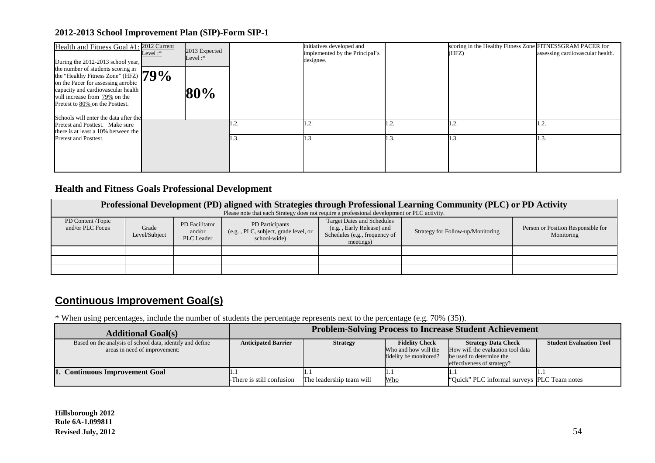| Health and Fitness Goal #1<br>During the 2012-2013 school year,                                                                                                                                                                                                       | 2012 Current<br>Level:* | 2013 Expected<br>Level: $*$ |      | initiatives developed and<br>implemented by the Principal's<br>designee. |      | scoring in the Healthy Fitness Zone FITNESSGRAM PACER for<br>(HFZ) | assessing cardiovascular health. |
|-----------------------------------------------------------------------------------------------------------------------------------------------------------------------------------------------------------------------------------------------------------------------|-------------------------|-----------------------------|------|--------------------------------------------------------------------------|------|--------------------------------------------------------------------|----------------------------------|
| the number of students scoring in<br>the "Healthy Fitness Zone" (HFZ) $79\%$<br>on the Pacer for assessing aerobic<br>capacity and cardiovascular health<br>will increase from 79% on the<br>Pretest to 80% on the Posttest.<br>Schools will enter the data after the |                         | 80%                         |      |                                                                          |      |                                                                    |                                  |
| Pretest and Posttest. Make sure<br>there is at least a $10\%$ between the                                                                                                                                                                                             |                         |                             | ۰    | 1.2.                                                                     | ٠∠.  | 1.2.                                                               | 1.2.                             |
| Pretest and Posttest.                                                                                                                                                                                                                                                 |                         |                             | . د. | 1.3.                                                                     | 1.3. | 1.3.                                                               | 1.3                              |

## **Health and Fitness Goals Professional Development**

|                                       | Professional Development (PD) aligned with Strategies through Professional Learning Community (PLC) or PD Activity<br>Please note that each Strategy does not require a professional development or PLC activity. |                                               |                                                                        |                                                                                                              |                                   |                                                  |  |  |  |  |
|---------------------------------------|-------------------------------------------------------------------------------------------------------------------------------------------------------------------------------------------------------------------|-----------------------------------------------|------------------------------------------------------------------------|--------------------------------------------------------------------------------------------------------------|-----------------------------------|--------------------------------------------------|--|--|--|--|
| PD Content /Topic<br>and/or PLC Focus | Grade<br>Level/Subject                                                                                                                                                                                            | PD Facilitator<br>and/or<br><b>PLC</b> Leader | PD Participants<br>(e.g., PLC, subject, grade level, or<br>school-wide | <b>Target Dates and Schedules</b><br>(e.g., Early Release) and<br>Schedules (e.g., frequency of<br>meetings) | Strategy for Follow-up/Monitoring | Person or Position Responsible for<br>Monitoring |  |  |  |  |
|                                       |                                                                                                                                                                                                                   |                                               |                                                                        |                                                                                                              |                                   |                                                  |  |  |  |  |
|                                       |                                                                                                                                                                                                                   |                                               |                                                                        |                                                                                                              |                                   |                                                  |  |  |  |  |
|                                       |                                                                                                                                                                                                                   |                                               |                                                                        |                                                                                                              |                                   |                                                  |  |  |  |  |

## **Continuous Improvement Goal(s)**

\* When using percentages, include the number of students the percentage represents next to the percentage (e.g. 70% (35)).

| <b>Additional Goal(s)</b>                                                                  | <b>Problem-Solving Process to Increase Student Achievement</b> |                          |                                               |                                                                 |                                |  |
|--------------------------------------------------------------------------------------------|----------------------------------------------------------------|--------------------------|-----------------------------------------------|-----------------------------------------------------------------|--------------------------------|--|
| Based on the analysis of school data, identify and define<br>areas in need of improvement: | <b>Anticipated Barrier</b>                                     | <b>Strategy</b>          | <b>Fidelity Check</b><br>Who and how will the | <b>Strategy Data Check</b><br>How will the evaluation tool data | <b>Student Evaluation Tool</b> |  |
|                                                                                            |                                                                |                          | fidelity be monitored?                        | be used to determine the<br>effectiveness of strategy?          |                                |  |
| 1. Continuous Improvement Goal                                                             | -There is still confusion                                      | The leadership team will | н.,<br><u>Who</u>                             | "Quick" PLC informal surveys PLC Team notes                     |                                |  |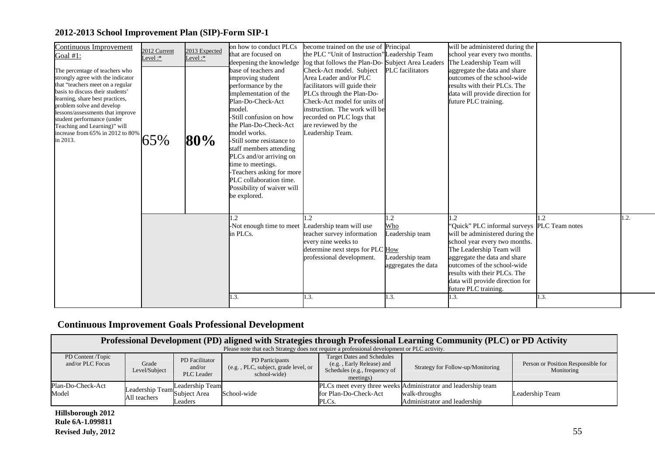| on how to conduct PLCs<br>become trained on the use of Principal<br>Continuous Improvement<br>2013 Expected<br>2012 Current<br>the PLC "Unit of Instruction" Leadership Team<br>that are focused on<br>school year every two months.<br>Goal #1:<br>Level $:$<br>Level:*<br>log that follows the Plan-Do-Subject Area Leaders<br>The Leadership Team will<br>deepening the knowledge<br>base of teachers and<br>Check-Act model. Subject<br><b>PLC</b> facilitators<br>aggregate the data and share<br>The percentage of teachers who<br>strongly agree with the indicator<br>outcomes of the school-wide<br>improving student<br>Area Leader and/or PLC<br>that "teachers meet on a regular<br>performance by the<br>results with their PLCs. The<br>facilitators will guide their<br>basis to discuss their students'<br>PLCs through the Plan-Do-<br>implementation of the<br>data will provide direction for<br>learning, share best practices,<br>Check-Act model for units of<br>Plan-Do-Check-Act<br>future PLC training.<br>problem solve and develop<br>model.<br>instruction. The work will be<br>lessons/assessments that improve<br>-Still confusion on how<br>recorded on PLC logs that<br>student performance (under<br>the Plan-Do-Check-Act<br>are reviewed by the<br>Teaching and Learning)" will<br>model works.<br>Leadership Team.<br>increase from 65% in 2012 to 80%<br>65%<br>80%<br>in 2013.<br>-Still some resistance to<br>staff members attending<br>PLCs and/or arriving on<br>time to meetings.<br>-Teachers asking for more<br>PLC collaboration time.<br>Possibility of waiver will<br>be explored.<br>1.2<br>$\overline{2}$<br>1.2<br>1.2<br>Who<br>"Quick" PLC informal surveys PLC Team notes<br>-Not enough time to meet Leadership team will use<br>Leadership team<br>in PLCs.<br>teacher survey information<br>will be administered during the<br>every nine weeks to<br>school year every two months.<br>determine next steps for PLC How<br>The Leadership Team will<br>Leadership team<br>professional development.<br>aggregate the data and share<br>outcomes of the school-wide<br>aggregates the data<br>results with their PLCs. The<br>data will provide direction for<br>future PLC training. |  |      |      |      |                                 |      |
|-----------------------------------------------------------------------------------------------------------------------------------------------------------------------------------------------------------------------------------------------------------------------------------------------------------------------------------------------------------------------------------------------------------------------------------------------------------------------------------------------------------------------------------------------------------------------------------------------------------------------------------------------------------------------------------------------------------------------------------------------------------------------------------------------------------------------------------------------------------------------------------------------------------------------------------------------------------------------------------------------------------------------------------------------------------------------------------------------------------------------------------------------------------------------------------------------------------------------------------------------------------------------------------------------------------------------------------------------------------------------------------------------------------------------------------------------------------------------------------------------------------------------------------------------------------------------------------------------------------------------------------------------------------------------------------------------------------------------------------------------------------------------------------------------------------------------------------------------------------------------------------------------------------------------------------------------------------------------------------------------------------------------------------------------------------------------------------------------------------------------------------------------------------------------------------------------------------------------------------------------|--|------|------|------|---------------------------------|------|
|                                                                                                                                                                                                                                                                                                                                                                                                                                                                                                                                                                                                                                                                                                                                                                                                                                                                                                                                                                                                                                                                                                                                                                                                                                                                                                                                                                                                                                                                                                                                                                                                                                                                                                                                                                                                                                                                                                                                                                                                                                                                                                                                                                                                                                               |  |      |      |      | will be administered during the |      |
|                                                                                                                                                                                                                                                                                                                                                                                                                                                                                                                                                                                                                                                                                                                                                                                                                                                                                                                                                                                                                                                                                                                                                                                                                                                                                                                                                                                                                                                                                                                                                                                                                                                                                                                                                                                                                                                                                                                                                                                                                                                                                                                                                                                                                                               |  | 1.3. | 1.3. | I.3. | 1.3.                            | 1.3. |

## **Continuous Improvement Goals Professional Development**

| Professional Development (PD) aligned with Strategies through Professional Learning Community (PLC) or PD Activity |                                              |                                               |                                                                                             |                                                                                                              |                                                                                                                |                                                  |  |  |
|--------------------------------------------------------------------------------------------------------------------|----------------------------------------------|-----------------------------------------------|---------------------------------------------------------------------------------------------|--------------------------------------------------------------------------------------------------------------|----------------------------------------------------------------------------------------------------------------|--------------------------------------------------|--|--|
|                                                                                                                    |                                              |                                               | Please note that each Strategy does not require a professional development or PLC activity. |                                                                                                              |                                                                                                                |                                                  |  |  |
| PD Content /Topic<br>and/or PLC Focus                                                                              | Grade<br>Level/Subject                       | PD Facilitator<br>and/or<br><b>PLC</b> Leader | PD Participants<br>(e.g., PLC, subject, grade level, or<br>school-wide)                     | <b>Target Dates and Schedules</b><br>(e.g., Early Release) and<br>Schedules (e.g., frequency of<br>meetings) | Strategy for Follow-up/Monitoring                                                                              | Person or Position Responsible for<br>Monitoring |  |  |
| Plan-Do-Check-Act<br>Model                                                                                         | Leadership Team <sup>t</sup><br>All teachers | Leadership Team<br>Subject Area<br>Leaders    | School-wide                                                                                 | for Plan-Do-Check-Act<br>PLCs.                                                                               | PLCs meet every three weeks Administrator and leadership team<br>walk-throughs<br>Administrator and leadership | Leadership Team                                  |  |  |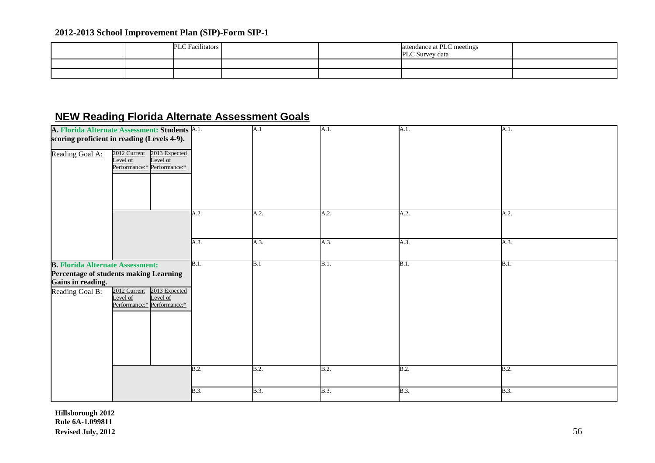|  | <b>PLC</b> Facilitators |  | attendance at PLC meetings<br>PLC Survey data |  |
|--|-------------------------|--|-----------------------------------------------|--|
|  |                         |  |                                               |  |
|  |                         |  |                                               |  |

## **NEW Reading Florida Alternate Assessment Goals**

| Reading Goal A:                                                                 | A. Florida Alternate Assessment: Students A.1.<br>scoring proficient in reading (Levels 4-9).<br>2013 Expected<br>2012 Current<br>Level of<br>Level of<br>Performance:* Performance:* |             | A.1         | A.1. | A.1.        | A.1.        |
|---------------------------------------------------------------------------------|---------------------------------------------------------------------------------------------------------------------------------------------------------------------------------------|-------------|-------------|------|-------------|-------------|
|                                                                                 |                                                                                                                                                                                       | A.2.        | A.2.        | A.2. | A.2.        | A.2.        |
|                                                                                 |                                                                                                                                                                                       | A.3.        | A.3.        | A.3. | A.3.        | A.3.        |
| <b>B. Florida Alternate Assessment:</b><br>Gains in reading.<br>Reading Goal B: | Percentage of students making Learning<br>2012 Current 2013 Expected<br>Level of<br>Level of<br>Performance:* Performance:*                                                           | B.1.        | B.1         | B.1. | B.1.        | B.1.        |
|                                                                                 |                                                                                                                                                                                       | B.2.        | B.2.        | B.2. | B.2.        | B.2.        |
|                                                                                 |                                                                                                                                                                                       | <b>B.3.</b> | <b>B.3.</b> | B.3. | <b>B.3.</b> | <b>B.3.</b> |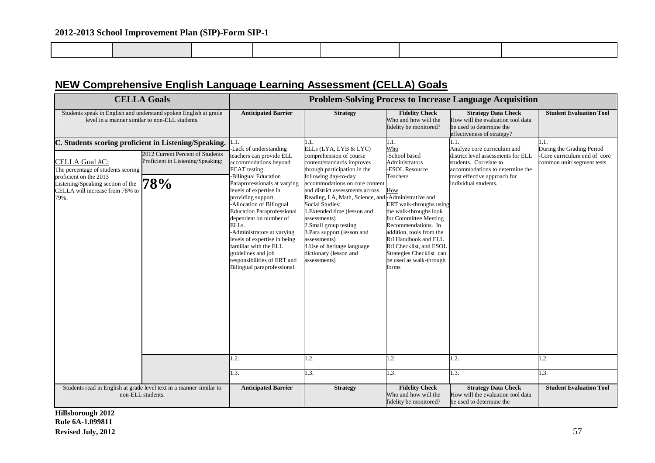## **NEW Comprehensive English Language Learning Assessment (CELLA) Goals**

|                                                                                                                                                                                                                         | <b>CELLA Goals</b>                                                           | <b>Problem-Solving Process to Increase Language Acquisition</b>                                                                                                                                                                                                                                                                                                                                                                                                                                               |                                                                                                                                                                                                                                                                                                                                                                                                                                                                                             |                                                                                                                                                                                                                                                                                                                                               |                                                                                                                                                                                               |                                                                                        |  |  |
|-------------------------------------------------------------------------------------------------------------------------------------------------------------------------------------------------------------------------|------------------------------------------------------------------------------|---------------------------------------------------------------------------------------------------------------------------------------------------------------------------------------------------------------------------------------------------------------------------------------------------------------------------------------------------------------------------------------------------------------------------------------------------------------------------------------------------------------|---------------------------------------------------------------------------------------------------------------------------------------------------------------------------------------------------------------------------------------------------------------------------------------------------------------------------------------------------------------------------------------------------------------------------------------------------------------------------------------------|-----------------------------------------------------------------------------------------------------------------------------------------------------------------------------------------------------------------------------------------------------------------------------------------------------------------------------------------------|-----------------------------------------------------------------------------------------------------------------------------------------------------------------------------------------------|----------------------------------------------------------------------------------------|--|--|
| Students speak in English and understand spoken English at grade<br>level in a manner similar to non-ELL students.                                                                                                      |                                                                              | <b>Anticipated Barrier</b>                                                                                                                                                                                                                                                                                                                                                                                                                                                                                    | <b>Strategy</b>                                                                                                                                                                                                                                                                                                                                                                                                                                                                             | <b>Fidelity Check</b><br>Who and how will the<br>fidelity be monitored?                                                                                                                                                                                                                                                                       | <b>Strategy Data Check</b><br>How will the evaluation tool data<br>be used to determine the<br>effectiveness of strategy?                                                                     | <b>Student Evaluation Tool</b>                                                         |  |  |
| C. Students scoring proficient in Listening/Speaking.<br>CELLA Goal #C:<br>The percentage of students scoring<br>proficient on the 2013<br>Listening/Speaking section of the<br>CELLA will increase from 78% to<br>79%. | 2012 Current Percent of Students<br>Proficient in Listening/Speaking:<br>'8% | l.1.<br>Lack of understanding<br>teachers can provide ELL<br>accommodations beyond<br>FCAT testing.<br><b>Bilingual Education</b><br>Paraprofessionals at varying<br>levels of expertise in<br>providing support.<br>-Allocation of Bilingual<br><b>Education Paraprofessional</b><br>dependent on number of<br>ELL <sub>s</sub> .<br>-Administrators at varying<br>levels of expertise in being<br>familiar with the ELL<br>guidelines and job<br>responsibilities of ERT and<br>Bilingual paraprofessional. | ELLs (LYA, LYB & LYC)<br>comprehension of course<br>content/standards improves<br>through participation in the<br>following day-to-day<br>accommodations on core content<br>and district assessments across<br>Reading, LA, Math, Science, and-Administrative and<br><b>Social Studies:</b><br>LExtended time (lesson and<br>assessments)<br>2. Small group testing<br>3. Para support (lesson and<br>assessments)<br>4. Use of heritage language<br>dictionary (lesson and<br>assessments) | 1.1.<br>Who<br>-School based<br>Administrators<br><b>ESOL Resource</b><br>Teachers<br>How<br>ERT walk-throughs using<br>the walk-throughs look<br>for Committee Meeting<br>Recommendations. In<br>addition, tools from the<br>RtI Handbook and ELL<br>RtI Checklist, and ESOL<br>Strategies Checklist can<br>be used as walk-through<br>forms | 1.1.<br>Analyze core curriculum and<br>district level assessments for ELL<br>students. Correlate to<br>accommodations to determine the<br>most effective approach for<br>individual students. | During the Grading Period<br>-Core curriculum end of core<br>common unit/segment tests |  |  |
|                                                                                                                                                                                                                         |                                                                              | 1.2.                                                                                                                                                                                                                                                                                                                                                                                                                                                                                                          | 1.2.                                                                                                                                                                                                                                                                                                                                                                                                                                                                                        | 1.2.                                                                                                                                                                                                                                                                                                                                          | 1.2.                                                                                                                                                                                          | $\mathbf{.2}$ .                                                                        |  |  |
|                                                                                                                                                                                                                         |                                                                              | 1.3.                                                                                                                                                                                                                                                                                                                                                                                                                                                                                                          | 1.3.                                                                                                                                                                                                                                                                                                                                                                                                                                                                                        | 1.3.                                                                                                                                                                                                                                                                                                                                          | 1.3.                                                                                                                                                                                          | $\overline{3}$ .                                                                       |  |  |
| Students read in English at grade level text in a manner similar to<br>non-ELL students.                                                                                                                                |                                                                              | <b>Anticipated Barrier</b>                                                                                                                                                                                                                                                                                                                                                                                                                                                                                    | <b>Strategy</b>                                                                                                                                                                                                                                                                                                                                                                                                                                                                             | <b>Fidelity Check</b><br>Who and how will the<br>fidelity be monitored?                                                                                                                                                                                                                                                                       | <b>Strategy Data Check</b><br>How will the evaluation tool data<br>be used to determine the                                                                                                   | <b>Student Evaluation Tool</b>                                                         |  |  |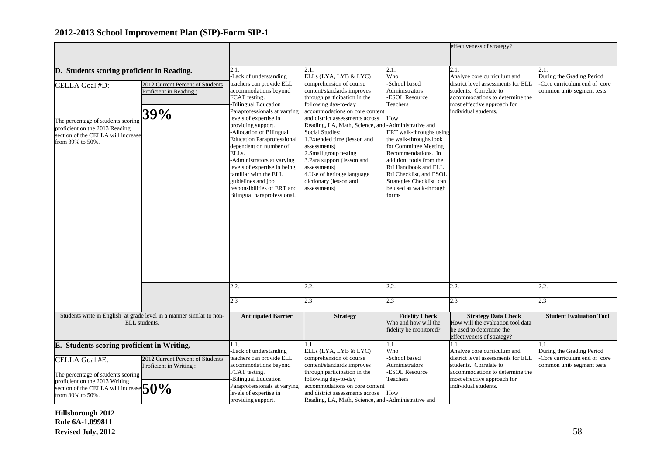|                                            |                                                                      |                                                               |                                                                              |                                                     | effectiveness of strategy?                                        |                                                           |
|--------------------------------------------|----------------------------------------------------------------------|---------------------------------------------------------------|------------------------------------------------------------------------------|-----------------------------------------------------|-------------------------------------------------------------------|-----------------------------------------------------------|
|                                            |                                                                      |                                                               |                                                                              |                                                     |                                                                   |                                                           |
| D. Students scoring proficient in Reading. |                                                                      | 2.1.                                                          | 2.1.                                                                         | 2.1.                                                | 2.1.                                                              | 2.1.                                                      |
|                                            |                                                                      | Lack of understanding<br>teachers can provide ELL             | ELLS (LYA, LYB & LYC)<br>comprehension of course                             | Who<br>School based                                 | Analyze core curriculum and<br>district level assessments for ELL | During the Grading Period<br>-Core curriculum end of core |
| CELLA Goal #D:                             | 2012 Current Percent of Students<br>Proficient in Reading:           | accommodations beyond                                         | content/standards improves                                                   | Administrators                                      | students. Correlate to                                            | common unit/segment tests                                 |
|                                            |                                                                      | FCAT testing.                                                 | through participation in the                                                 | <b>ESOL Resource</b>                                | accommodations to determine the                                   |                                                           |
|                                            |                                                                      | <b>Bilingual Education</b>                                    | following day-to-day                                                         | Teachers                                            | most effective approach for                                       |                                                           |
|                                            | 39%                                                                  | Paraprofessionals at varying                                  | accommodations on core content                                               |                                                     | individual students.                                              |                                                           |
| The percentage of students scoring         |                                                                      | levels of expertise in                                        | and district assessments across                                              | How                                                 |                                                                   |                                                           |
| proficient on the 2013 Reading             |                                                                      | providing support.                                            | Reading, LA, Math, Science, and Administrative and<br><b>Social Studies:</b> |                                                     |                                                                   |                                                           |
| section of the CELLA will increase         |                                                                      | -Allocation of Bilingual<br><b>Education Paraprofessional</b> | 1.Extended time (lesson and                                                  | ERT walk-throughs using<br>the walk-throughs look   |                                                                   |                                                           |
| from 39% to 50%.                           |                                                                      | dependent on number of                                        | assessments)                                                                 | for Committee Meeting                               |                                                                   |                                                           |
|                                            |                                                                      | ELLs.                                                         | 2.Small group testing                                                        | Recommendations. In                                 |                                                                   |                                                           |
|                                            |                                                                      | Administrators at varying                                     | 3. Para support (lesson and                                                  | addition, tools from the                            |                                                                   |                                                           |
|                                            |                                                                      | levels of expertise in being                                  | assessments)                                                                 | RtI Handbook and ELL                                |                                                                   |                                                           |
|                                            |                                                                      | familiar with the ELL                                         | 4. Use of heritage language                                                  | RtI Checklist, and ESOL                             |                                                                   |                                                           |
|                                            |                                                                      | guidelines and job<br>responsibilities of ERT and             | dictionary (lesson and<br>assessments)                                       | Strategies Checklist can<br>be used as walk-through |                                                                   |                                                           |
|                                            |                                                                      | Bilingual paraprofessional.                                   |                                                                              | forms                                               |                                                                   |                                                           |
|                                            |                                                                      |                                                               |                                                                              |                                                     |                                                                   |                                                           |
|                                            |                                                                      |                                                               |                                                                              |                                                     |                                                                   |                                                           |
|                                            |                                                                      |                                                               |                                                                              |                                                     |                                                                   |                                                           |
|                                            |                                                                      |                                                               |                                                                              |                                                     |                                                                   |                                                           |
|                                            |                                                                      |                                                               |                                                                              |                                                     |                                                                   |                                                           |
|                                            |                                                                      |                                                               |                                                                              |                                                     |                                                                   |                                                           |
|                                            |                                                                      |                                                               |                                                                              |                                                     |                                                                   |                                                           |
|                                            |                                                                      |                                                               |                                                                              |                                                     |                                                                   |                                                           |
|                                            |                                                                      |                                                               |                                                                              |                                                     |                                                                   |                                                           |
|                                            |                                                                      |                                                               |                                                                              |                                                     |                                                                   |                                                           |
|                                            |                                                                      | 2.2.                                                          | 2.2.                                                                         | 2.2.                                                | 2.2.                                                              | 2.2.                                                      |
|                                            |                                                                      |                                                               |                                                                              |                                                     |                                                                   |                                                           |
|                                            |                                                                      | 2.3                                                           | 2.3                                                                          | $\overline{2.3}$                                    | 2.3                                                               | 2.3                                                       |
|                                            | Students write in English at grade level in a manner similar to non- | <b>Anticipated Barrier</b>                                    | <b>Strategy</b>                                                              | <b>Fidelity Check</b>                               | <b>Strategy Data Check</b>                                        | <b>Student Evaluation Tool</b>                            |
|                                            | ELL students.                                                        |                                                               |                                                                              | Who and how will the                                | How will the evaluation tool data                                 |                                                           |
|                                            |                                                                      |                                                               |                                                                              | fidelity be monitored?                              | be used to determine the                                          |                                                           |
|                                            |                                                                      |                                                               |                                                                              |                                                     | effectiveness of strategy?                                        |                                                           |
| E. Students scoring proficient in Writing. |                                                                      | 1.1.<br>-Lack of understanding                                | 1.1.<br>ELLs (LYA, LYB & LYC)                                                | 1.1.<br>Who                                         | 1.1.<br>Analyze core curriculum and                               | 1.1.<br>During the Grading Period                         |
| CELLA Goal #E:                             | 2012 Current Percent of Students                                     | teachers can provide ELL                                      | comprehension of course                                                      | -School based                                       | district level assessments for ELL                                | Core curriculum end of core                               |
|                                            | Proficient in Writing:                                               | accommodations beyond                                         | content/standards improves                                                   | Administrators                                      | students. Correlate to                                            | common unit/segment tests                                 |
| The percentage of students scoring         |                                                                      | FCAT testing.                                                 | through participation in the                                                 | <b>ESOL Resource</b>                                | accommodations to determine the                                   |                                                           |
| proficient on the 2013 Writing             |                                                                      | <b>Bilingual Education</b>                                    | following day-to-day                                                         | Teachers                                            | most effective approach for                                       |                                                           |
| section of the CELLA will increas          | $50\%$                                                               | Paraprofessionals at varying                                  | accommodations on core content                                               |                                                     | individual students.                                              |                                                           |
| from 30% to 50%.                           |                                                                      | levels of expertise in                                        | and district assessments across                                              | How                                                 |                                                                   |                                                           |
|                                            |                                                                      | providing support.                                            | Reading, LA, Math, Science, and-Administrative and                           |                                                     |                                                                   |                                                           |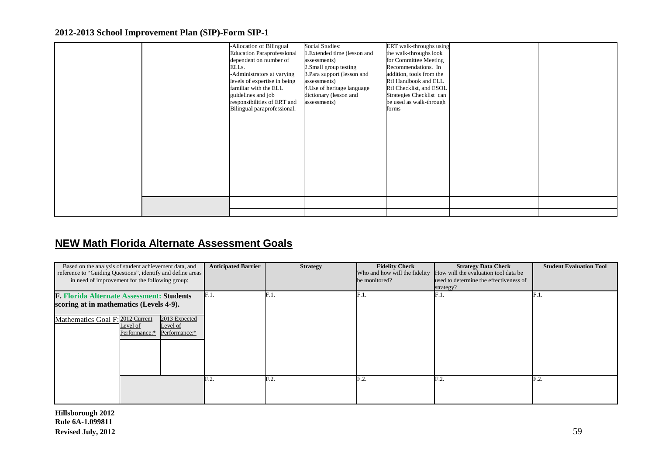|  | dependent on number of<br>ELLs.<br>-Administrators at varying<br>levels of expertise in being<br>familiar with the ELL<br>guidelines and job<br>responsibilities of ERT and<br>Bilingual paraprofessional. | 1.Extended time (lesson and<br>assessments)<br>2.Small group testing<br>3. Para support (lesson and<br>assessments)<br>4. Use of heritage language<br>dictionary (lesson and<br>assessments) | the walk-throughs look<br>for Committee Meeting<br>Recommendations. In<br>addition, tools from the<br>RtI Handbook and ELL<br>RtI Checklist, and ESOL<br>Strategies Checklist can<br>be used as walk-through<br>forms |  |
|--|------------------------------------------------------------------------------------------------------------------------------------------------------------------------------------------------------------|----------------------------------------------------------------------------------------------------------------------------------------------------------------------------------------------|-----------------------------------------------------------------------------------------------------------------------------------------------------------------------------------------------------------------------|--|
|  |                                                                                                                                                                                                            |                                                                                                                                                                                              |                                                                                                                                                                                                                       |  |

## **NEW Math Florida Alternate Assessment Goals**

| Based on the analysis of student achievement data, and<br>reference to "Guiding Questions", identify and define areas<br>in need of improvement for the following group: |                           |                                            | <b>Anticipated Barrier</b> | <b>Strategy</b> | <b>Fidelity Check</b><br>Who and how will the fidelity<br>be monitored? | <b>Strategy Data Check</b><br>How will the evaluation tool data be<br>used to determine the effectiveness of<br>strategy? | <b>Student Evaluation Tool</b> |
|--------------------------------------------------------------------------------------------------------------------------------------------------------------------------|---------------------------|--------------------------------------------|----------------------------|-----------------|-------------------------------------------------------------------------|---------------------------------------------------------------------------------------------------------------------------|--------------------------------|
| <b>F. Florida Alternate Assessment: Students</b>                                                                                                                         |                           |                                            | F.1.                       | $\rm{F.1}$      | F.1                                                                     | F.1.                                                                                                                      | F.1.                           |
| scoring at in mathematics (Levels 4-9).                                                                                                                                  |                           |                                            |                            |                 |                                                                         |                                                                                                                           |                                |
| Mathematics Goal F: 2012 Current                                                                                                                                         | Level of<br>Performance:* | 2013 Expected<br>Level of<br>Performance:* |                            |                 |                                                                         |                                                                                                                           |                                |
|                                                                                                                                                                          |                           |                                            | F.2.                       | F.2.            | F.2.                                                                    | F.2.                                                                                                                      | F.2.                           |
|                                                                                                                                                                          |                           |                                            |                            |                 |                                                                         |                                                                                                                           |                                |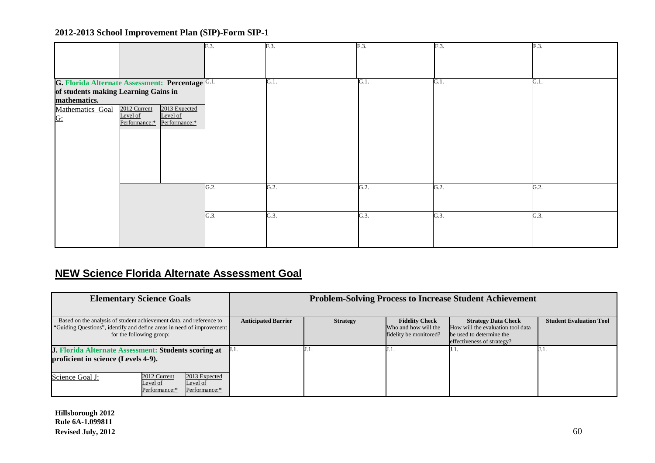|                                                                                |                                                                                                                                             | F.3          | F.3.         | F.3.            | $\overline{F.3}$ . | F.3          |
|--------------------------------------------------------------------------------|---------------------------------------------------------------------------------------------------------------------------------------------|--------------|--------------|-----------------|--------------------|--------------|
| of students making Learning Gains in<br>mathematics.<br>Mathematics Goal<br>G: | G. Florida Alternate Assessment: Percentage G.1.<br>2012 Current<br>2013 Expected<br>Level of<br>Level of<br>Performance:*<br>Performance:* |              | G.1.         | G.1.            | G.1.               | G.1.         |
|                                                                                |                                                                                                                                             | G.2.<br>G.3. | G.2.<br>G.3. | G.2.<br>$G.3$ . | G.2.<br>G.3.       | G.2.<br>G.3. |

## **NEW Science Florida Alternate Assessment Goal**

| <b>Elementary Science Goals</b>                                                                                                                                          | <b>Problem-Solving Process to Increase Student Achievement</b> |                 |                                                                         |                                                                                                                           |                                |  |
|--------------------------------------------------------------------------------------------------------------------------------------------------------------------------|----------------------------------------------------------------|-----------------|-------------------------------------------------------------------------|---------------------------------------------------------------------------------------------------------------------------|--------------------------------|--|
|                                                                                                                                                                          |                                                                |                 |                                                                         |                                                                                                                           |                                |  |
| Based on the analysis of student achievement data, and reference to<br>"Guiding Questions", identify and define areas in need of improvement<br>for the following group: | <b>Anticipated Barrier</b>                                     | <b>Strategy</b> | <b>Fidelity Check</b><br>Who and how will the<br>fidelity be monitored? | <b>Strategy Data Check</b><br>How will the evaluation tool data<br>be used to determine the<br>effectiveness of strategy? | <b>Student Evaluation Tool</b> |  |
| <b>J. Florida Alternate Assessment: Students scoring at</b><br>proficient in science (Levels 4-9).                                                                       | J.I.                                                           | IJ.I.           |                                                                         |                                                                                                                           |                                |  |
| 2012 Current<br>2013 Expected<br>Science Goal J:<br>Level of<br>Level of<br>Performance:*<br>Performance:*                                                               |                                                                |                 |                                                                         |                                                                                                                           |                                |  |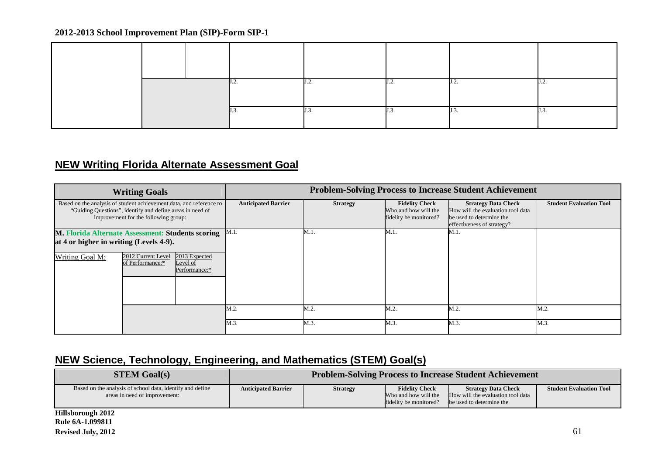|  |  |  |  | . |  |
|--|--|--|--|---|--|
|  |  |  |  |   |  |

## **NEW Writing Florida Alternate Assessment Goal**

| <b>Writing Goals</b>                                                                                                                                                     |                                        |                                            | <b>Problem-Solving Process to Increase Student Achievement</b> |                                                                         |                                                                                                                           |                                |      |  |
|--------------------------------------------------------------------------------------------------------------------------------------------------------------------------|----------------------------------------|--------------------------------------------|----------------------------------------------------------------|-------------------------------------------------------------------------|---------------------------------------------------------------------------------------------------------------------------|--------------------------------|------|--|
| Based on the analysis of student achievement data, and reference to<br>"Guiding Questions", identify and define areas in need of<br>improvement for the following group: |                                        | <b>Anticipated Barrier</b>                 | <b>Strategy</b>                                                | <b>Fidelity Check</b><br>Who and how will the<br>fidelity be monitored? | <b>Strategy Data Check</b><br>How will the evaluation tool data<br>be used to determine the<br>effectiveness of strategy? | <b>Student Evaluation Tool</b> |      |  |
| <b>M. Florida Alternate Assessment: Students scoring</b>                                                                                                                 |                                        |                                            | $M.1$ .                                                        | M.1.                                                                    | M.1.                                                                                                                      | M.1                            |      |  |
| at 4 or higher in writing (Levels 4-9).                                                                                                                                  |                                        |                                            |                                                                |                                                                         |                                                                                                                           |                                |      |  |
| Writing Goal M:                                                                                                                                                          | 2012 Current Level<br>of Performance:* | 2013 Expected<br>Level of<br>Performance:* |                                                                |                                                                         |                                                                                                                           |                                |      |  |
|                                                                                                                                                                          |                                        |                                            |                                                                |                                                                         |                                                                                                                           |                                |      |  |
|                                                                                                                                                                          |                                        |                                            | M.2.                                                           | M.2.                                                                    | M.2.                                                                                                                      | M.2.                           | M.2  |  |
|                                                                                                                                                                          |                                        |                                            | M.3.                                                           | M.3.                                                                    | M.3.                                                                                                                      | M.3.                           | M.3. |  |

## **NEW Science, Technology, Engineering, and Mathematics (STEM) Goal(s)**

| <b>STEM Goal(s)</b>                                                                        | <b>Problem-Solving Process to Increase Student Achievement</b> |                 |                                                                         |                                                                                             |                                |
|--------------------------------------------------------------------------------------------|----------------------------------------------------------------|-----------------|-------------------------------------------------------------------------|---------------------------------------------------------------------------------------------|--------------------------------|
| Based on the analysis of school data, identify and define<br>areas in need of improvement: | <b>Anticipated Barrier</b>                                     | <b>Strategy</b> | <b>Fidelity Check</b><br>Who and how will the<br>fidelity be monitored? | <b>Strategy Data Check</b><br>How will the evaluation tool data<br>be used to determine the | <b>Student Evaluation Tool</b> |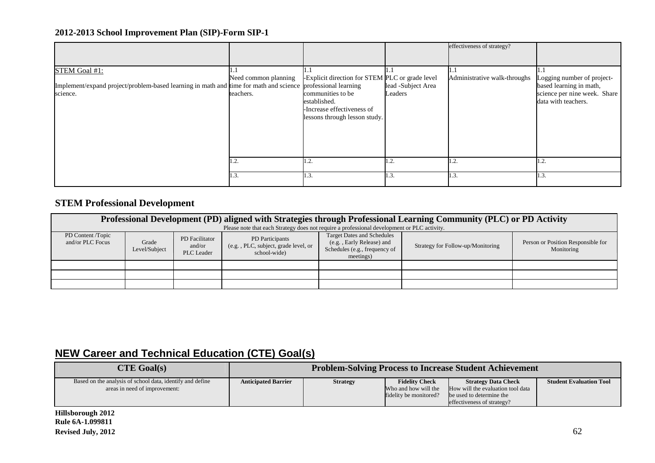|                                                                                                                                          |                                   |                                                                                                                                                     |                               | effectiveness of strategy?   |                                                                                                              |
|------------------------------------------------------------------------------------------------------------------------------------------|-----------------------------------|-----------------------------------------------------------------------------------------------------------------------------------------------------|-------------------------------|------------------------------|--------------------------------------------------------------------------------------------------------------|
| STEM Goal #1:<br>Implement/expand project/problem-based learning in math and time for math and science professional learning<br>science. | Need common planning<br>teachers. | -Explicit direction for STEM PLC or grade level<br>communities to be<br>established.<br>-Increase effectiveness of<br>lessons through lesson study. | lead -Subject Area<br>Leaders | Administrative walk-throughs | Logging number of project-<br>based learning in math,<br>science per nine week. Share<br>data with teachers. |
|                                                                                                                                          | 1.2.                              | 1.2.                                                                                                                                                | $\mathbf{1.2.}$               | 1.2.                         | 1.2.                                                                                                         |
|                                                                                                                                          | 1.3.                              | 1.3.                                                                                                                                                | 1.3.                          | 1.3.                         | 1.3.                                                                                                         |

## **STEM Professional Development**

| Professional Development (PD) aligned with Strategies through Professional Learning Community (PLC) or PD Activity<br>Please note that each Strategy does not require a professional development or PLC activity. |                        |                                        |                                                                         |                                   |                                                  |  |  |  |  |
|-------------------------------------------------------------------------------------------------------------------------------------------------------------------------------------------------------------------|------------------------|----------------------------------------|-------------------------------------------------------------------------|-----------------------------------|--------------------------------------------------|--|--|--|--|
| PD Content /Topic<br>and/or PLC Focus                                                                                                                                                                             | Grade<br>Level/Subject | PD Facilitator<br>and/or<br>PLC Leader | PD Participants<br>(e.g., PLC, subject, grade level, or<br>school-wide) | Strategy for Follow-up/Monitoring | Person or Position Responsible for<br>Monitoring |  |  |  |  |
|                                                                                                                                                                                                                   |                        |                                        |                                                                         |                                   |                                                  |  |  |  |  |
|                                                                                                                                                                                                                   |                        |                                        |                                                                         |                                   |                                                  |  |  |  |  |
|                                                                                                                                                                                                                   |                        |                                        |                                                                         |                                   |                                                  |  |  |  |  |

## **NEW Career and Technical Education (CTE) Goal(s)**

| $CTE$ Goal(s)                                                                              | <b>Problem-Solving Process to Increase Student Achievement</b> |                 |                                                                         |                                                                                                                           |                                |
|--------------------------------------------------------------------------------------------|----------------------------------------------------------------|-----------------|-------------------------------------------------------------------------|---------------------------------------------------------------------------------------------------------------------------|--------------------------------|
| Based on the analysis of school data, identify and define<br>areas in need of improvement: | <b>Anticipated Barrier</b>                                     | <b>Strategy</b> | <b>Fidelity Check</b><br>Who and how will the<br>fidelity be monitored? | <b>Strategy Data Check</b><br>How will the evaluation tool data<br>be used to determine the<br>effectiveness of strategy? | <b>Student Evaluation Tool</b> |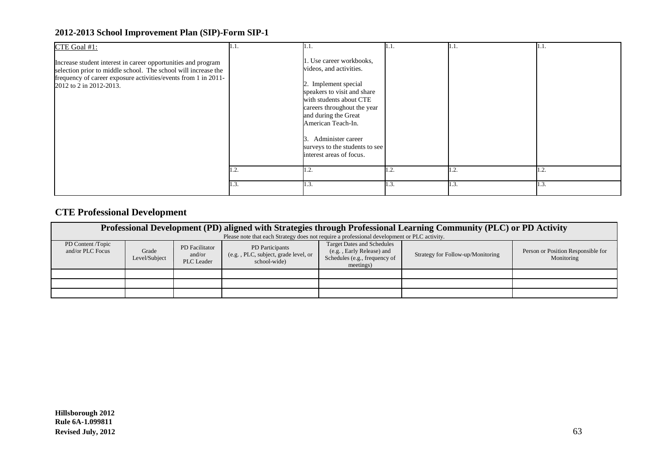| CTE Goal #1:                                                                                                                                                                                                                 | 11.1. | 1.1.                                                                                                                                                                                                                                                                                                        | 11.1. | 1.1. | 1.1. |
|------------------------------------------------------------------------------------------------------------------------------------------------------------------------------------------------------------------------------|-------|-------------------------------------------------------------------------------------------------------------------------------------------------------------------------------------------------------------------------------------------------------------------------------------------------------------|-------|------|------|
| Increase student interest in career opportunities and program<br>selection prior to middle school. The school will increase the<br>frequency of career exposure activities/events from 1 in 2011-<br>2012 to 2 in 2012-2013. |       | 1. Use career workbooks,<br>videos, and activities.<br>2. Implement special<br>speakers to visit and share<br>with students about CTE<br>careers throughout the year<br>and during the Great<br>American Teach-In.<br>Administer career<br>3.<br>surveys to the students to see<br>interest areas of focus. |       |      |      |
|                                                                                                                                                                                                                              | 1.2.  | 1.2.                                                                                                                                                                                                                                                                                                        | 1.2.  | 1.2. | 1.2. |
|                                                                                                                                                                                                                              | 1.3.  | 1.3.                                                                                                                                                                                                                                                                                                        | 1.3.  | 1.3. | 1.3. |

## **CTE Professional Development**

| Professional Development (PD) aligned with Strategies through Professional Learning Community (PLC) or PD Activity |               |                          |                                                                                                                                                        |                                                                |                                   |                                    |
|--------------------------------------------------------------------------------------------------------------------|---------------|--------------------------|--------------------------------------------------------------------------------------------------------------------------------------------------------|----------------------------------------------------------------|-----------------------------------|------------------------------------|
| PD Content /Topic<br>and/or PLC Focus                                                                              | Grade         | PD Facilitator<br>and/or | Please note that each Strategy does not require a professional development or PLC activity.<br>PD Participants<br>(e.g., PLC, subject, grade level, or | <b>Target Dates and Schedules</b><br>(e.g., Early Release) and | Strategy for Follow-up/Monitoring | Person or Position Responsible for |
|                                                                                                                    | Level/Subject | <b>PLC</b> Leader        | school-wide                                                                                                                                            | Schedules (e.g., frequency of<br>meetings)                     |                                   | Monitoring                         |
|                                                                                                                    |               |                          |                                                                                                                                                        |                                                                |                                   |                                    |
|                                                                                                                    |               |                          |                                                                                                                                                        |                                                                |                                   |                                    |
|                                                                                                                    |               |                          |                                                                                                                                                        |                                                                |                                   |                                    |